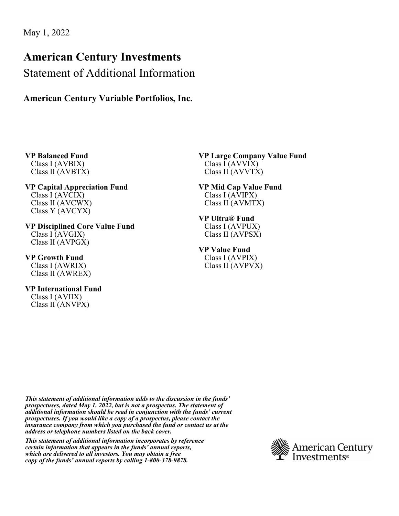May 1, 2022

# **American Century Investments**

Statement of Additional Information

# **American Century Variable Portfolios, Inc.**

**VP Balanced Fund** Class I (AVBIX) Class II (AVBTX)

**VP Capital Appreciation Fund** Class I (AVCIX) Class II (AVCWX) Class Y (AVCYX)

**VP Disciplined Core Value Fund** Class I (AVGIX) Class II (AVPGX)

**VP Growth Fund** Class I (AWRIX) Class II (AWREX)

**VP International Fund** Class I (AVIIX) Class II (ANVPX)

**VP Large Company Value Fund** Class I (AVVIX) Class II (AVVTX)

**VP Mid Cap Value Fund** Class I (AVIPX) Class II (AVMTX)

**VP Ultra® Fund** Class I (AVPUX) Class II (AVPSX)

**VP Value Fund** Class I (AVPIX) Class II (AVPVX)

*This statement of additional information adds to the discussion in the funds' prospectuses, dated May 1, 2022, but is not a prospectus. The statement of additional information should be read in conjunction with the funds' current prospectuses. If you would like a copy of a prospectus, please contact the insurance company from which you purchased the fund or contact us at the address or telephone numbers listed on the back cover.*

*This statement of additional information incorporates by reference certain information that appears in the funds' annual reports, which are delivered to all investors. You may obtain a free copy of the funds' annual reports by calling 1-800-378-9878.*

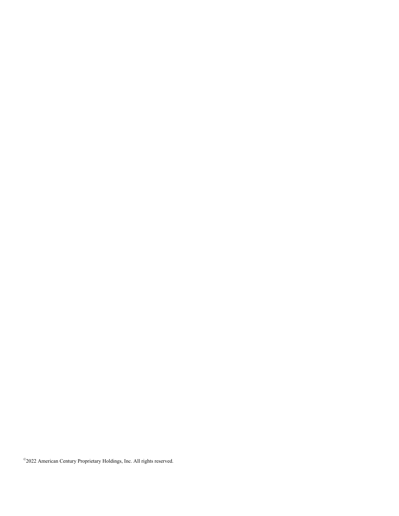© 2022 American Century Proprietary Holdings, Inc. All rights reserved.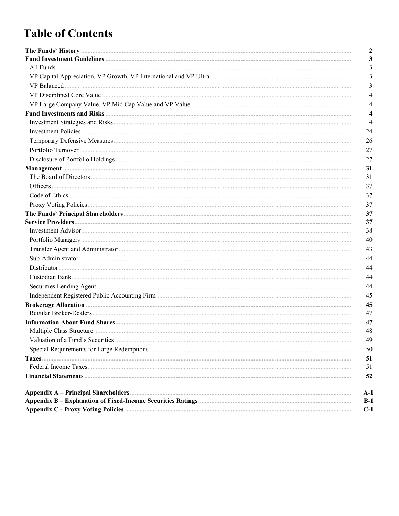# **Table of Contents**

| $\mathbf{2}$   |
|----------------|
| 3              |
| 3              |
| 3              |
| 3              |
| 4              |
| 4              |
| 4              |
| $\overline{4}$ |
| 24             |
| 26             |
| 27             |
| 27             |
| 31             |
| 31             |
| 37             |
| 37             |
| 37             |
| 37             |
| 37             |
| 38             |
| 40             |
| 43             |
| 44             |
| 44             |
| 44             |
| 44             |
| 45             |
| 45             |
| 47             |
| 47             |
| 48             |
| 49             |
| 50             |
| 51             |
| 51             |
| 52             |
| $A-1$          |
| $B-1$          |
| $C-1$          |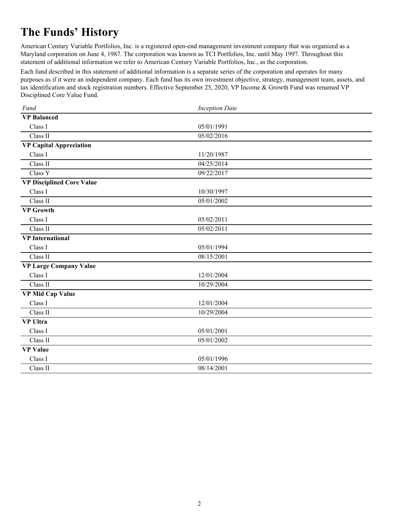# **The Funds' History**

American Century Variable Portfolios, Inc. is a registered open-end management investment company that was organized as a Maryland corporation on June 4, 1987. The corporation was known as TCI Portfolios, Inc. until May 1997. Throughout this statement of additional information we refer to American Century Variable Portfolios, Inc., as the corporation.

Each fund described in this statement of additional information is a separate series of the corporation and operates for many purposes as if it were an independent company. Each fund has its own investment objective, strategy, management team, assets, and tax identification and stock registration numbers. Effective September 25, 2020, VP Income & Growth Fund was renamed VP Disciplined Core Value Fund.

| Fund                             | <b>Inception Date</b> |  |
|----------------------------------|-----------------------|--|
| <b>VP Balanced</b>               |                       |  |
| Class I                          | 05/01/1991            |  |
| Class II                         | 05/02/2016            |  |
| <b>VP Capital Appreciation</b>   |                       |  |
| Class I                          | 11/20/1987            |  |
| Class II                         | 04/25/2014            |  |
| Class Y                          | 09/22/2017            |  |
| <b>VP Disciplined Core Value</b> |                       |  |
| Class I                          | 10/30/1997            |  |
| Class II                         | 05/01/2002            |  |
| <b>VP Growth</b>                 |                       |  |
| Class I                          | 05/02/2011            |  |
| Class II                         | 05/02/2011            |  |
| <b>VP</b> International          |                       |  |
| Class I                          | 05/01/1994            |  |
| Class II                         | 08/15/2001            |  |
| <b>VP Large Company Value</b>    |                       |  |
| Class I                          | 12/01/2004            |  |
| Class II                         | 10/29/2004            |  |
| <b>VP Mid Cap Value</b>          |                       |  |
| Class I                          | 12/01/2004            |  |
| Class II                         | 10/29/2004            |  |
| <b>VP Ultra</b>                  |                       |  |
| Class I                          | 05/01/2001            |  |
| Class II                         | 05/01/2002            |  |
| <b>VP Value</b>                  |                       |  |
| Class I                          | 05/01/1996            |  |
| Class II                         | 08/14/2001            |  |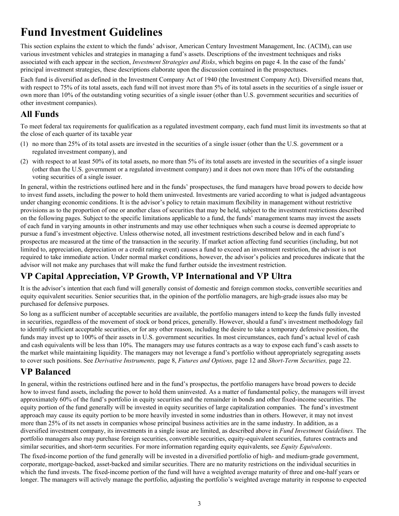# **Fund Investment Guidelines**

This section explains the extent to which the funds' advisor, American Century Investment Management, Inc. (ACIM), can use various investment vehicles and strategies in managing a fund's assets. Descriptions of the investment techniques and risks associated with each appear in the section, *Investment Strategies and Risks*, which begins on page 4. In the case of the funds' principal investment strategies, these descriptions elaborate upon the discussion contained in the prospectuses.

Each fund is diversified as defined in the Investment Company Act of 1940 (the Investment Company Act). Diversified means that, with respect to 75% of its total assets, each fund will not invest more than 5% of its total assets in the securities of a single issuer or own more than 10% of the outstanding voting securities of a single issuer (other than U.S. government securities and securities of other investment companies).

# **All Funds**

To meet federal tax requirements for qualification as a regulated investment company, each fund must limit its investments so that at the close of each quarter of its taxable year

- (1) no more than 25% of its total assets are invested in the securities of a single issuer (other than the U.S. government or a regulated investment company), and
- (2) with respect to at least 50% of its total assets, no more than 5% of its total assets are invested in the securities of a single issuer (other than the U.S. government or a regulated investment company) and it does not own more than 10% of the outstanding voting securities of a single issuer.

In general, within the restrictions outlined here and in the funds' prospectuses, the fund managers have broad powers to decide how to invest fund assets, including the power to hold them uninvested. Investments are varied according to what is judged advantageous under changing economic conditions. It is the advisor's policy to retain maximum flexibility in management without restrictive provisions as to the proportion of one or another class of securities that may be held, subject to the investment restrictions described on the following pages. Subject to the specific limitations applicable to a fund, the funds' management teams may invest the assets of each fund in varying amounts in other instruments and may use other techniques when such a course is deemed appropriate to pursue a fund's investment objective. Unless otherwise noted, all investment restrictions described below and in each fund's prospectus are measured at the time of the transaction in the security. If market action affecting fund securities (including, but not limited to, appreciation, depreciation or a credit rating event) causes a fund to exceed an investment restriction, the advisor is not required to take immediate action. Under normal market conditions, however, the advisor's policies and procedures indicate that the advisor will not make any purchases that will make the fund further outside the investment restriction.

# **VP Capital Appreciation, VP Growth, VP International and VP Ultra**

It is the advisor's intention that each fund will generally consist of domestic and foreign common stocks, convertible securities and equity equivalent securities. Senior securities that, in the opinion of the portfolio managers, are high-grade issues also may be purchased for defensive purposes.

So long as a sufficient number of acceptable securities are available, the portfolio managers intend to keep the funds fully invested in securities, regardless of the movement of stock or bond prices, generally. However, should a fund's investment methodology fail to identify sufficient acceptable securities, or for any other reason, including the desire to take a temporary defensive position, the funds may invest up to 100% of their assets in U.S. government securities. In most circumstances, each fund's actual level of cash and cash equivalents will be less than 10%. The managers may use futures contracts as a way to expose each fund's cash assets to the market while maintaining liquidity. The managers may not leverage a fund's portfolio without appropriately segregating assets to cover such positions. See *Derivative Instruments,* page 8, *Futures and Options,* page 12 and *Short-Term Securities,* page 22.

# **VP Balanced**

In general, within the restrictions outlined here and in the fund's prospectus, the portfolio managers have broad powers to decide how to invest fund assets, including the power to hold them uninvested. As a matter of fundamental policy, the managers will invest approximately 60% of the fund's portfolio in equity securities and the remainder in bonds and other fixed-income securities. The equity portion of the fund generally will be invested in equity securities of large capitalization companies. The fund's investment approach may cause its equity portion to be more heavily invested in some industries than in others. However, it may not invest more than 25% of its net assets in companies whose principal business activities are in the same industry. In addition, as a diversified investment company, its investments in a single issue are limited, as described above in *Fund Investment Guidelines.* The portfolio managers also may purchase foreign securities, convertible securities, equity-equivalent securities, futures contracts and similar securities, and short-term securities. For more information regarding equity equivalents, see *Equity Equivalents*.

The fixed-income portion of the fund generally will be invested in a diversified portfolio of high- and medium-grade government, corporate, mortgage-backed, asset-backed and similar securities. There are no maturity restrictions on the individual securities in which the fund invests. The fixed-income portion of the fund will have a weighted average maturity of three and one-half years or longer. The managers will actively manage the portfolio, adjusting the portfolio's weighted average maturity in response to expected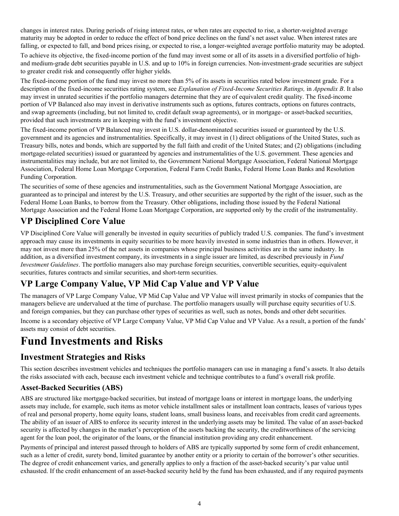changes in interest rates. During periods of rising interest rates, or when rates are expected to rise, a shorter-weighted average maturity may be adopted in order to reduce the effect of bond price declines on the fund's net asset value. When interest rates are falling, or expected to fall, and bond prices rising, or expected to rise, a longer-weighted average portfolio maturity may be adopted.

To achieve its objective, the fixed-income portion of the fund may invest some or all of its assets in a diversified portfolio of highand medium-grade debt securities payable in U.S. and up to 10% in foreign currencies. Non-investment-grade securities are subject to greater credit risk and consequently offer higher yields.

The fixed-income portion of the fund may invest no more than 5% of its assets in securities rated below investment grade. For a description of the fixed-income securities rating system, see *Explanation of Fixed-Income Securities Ratings,* in *Appendix B*. It also may invest in unrated securities if the portfolio managers determine that they are of equivalent credit quality. The fixed-income portion of VP Balanced also may invest in derivative instruments such as options, futures contracts, options on futures contracts, and swap agreements (including, but not limited to, credit default swap agreements), or in mortgage- or asset-backed securities, provided that such investments are in keeping with the fund's investment objective.

The fixed-income portion of VP Balanced may invest in U.S. dollar-denominated securities issued or guaranteed by the U.S. government and its agencies and instrumentalities. Specifically, it may invest in (1) direct obligations of the United States, such as Treasury bills, notes and bonds, which are supported by the full faith and credit of the United States; and (2) obligations (including mortgage-related securities) issued or guaranteed by agencies and instrumentalities of the U.S. government. These agencies and instrumentalities may include, but are not limited to, the Government National Mortgage Association, Federal National Mortgage Association, Federal Home Loan Mortgage Corporation, Federal Farm Credit Banks, Federal Home Loan Banks and Resolution Funding Corporation.

The securities of some of these agencies and instrumentalities, such as the Government National Mortgage Association, are guaranteed as to principal and interest by the U.S. Treasury, and other securities are supported by the right of the issuer, such as the Federal Home Loan Banks, to borrow from the Treasury. Other obligations, including those issued by the Federal National Mortgage Association and the Federal Home Loan Mortgage Corporation, are supported only by the credit of the instrumentality.

# **VP Disciplined Core Value**

VP Disciplined Core Value will generally be invested in equity securities of publicly traded U.S. companies. The fund's investment approach may cause its investments in equity securities to be more heavily invested in some industries than in others. However, it may not invest more than 25% of the net assets in companies whose principal business activities are in the same industry. In addition, as a diversified investment company, its investments in a single issuer are limited, as described previously in *Fund Investment Guidelines*. The portfolio managers also may purchase foreign securities, convertible securities, equity-equivalent securities, futures contracts and similar securities, and short-term securities.

# **VP Large Company Value, VP Mid Cap Value and VP Value**

The managers of VP Large Company Value, VP Mid Cap Value and VP Value will invest primarily in stocks of companies that the managers believe are undervalued at the time of purchase. The portfolio managers usually will purchase equity securities of U.S. and foreign companies, but they can purchase other types of securities as well, such as notes, bonds and other debt securities.

Income is a secondary objective of VP Large Company Value, VP Mid Cap Value and VP Value. As a result, a portion of the funds' assets may consist of debt securities.

# **Fund Investments and Risks**

# **Investment Strategies and Risks**

This section describes investment vehicles and techniques the portfolio managers can use in managing a fund's assets. It also details the risks associated with each, because each investment vehicle and technique contributes to a fund's overall risk profile.

# **Asset-Backed Securities (ABS)**

ABS are structured like mortgage-backed securities, but instead of mortgage loans or interest in mortgage loans, the underlying assets may include, for example, such items as motor vehicle installment sales or installment loan contracts, leases of various types of real and personal property, home equity loans, student loans, small business loans, and receivables from credit card agreements. The ability of an issuer of ABS to enforce its security interest in the underlying assets may be limited. The value of an asset-backed security is affected by changes in the market's perception of the assets backing the security, the creditworthiness of the servicing agent for the loan pool, the originator of the loans, or the financial institution providing any credit enhancement.

Payments of principal and interest passed through to holders of ABS are typically supported by some form of credit enhancement, such as a letter of credit, surety bond, limited guarantee by another entity or a priority to certain of the borrower's other securities. The degree of credit enhancement varies, and generally applies to only a fraction of the asset-backed security's par value until exhausted. If the credit enhancement of an asset-backed security held by the fund has been exhausted, and if any required payments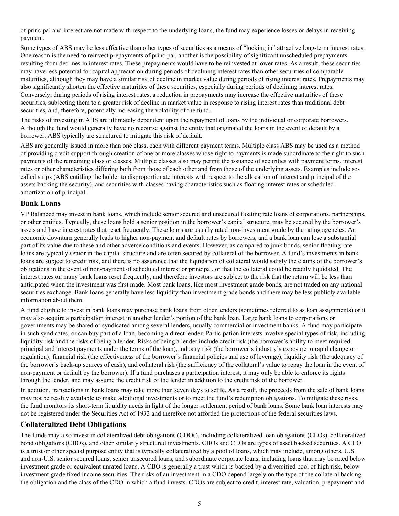of principal and interest are not made with respect to the underlying loans, the fund may experience losses or delays in receiving payment.

Some types of ABS may be less effective than other types of securities as a means of "locking in" attractive long-term interest rates. One reason is the need to reinvest prepayments of principal, another is the possibility of significant unscheduled prepayments resulting from declines in interest rates. These prepayments would have to be reinvested at lower rates. As a result, these securities may have less potential for capital appreciation during periods of declining interest rates than other securities of comparable maturities, although they may have a similar risk of decline in market value during periods of rising interest rates. Prepayments may also significantly shorten the effective maturities of these securities, especially during periods of declining interest rates. Conversely, during periods of rising interest rates, a reduction in prepayments may increase the effective maturities of these securities, subjecting them to a greater risk of decline in market value in response to rising interest rates than traditional debt securities, and, therefore, potentially increasing the volatility of the fund.

The risks of investing in ABS are ultimately dependent upon the repayment of loans by the individual or corporate borrowers. Although the fund would generally have no recourse against the entity that originated the loans in the event of default by a borrower, ABS typically are structured to mitigate this risk of default.

ABS are generally issued in more than one class, each with different payment terms. Multiple class ABS may be used as a method of providing credit support through creation of one or more classes whose right to payments is made subordinate to the right to such payments of the remaining class or classes. Multiple classes also may permit the issuance of securities with payment terms, interest rates or other characteristics differing both from those of each other and from those of the underlying assets. Examples include socalled strips (ABS entitling the holder to disproportionate interests with respect to the allocation of interest and principal of the assets backing the security), and securities with classes having characteristics such as floating interest rates or scheduled amortization of principal.

#### **Bank Loans**

VP Balanced may invest in bank loans, which include senior secured and unsecured floating rate loans of corporations, partnerships, or other entities. Typically, these loans hold a senior position in the borrower's capital structure, may be secured by the borrower's assets and have interest rates that reset frequently. These loans are usually rated non-investment grade by the rating agencies. An economic downturn generally leads to higher non-payment and default rates by borrowers, and a bank loan can lose a substantial part of its value due to these and other adverse conditions and events. However, as compared to junk bonds, senior floating rate loans are typically senior in the capital structure and are often secured by collateral of the borrower. A fund's investments in bank loans are subject to credit risk, and there is no assurance that the liquidation of collateral would satisfy the claims of the borrower's obligations in the event of non-payment of scheduled interest or principal, or that the collateral could be readily liquidated. The interest rates on many bank loans reset frequently, and therefore investors are subject to the risk that the return will be less than anticipated when the investment was first made. Most bank loans, like most investment grade bonds, are not traded on any national securities exchange. Bank loans generally have less liquidity than investment grade bonds and there may be less publicly available information about them.

A fund eligible to invest in bank loans may purchase bank loans from other lenders (sometimes referred to as loan assignments) or it may also acquire a participation interest in another lender's portion of the bank loan. Large bank loans to corporations or governments may be shared or syndicated among several lenders, usually commercial or investment banks. A fund may participate in such syndicates, or can buy part of a loan, becoming a direct lender. Participation interests involve special types of risk, including liquidity risk and the risks of being a lender. Risks of being a lender include credit risk (the borrower's ability to meet required principal and interest payments under the terms of the loan), industry risk (the borrower's industry's exposure to rapid change or regulation), financial risk (the effectiveness of the borrower's financial policies and use of leverage), liquidity risk (the adequacy of the borrower's back-up sources of cash), and collateral risk (the sufficiency of the collateral's value to repay the loan in the event of non-payment or default by the borrower). If a fund purchases a participation interest, it may only be able to enforce its rights through the lender, and may assume the credit risk of the lender in addition to the credit risk of the borrower.

In addition, transactions in bank loans may take more than seven days to settle. As a result, the proceeds from the sale of bank loans may not be readily available to make additional investments or to meet the fund's redemption obligations. To mitigate these risks, the fund monitors its short-term liquidity needs in light of the longer settlement period of bank loans. Some bank loan interests may not be registered under the Securities Act of 1933 and therefore not afforded the protections of the federal securities laws.

## **Collateralized Debt Obligations**

The funds may also invest in collateralized debt obligations (CDOs), including collateralized loan obligations (CLOs), collateralized bond obligations (CBOs), and other similarly structured investments. CBOs and CLOs are types of asset backed securities. A CLO is a trust or other special purpose entity that is typically collateralized by a pool of loans, which may include, among others, U.S. and non-U.S. senior secured loans, senior unsecured loans, and subordinate corporate loans, including loans that may be rated below investment grade or equivalent unrated loans. A CBO is generally a trust which is backed by a diversified pool of high risk, below investment grade fixed income securities. The risks of an investment in a CDO depend largely on the type of the collateral backing the obligation and the class of the CDO in which a fund invests. CDOs are subject to credit, interest rate, valuation, prepayment and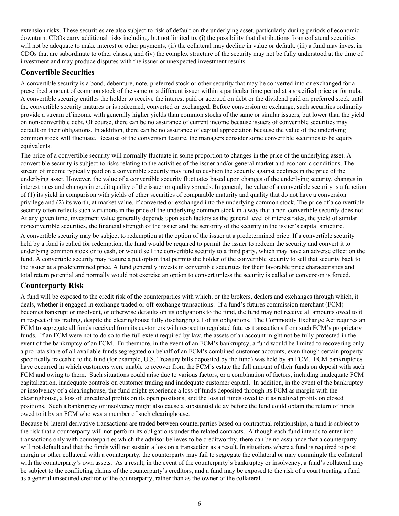extension risks. These securities are also subject to risk of default on the underlying asset, particularly during periods of economic downturn. CDOs carry additional risks including, but not limited to, (i) the possibility that distributions from collateral securities will not be adequate to make interest or other payments, (ii) the collateral may decline in value or default, (iii) a fund may invest in CDOs that are subordinate to other classes, and (iv) the complex structure of the security may not be fully understood at the time of investment and may produce disputes with the issuer or unexpected investment results.

### **Convertible Securities**

A convertible security is a bond, debenture, note, preferred stock or other security that may be converted into or exchanged for a prescribed amount of common stock of the same or a different issuer within a particular time period at a specified price or formula. A convertible security entitles the holder to receive the interest paid or accrued on debt or the dividend paid on preferred stock until the convertible security matures or is redeemed, converted or exchanged. Before conversion or exchange, such securities ordinarily provide a stream of income with generally higher yields than common stocks of the same or similar issuers, but lower than the yield on non-convertible debt. Of course, there can be no assurance of current income because issuers of convertible securities may default on their obligations. In addition, there can be no assurance of capital appreciation because the value of the underlying common stock will fluctuate. Because of the conversion feature, the managers consider some convertible securities to be equity equivalents.

The price of a convertible security will normally fluctuate in some proportion to changes in the price of the underlying asset. A convertible security is subject to risks relating to the activities of the issuer and/or general market and economic conditions. The stream of income typically paid on a convertible security may tend to cushion the security against declines in the price of the underlying asset. However, the value of a convertible security fluctuates based upon changes of the underlying security, changes in interest rates and changes in credit quality of the issuer or quality spreads. In general, the value of a convertible security is a function of (1) its yield in comparison with yields of other securities of comparable maturity and quality that do not have a conversion privilege and (2) its worth, at market value, if converted or exchanged into the underlying common stock. The price of a convertible security often reflects such variations in the price of the underlying common stock in a way that a non-convertible security does not. At any given time, investment value generally depends upon such factors as the general level of interest rates, the yield of similar nonconvertible securities, the financial strength of the issuer and the seniority of the security in the issuer's capital structure.

A convertible security may be subject to redemption at the option of the issuer at a predetermined price. If a convertible security held by a fund is called for redemption, the fund would be required to permit the issuer to redeem the security and convert it to underlying common stock or to cash, or would sell the convertible security to a third party, which may have an adverse effect on the fund. A convertible security may feature a put option that permits the holder of the convertible security to sell that security back to the issuer at a predetermined price. A fund generally invests in convertible securities for their favorable price characteristics and total return potential and normally would not exercise an option to convert unless the security is called or conversion is forced.

## **Counterparty Risk**

A fund will be exposed to the credit risk of the counterparties with which, or the brokers, dealers and exchanges through which, it deals, whether it engaged in exchange traded or off-exchange transactions. If a fund's futures commission merchant (FCM) becomes bankrupt or insolvent, or otherwise defaults on its obligations to the fund, the fund may not receive all amounts owed to it in respect of its trading, despite the clearinghouse fully discharging all of its obligations. The Commodity Exchange Act requires an FCM to segregate all funds received from its customers with respect to regulated futures transactions from such FCM's proprietary funds. If an FCM were not to do so to the full extent required by law, the assets of an account might not be fully protected in the event of the bankruptcy of an FCM. Furthermore, in the event of an FCM's bankruptcy, a fund would be limited to recovering only a pro rata share of all available funds segregated on behalf of an FCM's combined customer accounts, even though certain property specifically traceable to the fund (for example, U.S. Treasury bills deposited by the fund) was held by an FCM. FCM bankruptcies have occurred in which customers were unable to recover from the FCM's estate the full amount of their funds on deposit with such FCM and owing to them. Such situations could arise due to various factors, or a combination of factors, including inadequate FCM capitalization, inadequate controls on customer trading and inadequate customer capital. In addition, in the event of the bankruptcy or insolvency of a clearinghouse, the fund might experience a loss of funds deposited through its FCM as margin with the clearinghouse, a loss of unrealized profits on its open positions, and the loss of funds owed to it as realized profits on closed positions. Such a bankruptcy or insolvency might also cause a substantial delay before the fund could obtain the return of funds owed to it by an FCM who was a member of such clearinghouse.

Because bi-lateral derivative transactions are traded between counterparties based on contractual relationships, a fund is subject to the risk that a counterparty will not perform its obligations under the related contracts. Although each fund intends to enter into transactions only with counterparties which the advisor believes to be creditworthy, there can be no assurance that a counterparty will not default and that the funds will not sustain a loss on a transaction as a result. In situations where a fund is required to post margin or other collateral with a counterparty, the counterparty may fail to segregate the collateral or may commingle the collateral with the counterparty's own assets. As a result, in the event of the counterparty's bankruptcy or insolvency, a fund's collateral may be subject to the conflicting claims of the counterparty's creditors, and a fund may be exposed to the risk of a court treating a fund as a general unsecured creditor of the counterparty, rather than as the owner of the collateral.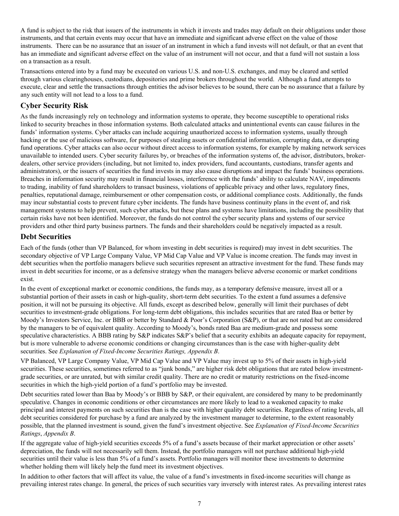A fund is subject to the risk that issuers of the instruments in which it invests and trades may default on their obligations under those instruments, and that certain events may occur that have an immediate and significant adverse effect on the value of those instruments. There can be no assurance that an issuer of an instrument in which a fund invests will not default, or that an event that has an immediate and significant adverse effect on the value of an instrument will not occur, and that a fund will not sustain a loss on a transaction as a result.

Transactions entered into by a fund may be executed on various U.S. and non-U.S. exchanges, and may be cleared and settled through various clearinghouses, custodians, depositories and prime brokers throughout the world. Although a fund attempts to execute, clear and settle the transactions through entities the advisor believes to be sound, there can be no assurance that a failure by any such entity will not lead to a loss to a fund.

# **Cyber Security Risk**

As the funds increasingly rely on technology and information systems to operate, they become susceptible to operational risks linked to security breaches in those information systems. Both calculated attacks and unintentional events can cause failures in the funds' information systems. Cyber attacks can include acquiring unauthorized access to information systems, usually through hacking or the use of malicious software, for purposes of stealing assets or confidential information, corrupting data, or disrupting fund operations. Cyber attacks can also occur without direct access to information systems, for example by making network services unavailable to intended users. Cyber security failures by, or breaches of the information systems of, the advisor, distributors, brokerdealers, other service providers (including, but not limited to, index providers, fund accountants, custodians, transfer agents and administrators), or the issuers of securities the fund invests in may also cause disruptions and impact the funds' business operations. Breaches in information security may result in financial losses, interference with the funds' ability to calculate NAV, impediments to trading, inability of fund shareholders to transact business, violations of applicable privacy and other laws, regulatory fines, penalties, reputational damage, reimbursement or other compensation costs, or additional compliance costs. Additionally, the funds may incur substantial costs to prevent future cyber incidents. The funds have business continuity plans in the event of, and risk management systems to help prevent, such cyber attacks, but these plans and systems have limitations, including the possibility that certain risks have not been identified. Moreover, the funds do not control the cyber security plans and systems of our service providers and other third party business partners. The funds and their shareholders could be negatively impacted as a result.

# **Debt Securities**

Each of the funds (other than VP Balanced, for whom investing in debt securities is required) may invest in debt securities. The secondary objective of VP Large Company Value, VP Mid Cap Value and VP Value is income creation. The funds may invest in debt securities when the portfolio managers believe such securities represent an attractive investment for the fund. These funds may invest in debt securities for income, or as a defensive strategy when the managers believe adverse economic or market conditions exist.

In the event of exceptional market or economic conditions, the funds may, as a temporary defensive measure, invest all or a substantial portion of their assets in cash or high-quality, short-term debt securities. To the extent a fund assumes a defensive position, it will not be pursuing its objective. All funds, except as described below, generally will limit their purchases of debt securities to investment-grade obligations. For long-term debt obligations, this includes securities that are rated Baa or better by Moody's Investors Service, Inc. or BBB or better by Standard & Poor's Corporation (S&P), or that are not rated but are considered by the managers to be of equivalent quality. According to Moody's, bonds rated Baa are medium-grade and possess some speculative characteristics. A BBB rating by S&P indicates S&P's belief that a security exhibits an adequate capacity for repayment, but is more vulnerable to adverse economic conditions or changing circumstances than is the case with higher-quality debt securities. See *Explanation of Fixed-Income Securities Ratings, Appendix B*.

VP Balanced, VP Large Company Value, VP Mid Cap Value and VP Value may invest up to 5% of their assets in high-yield securities. These securities, sometimes referred to as "junk bonds," are higher risk debt obligations that are rated below investmentgrade securities, or are unrated, but with similar credit quality. There are no credit or maturity restrictions on the fixed-income securities in which the high-yield portion of a fund's portfolio may be invested.

Debt securities rated lower than Baa by Moody's or BBB by S&P, or their equivalent, are considered by many to be predominantly speculative. Changes in economic conditions or other circumstances are more likely to lead to a weakened capacity to make principal and interest payments on such securities than is the case with higher quality debt securities. Regardless of rating levels, all debt securities considered for purchase by a fund are analyzed by the investment manager to determine, to the extent reasonably possible, that the planned investment is sound, given the fund's investment objective. See *Explanation of Fixed-Income Securities Ratings*, *Appendix B*.

If the aggregate value of high-yield securities exceeds 5% of a fund's assets because of their market appreciation or other assets' depreciation, the funds will not necessarily sell them. Instead, the portfolio managers will not purchase additional high-yield securities until their value is less than 5% of a fund's assets. Portfolio managers will monitor these investments to determine whether holding them will likely help the fund meet its investment objectives.

In addition to other factors that will affect its value, the value of a fund's investments in fixed-income securities will change as prevailing interest rates change. In general, the prices of such securities vary inversely with interest rates. As prevailing interest rates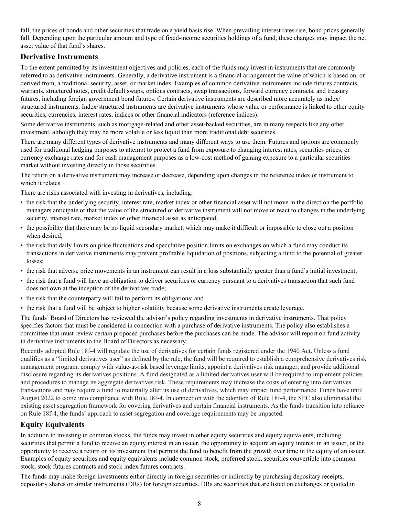fall, the prices of bonds and other securities that trade on a yield basis rise. When prevailing interest rates rise, bond prices generally fall. Depending upon the particular amount and type of fixed-income securities holdings of a fund, these changes may impact the net asset value of that fund's shares.

## **Derivative Instruments**

To the extent permitted by its investment objectives and policies, each of the funds may invest in instruments that are commonly referred to as derivative instruments. Generally, a derivative instrument is a financial arrangement the value of which is based on, or derived from, a traditional security, asset, or market index. Examples of common derivative instruments include futures contracts, warrants, structured notes, credit default swaps, options contracts, swap transactions, forward currency contracts, and treasury futures, including foreign government bond futures. Certain derivative instruments are described more accurately as index/ structured instruments. Index/structured instruments are derivative instruments whose value or performance is linked to other equity securities, currencies, interest rates, indices or other financial indicators (reference indices).

Some derivative instruments, such as mortgage-related and other asset-backed securities, are in many respects like any other investment, although they may be more volatile or less liquid than more traditional debt securities.

There are many different types of derivative instruments and many different ways to use them. Futures and options are commonly used for traditional hedging purposes to attempt to protect a fund from exposure to changing interest rates, securities prices, or currency exchange rates and for cash management purposes as a low-cost method of gaining exposure to a particular securities market without investing directly in those securities.

The return on a derivative instrument may increase or decrease, depending upon changes in the reference index or instrument to which it relates.

There are risks associated with investing in derivatives, including:

- the risk that the underlying security, interest rate, market index or other financial asset will not move in the direction the portfolio managers anticipate or that the value of the structured or derivative instrument will not move or react to changes in the underlying security, interest rate, market index or other financial asset as anticipated;
- the possibility that there may be no liquid secondary market, which may make it difficult or impossible to close out a position when desired;
- the risk that daily limits on price fluctuations and speculative position limits on exchanges on which a fund may conduct its transactions in derivative instruments may prevent profitable liquidation of positions, subjecting a fund to the potential of greater losses;
- the risk that adverse price movements in an instrument can result in a loss substantially greater than a fund's initial investment;
- the risk that a fund will have an obligation to deliver securities or currency pursuant to a derivatives transaction that such fund does not own at the inception of the derivatives trade;
- the risk that the counterparty will fail to perform its obligations; and
- the risk that a fund will be subject to higher volatility because some derivative instruments create leverage.

The funds' Board of Directors has reviewed the advisor's policy regarding investments in derivative instruments. That policy specifies factors that must be considered in connection with a purchase of derivative instruments. The policy also establishes a committee that must review certain proposed purchases before the purchases can be made. The advisor will report on fund activity in derivative instruments to the Board of Directors as necessary.

Recently adopted Rule 18f-4 will regulate the use of derivatives for certain funds registered under the 1940 Act. Unless a fund qualifies as a "limited derivatives user" as defined by the rule, the fund will be required to establish a comprehensive derivatives risk management program, comply with value-at-risk based leverage limits, appoint a derivatives risk manager, and provide additional disclosure regarding its derivatives positions. A fund designated as a limited derivatives user will be required to implement policies and procedures to manage its aggregate derivatives risk. These requirements may increase the costs of entering into derivatives transactions and may require a fund to materially alter its use of derivatives, which may impact fund performance. Funds have until August 2022 to come into compliance with Rule 18f-4. In connection with the adoption of Rule 18f-4, the SEC also eliminated the existing asset segregation framework for covering derivatives and certain financial instruments. As the funds transition into reliance on Rule 18f-4, the funds' approach to asset segregation and coverage requirements may be impacted.

## **Equity Equivalents**

In addition to investing in common stocks, the funds may invest in other equity securities and equity equivalents, including securities that permit a fund to receive an equity interest in an issuer, the opportunity to acquire an equity interest in an issuer, or the opportunity to receive a return on its investment that permits the fund to benefit from the growth over time in the equity of an issuer. Examples of equity securities and equity equivalents include common stock, preferred stock, securities convertible into common stock, stock futures contracts and stock index futures contracts.

The funds may make foreign investments either directly in foreign securities or indirectly by purchasing depositary receipts, depositary shares or similar instruments (DRs) for foreign securities. DRs are securities that are listed on exchanges or quoted in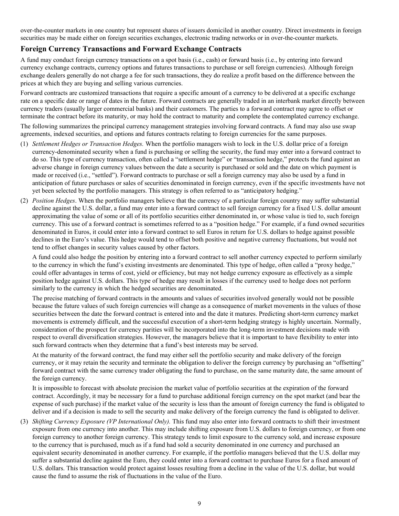over-the-counter markets in one country but represent shares of issuers domiciled in another country. Direct investments in foreign securities may be made either on foreign securities exchanges, electronic trading networks or in over-the-counter markets.

# **Foreign Currency Transactions and Forward Exchange Contracts**

A fund may conduct foreign currency transactions on a spot basis (i.e., cash) or forward basis (i.e., by entering into forward currency exchange contracts, currency options and futures transactions to purchase or sell foreign currencies). Although foreign exchange dealers generally do not charge a fee for such transactions, they do realize a profit based on the difference between the prices at which they are buying and selling various currencies.

Forward contracts are customized transactions that require a specific amount of a currency to be delivered at a specific exchange rate on a specific date or range of dates in the future. Forward contracts are generally traded in an interbank market directly between currency traders (usually larger commercial banks) and their customers. The parties to a forward contract may agree to offset or terminate the contract before its maturity, or may hold the contract to maturity and complete the contemplated currency exchange.

The following summarizes the principal currency management strategies involving forward contracts. A fund may also use swap agreements, indexed securities, and options and futures contracts relating to foreign currencies for the same purposes.

- (1) *Settlement Hedges or Transaction Hedges.* When the portfolio managers wish to lock in the U.S. dollar price of a foreign currency-denominated security when a fund is purchasing or selling the security, the fund may enter into a forward contract to do so. This type of currency transaction, often called a "settlement hedge" or "transaction hedge," protects the fund against an adverse change in foreign currency values between the date a security is purchased or sold and the date on which payment is made or received (i.e., "settled"). Forward contracts to purchase or sell a foreign currency may also be used by a fund in anticipation of future purchases or sales of securities denominated in foreign currency, even if the specific investments have not yet been selected by the portfolio managers. This strategy is often referred to as "anticipatory hedging."
- (2) *Position Hedges*. When the portfolio managers believe that the currency of a particular foreign country may suffer substantial decline against the U.S. dollar, a fund may enter into a forward contract to sell foreign currency for a fixed U.S. dollar amount approximating the value of some or all of its portfolio securities either denominated in, or whose value is tied to, such foreign currency. This use of a forward contract is sometimes referred to as a "position hedge." For example, if a fund owned securities denominated in Euros, it could enter into a forward contract to sell Euros in return for U.S. dollars to hedge against possible declines in the Euro's value. This hedge would tend to offset both positive and negative currency fluctuations, but would not tend to offset changes in security values caused by other factors.

A fund could also hedge the position by entering into a forward contract to sell another currency expected to perform similarly to the currency in which the fund's existing investments are denominated. This type of hedge, often called a "proxy hedge," could offer advantages in terms of cost, yield or efficiency, but may not hedge currency exposure as effectively as a simple position hedge against U.S. dollars. This type of hedge may result in losses if the currency used to hedge does not perform similarly to the currency in which the hedged securities are denominated.

The precise matching of forward contracts in the amounts and values of securities involved generally would not be possible because the future values of such foreign currencies will change as a consequence of market movements in the values of those securities between the date the forward contract is entered into and the date it matures. Predicting short-term currency market movements is extremely difficult, and the successful execution of a short-term hedging strategy is highly uncertain. Normally, consideration of the prospect for currency parities will be incorporated into the long-term investment decisions made with respect to overall diversification strategies. However, the managers believe that it is important to have flexibility to enter into such forward contracts when they determine that a fund's best interests may be served.

At the maturity of the forward contract, the fund may either sell the portfolio security and make delivery of the foreign currency, or it may retain the security and terminate the obligation to deliver the foreign currency by purchasing an "offsetting" forward contract with the same currency trader obligating the fund to purchase, on the same maturity date, the same amount of the foreign currency.

It is impossible to forecast with absolute precision the market value of portfolio securities at the expiration of the forward contract. Accordingly, it may be necessary for a fund to purchase additional foreign currency on the spot market (and bear the expense of such purchase) if the market value of the security is less than the amount of foreign currency the fund is obligated to deliver and if a decision is made to sell the security and make delivery of the foreign currency the fund is obligated to deliver.

(3) *Shifting Currency Exposure (VP International Only).* This fund may also enter into forward contracts to shift their investment exposure from one currency into another. This may include shifting exposure from U.S. dollars to foreign currency, or from one foreign currency to another foreign currency. This strategy tends to limit exposure to the currency sold, and increase exposure to the currency that is purchased, much as if a fund had sold a security denominated in one currency and purchased an equivalent security denominated in another currency. For example, if the portfolio managers believed that the U.S. dollar may suffer a substantial decline against the Euro, they could enter into a forward contract to purchase Euros for a fixed amount of U.S. dollars. This transaction would protect against losses resulting from a decline in the value of the U.S. dollar, but would cause the fund to assume the risk of fluctuations in the value of the Euro.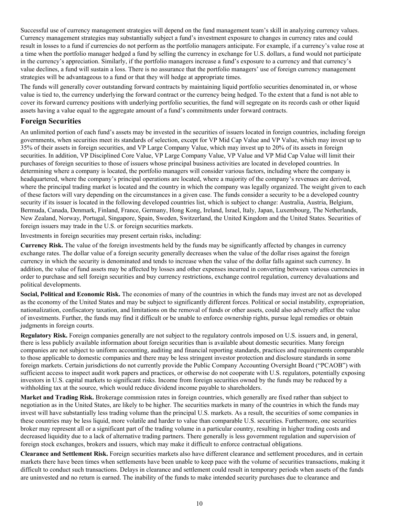Successful use of currency management strategies will depend on the fund management team's skill in analyzing currency values. Currency management strategies may substantially subject a fund's investment exposure to changes in currency rates and could result in losses to a fund if currencies do not perform as the portfolio managers anticipate. For example, if a currency's value rose at a time when the portfolio manager hedged a fund by selling the currency in exchange for U.S. dollars, a fund would not participate in the currency's appreciation. Similarly, if the portfolio managers increase a fund's exposure to a currency and that currency's value declines, a fund will sustain a loss. There is no assurance that the portfolio managers' use of foreign currency management strategies will be advantageous to a fund or that they will hedge at appropriate times.

The funds will generally cover outstanding forward contracts by maintaining liquid portfolio securities denominated in, or whose value is tied to, the currency underlying the forward contract or the currency being hedged. To the extent that a fund is not able to cover its forward currency positions with underlying portfolio securities, the fund will segregate on its records cash or other liquid assets having a value equal to the aggregate amount of a fund's commitments under forward contracts.

### **Foreign Securities**

An unlimited portion of each fund's assets may be invested in the securities of issuers located in foreign countries, including foreign governments, when securities meet its standards of selection, except for VP Mid Cap Value and VP Value, which may invest up to 35% of their assets in foreign securities, and VP Large Company Value, which may invest up to 20% of its assets in foreign securities. In addition, VP Disciplined Core Value, VP Large Company Value, VP Value and VP Mid Cap Value will limit their purchases of foreign securities to those of issuers whose principal business activities are located in developed countries. In determining where a company is located, the portfolio managers will consider various factors, including where the company is headquartered, where the company's principal operations are located, where a majority of the company's revenues are derived, where the principal trading market is located and the country in which the company was legally organized. The weight given to each of these factors will vary depending on the circumstances in a given case. The funds consider a security to be a developed country security if its issuer is located in the following developed countries list, which is subject to change: Australia, Austria, Belgium, Bermuda, Canada, Denmark, Finland, France, Germany, Hong Kong, Ireland, Israel, Italy, Japan, Luxembourg, The Netherlands, New Zealand, Norway, Portugal, Singapore, Spain, Sweden, Switzerland, the United Kingdom and the United States. Securities of foreign issuers may trade in the U.S. or foreign securities markets.

Investments in foreign securities may present certain risks, including:

**Currency Risk.** The value of the foreign investments held by the funds may be significantly affected by changes in currency exchange rates. The dollar value of a foreign security generally decreases when the value of the dollar rises against the foreign currency in which the security is denominated and tends to increase when the value of the dollar falls against such currency. In addition, the value of fund assets may be affected by losses and other expenses incurred in converting between various currencies in order to purchase and sell foreign securities and buy currency restrictions, exchange control regulation, currency devaluations and political developments.

**Social, Political and Economic Risk.** The economies of many of the countries in which the funds may invest are not as developed as the economy of the United States and may be subject to significantly different forces. Political or social instability, expropriation, nationalization, confiscatory taxation, and limitations on the removal of funds or other assets, could also adversely affect the value of investments. Further, the funds may find it difficult or be unable to enforce ownership rights, pursue legal remedies or obtain judgments in foreign courts.

**Regulatory Risk.** Foreign companies generally are not subject to the regulatory controls imposed on U.S. issuers and, in general, there is less publicly available information about foreign securities than is available about domestic securities. Many foreign companies are not subject to uniform accounting, auditing and financial reporting standards, practices and requirements comparable to those applicable to domestic companies and there may be less stringent investor protection and disclosure standards in some foreign markets. Certain jurisdictions do not currently provide the Public Company Accounting Oversight Board ("PCAOB") with sufficient access to inspect audit work papers and practices, or otherwise do not cooperate with U.S. regulators, potentially exposing investors in U.S. capital markets to significant risks. Income from foreign securities owned by the funds may be reduced by a withholding tax at the source, which would reduce dividend income payable to shareholders.

**Market and Trading Risk.** Brokerage commission rates in foreign countries, which generally are fixed rather than subject to negotiation as in the United States, are likely to be higher. The securities markets in many of the countries in which the funds may invest will have substantially less trading volume than the principal U.S. markets. As a result, the securities of some companies in these countries may be less liquid, more volatile and harder to value than comparable U.S. securities. Furthermore, one securities broker may represent all or a significant part of the trading volume in a particular country, resulting in higher trading costs and decreased liquidity due to a lack of alternative trading partners. There generally is less government regulation and supervision of foreign stock exchanges, brokers and issuers, which may make it difficult to enforce contractual obligations.

**Clearance and Settlement Risk.** Foreign securities markets also have different clearance and settlement procedures, and in certain markets there have been times when settlements have been unable to keep pace with the volume of securities transactions, making it difficult to conduct such transactions. Delays in clearance and settlement could result in temporary periods when assets of the funds are uninvested and no return is earned. The inability of the funds to make intended security purchases due to clearance and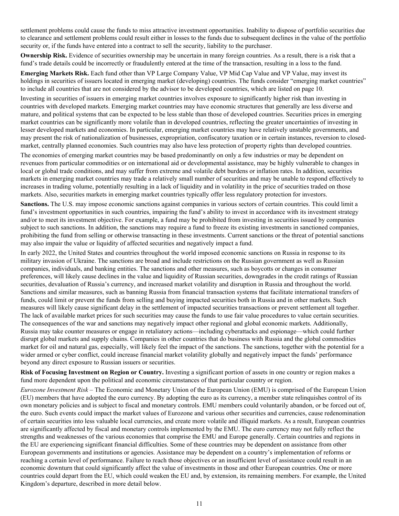settlement problems could cause the funds to miss attractive investment opportunities. Inability to dispose of portfolio securities due to clearance and settlement problems could result either in losses to the funds due to subsequent declines in the value of the portfolio security or, if the funds have entered into a contract to sell the security, liability to the purchaser.

**Ownership Risk.** Evidence of securities ownership may be uncertain in many foreign countries. As a result, there is a risk that a fund's trade details could be incorrectly or fraudulently entered at the time of the transaction, resulting in a loss to the fund.

**Emerging Markets Risk.** Each fund other than VP Large Company Value, VP Mid Cap Value and VP Value, may invest its holdings in securities of issuers located in emerging market (developing) countries. The funds consider "emerging market countries" to include all countries that are not considered by the advisor to be developed countries, which are listed on page 10.

Investing in securities of issuers in emerging market countries involves exposure to significantly higher risk than investing in countries with developed markets. Emerging market countries may have economic structures that generally are less diverse and mature, and political systems that can be expected to be less stable than those of developed countries. Securities prices in emerging market countries can be significantly more volatile than in developed countries, reflecting the greater uncertainties of investing in lesser developed markets and economies. In particular, emerging market countries may have relatively unstable governments, and may present the risk of nationalization of businesses, expropriation, confiscatory taxation or in certain instances, reversion to closedmarket, centrally planned economies. Such countries may also have less protection of property rights than developed countries.

The economies of emerging market countries may be based predominantly on only a few industries or may be dependent on revenues from particular commodities or on international aid or developmental assistance, may be highly vulnerable to changes in local or global trade conditions, and may suffer from extreme and volatile debt burdens or inflation rates. In addition, securities markets in emerging market countries may trade a relatively small number of securities and may be unable to respond effectively to increases in trading volume, potentially resulting in a lack of liquidity and in volatility in the price of securities traded on those markets. Also, securities markets in emerging market countries typically offer less regulatory protection for investors.

**Sanctions.** The U.S. may impose economic sanctions against companies in various sectors of certain countries. This could limit a fund's investment opportunities in such countries, impairing the fund's ability to invest in accordance with its investment strategy and/or to meet its investment objective. For example, a fund may be prohibited from investing in securities issued by companies subject to such sanctions. In addition, the sanctions may require a fund to freeze its existing investments in sanctioned companies, prohibiting the fund from selling or otherwise transacting in these investments. Current sanctions or the threat of potential sanctions may also impair the value or liquidity of affected securities and negatively impact a fund.

In early 2022, the United States and countries throughout the world imposed economic sanctions on Russia in response to its military invasion of Ukraine. The sanctions are broad and include restrictions on the Russian government as well as Russian companies, individuals, and banking entities. The sanctions and other measures, such as boycotts or changes in consumer preferences, will likely cause declines in the value and liquidity of Russian securities, downgrades in the credit ratings of Russian securities, devaluation of Russia's currency, and increased market volatility and disruption in Russia and throughout the world. Sanctions and similar measures, such as banning Russia from financial transaction systems that facilitate international transfers of funds, could limit or prevent the funds from selling and buying impacted securities both in Russia and in other markets. Such measures will likely cause significant delay in the settlement of impacted securities transactions or prevent settlement all together. The lack of available market prices for such securities may cause the funds to use fair value procedures to value certain securities. The consequences of the war and sanctions may negatively impact other regional and global economic markets. Additionally, Russia may take counter measures or engage in retaliatory actions—including cyberattacks and espionage—which could further disrupt global markets and supply chains. Companies in other countries that do business with Russia and the global commodities market for oil and natural gas, especially, will likely feel the impact of the sanctions. The sanctions, together with the potential for a wider armed or cyber conflict, could increase financial market volatility globally and negatively impact the funds' performance beyond any direct exposure to Russian issuers or securities.

**Risk of Focusing Investment on Region or Country.** Investing a significant portion of assets in one country or region makes a fund more dependent upon the political and economic circumstances of that particular country or region.

*Eurozone Investment Risk –* The Economic and Monetary Union of the European Union (EMU) is comprised of the European Union (EU) members that have adopted the euro currency. By adopting the euro as its currency, a member state relinquishes control of its own monetary policies and is subject to fiscal and monetary controls. EMU members could voluntarily abandon, or be forced out of, the euro. Such events could impact the market values of Eurozone and various other securities and currencies, cause redenomination of certain securities into less valuable local currencies, and create more volatile and illiquid markets. As a result, European countries are significantly affected by fiscal and monetary controls implemented by the EMU. The euro currency may not fully reflect the strengths and weaknesses of the various economies that comprise the EMU and Europe generally. Certain countries and regions in the EU are experiencing significant financial difficulties. Some of these countries may be dependent on assistance from other European governments and institutions or agencies. Assistance may be dependent on a country's implementation of reforms or reaching a certain level of performance. Failure to reach those objectives or an insufficient level of assistance could result in an economic downturn that could significantly affect the value of investments in those and other European countries. One or more countries could depart from the EU, which could weaken the EU and, by extension, its remaining members. For example, the United Kingdom's departure, described in more detail below.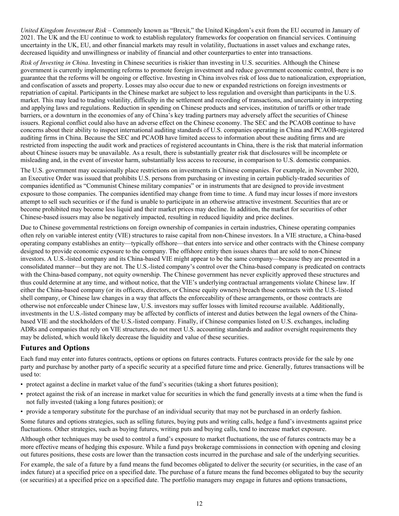*United Kingdom Investment Risk –* Commonly known as "Brexit," the United Kingdom's exit from the EU occurred in January of 2021. The UK and the EU continue to work to establish regulatory frameworks for cooperation on financial services. Continuing uncertainty in the UK, EU, and other financial markets may result in volatility, fluctuations in asset values and exchange rates, decreased liquidity and unwillingness or inability of financial and other counterparties to enter into transactions.

*Risk of Investing in China*. Investing in Chinese securities is riskier than investing in U.S. securities. Although the Chinese government is currently implementing reforms to promote foreign investment and reduce government economic control, there is no guarantee that the reforms will be ongoing or effective. Investing in China involves risk of loss due to nationalization, expropriation, and confiscation of assets and property. Losses may also occur due to new or expanded restrictions on foreign investments or repatriation of capital. Participants in the Chinese market are subject to less regulation and oversight than participants in the U.S. market. This may lead to trading volatility, difficulty in the settlement and recording of transactions, and uncertainty in interpreting and applying laws and regulations. Reduction in spending on Chinese products and services, institution of tariffs or other trade barriers, or a downturn in the economies of any of China's key trading partners may adversely affect the securities of Chinese issuers. Regional conflict could also have an adverse effect on the Chinese economy. The SEC and the PCAOB continue to have concerns about their ability to inspect international auditing standards of U.S. companies operating in China and PCAOB-registered auditing firms in China. Because the SEC and PCAOB have limited access to information about these auditing firms and are restricted from inspecting the audit work and practices of registered accountants in China, there is the risk that material information about Chinese issuers may be unavailable. As a result, there is substantially greater risk that disclosures will be incomplete or misleading and, in the event of investor harm, substantially less access to recourse, in comparison to U.S. domestic companies.

The U.S. government may occasionally place restrictions on investments in Chinese companies. For example, in November 2020, an Executive Order was issued that prohibits U.S. persons from purchasing or investing in certain publicly-traded securities of companies identified as "Communist Chinese military companies" or in instruments that are designed to provide investment exposure to those companies. The companies identified may change from time to time. A fund may incur losses if more investors attempt to sell such securities or if the fund is unable to participate in an otherwise attractive investment. Securities that are or become prohibited may become less liquid and their market prices may decline. In addition, the market for securities of other Chinese-based issuers may also be negatively impacted, resulting in reduced liquidity and price declines.

Due to Chinese governmental restrictions on foreign ownership of companies in certain industries, Chinese operating companies often rely on variable interest entity (VIE) structures to raise capital from non-Chinese investors. In a VIE structure, a China-based operating company establishes an entity—typically offshore—that enters into service and other contracts with the Chinese company designed to provide economic exposure to the company. The offshore entity then issues shares that are sold to non-Chinese investors. A U.S.-listed company and its China-based VIE might appear to be the same company—because they are presented in a consolidated manner—but they are not. The U.S.-listed company's control over the China-based company is predicated on contracts with the China-based company, not equity ownership. The Chinese government has never explicitly approved these structures and thus could determine at any time, and without notice, that the VIE's underlying contractual arrangements violate Chinese law. If either the China-based company (or its officers, directors, or Chinese equity owners) breach those contracts with the U.S.-listed shell company, or Chinese law changes in a way that affects the enforceability of these arrangements, or those contracts are otherwise not enforceable under Chinese law, U.S. investors may suffer losses with limited recourse available. Additionally, investments in the U.S.-listed company may be affected by conflicts of interest and duties between the legal owners of the Chinabased VIE and the stockholders of the U.S.-listed company. Finally, if Chinese companies listed on U.S. exchanges, including ADRs and companies that rely on VIE structures, do not meet U.S. accounting standards and auditor oversight requirements they may be delisted, which would likely decrease the liquidity and value of these securities.

## **Futures and Options**

Each fund may enter into futures contracts, options or options on futures contracts. Futures contracts provide for the sale by one party and purchase by another party of a specific security at a specified future time and price. Generally, futures transactions will be used to:

- protect against a decline in market value of the fund's securities (taking a short futures position);
- protect against the risk of an increase in market value for securities in which the fund generally invests at a time when the fund is not fully invested (taking a long futures position); or
- provide a temporary substitute for the purchase of an individual security that may not be purchased in an orderly fashion.

Some futures and options strategies, such as selling futures, buying puts and writing calls, hedge a fund's investments against price fluctuations. Other strategies, such as buying futures, writing puts and buying calls, tend to increase market exposure.

Although other techniques may be used to control a fund's exposure to market fluctuations, the use of futures contracts may be a more effective means of hedging this exposure. While a fund pays brokerage commissions in connection with opening and closing out futures positions, these costs are lower than the transaction costs incurred in the purchase and sale of the underlying securities.

For example, the sale of a future by a fund means the fund becomes obligated to deliver the security (or securities, in the case of an index future) at a specified price on a specified date. The purchase of a future means the fund becomes obligated to buy the security (or securities) at a specified price on a specified date. The portfolio managers may engage in futures and options transactions,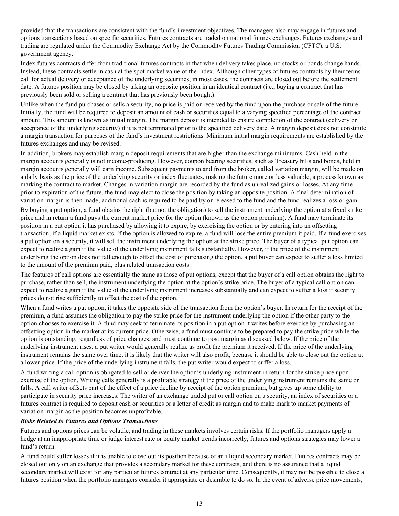provided that the transactions are consistent with the fund's investment objectives. The managers also may engage in futures and options transactions based on specific securities. Futures contracts are traded on national futures exchanges. Futures exchanges and trading are regulated under the Commodity Exchange Act by the Commodity Futures Trading Commission (CFTC), a U.S. government agency.

Index futures contracts differ from traditional futures contracts in that when delivery takes place, no stocks or bonds change hands. Instead, these contracts settle in cash at the spot market value of the index. Although other types of futures contracts by their terms call for actual delivery or acceptance of the underlying securities, in most cases, the contracts are closed out before the settlement date. A futures position may be closed by taking an opposite position in an identical contract (i.e., buying a contract that has previously been sold or selling a contract that has previously been bought).

Unlike when the fund purchases or sells a security, no price is paid or received by the fund upon the purchase or sale of the future. Initially, the fund will be required to deposit an amount of cash or securities equal to a varying specified percentage of the contract amount. This amount is known as initial margin. The margin deposit is intended to ensure completion of the contract (delivery or acceptance of the underlying security) if it is not terminated prior to the specified delivery date. A margin deposit does not constitute a margin transaction for purposes of the fund's investment restrictions. Minimum initial margin requirements are established by the futures exchanges and may be revised.

In addition, brokers may establish margin deposit requirements that are higher than the exchange minimums. Cash held in the margin accounts generally is not income-producing. However, coupon bearing securities, such as Treasury bills and bonds, held in margin accounts generally will earn income. Subsequent payments to and from the broker, called variation margin, will be made on a daily basis as the price of the underlying security or index fluctuates, making the future more or less valuable, a process known as marking the contract to market. Changes in variation margin are recorded by the fund as unrealized gains or losses. At any time prior to expiration of the future, the fund may elect to close the position by taking an opposite position. A final determination of variation margin is then made; additional cash is required to be paid by or released to the fund and the fund realizes a loss or gain.

By buying a put option, a fund obtains the right (but not the obligation) to sell the instrument underlying the option at a fixed strike price and in return a fund pays the current market price for the option (known as the option premium). A fund may terminate its position in a put option it has purchased by allowing it to expire, by exercising the option or by entering into an offsetting transaction, if a liquid market exists. If the option is allowed to expire, a fund will lose the entire premium it paid. If a fund exercises a put option on a security, it will sell the instrument underlying the option at the strike price. The buyer of a typical put option can expect to realize a gain if the value of the underlying instrument falls substantially. However, if the price of the instrument underlying the option does not fall enough to offset the cost of purchasing the option, a put buyer can expect to suffer a loss limited to the amount of the premium paid, plus related transaction costs.

The features of call options are essentially the same as those of put options, except that the buyer of a call option obtains the right to purchase, rather than sell, the instrument underlying the option at the option's strike price. The buyer of a typical call option can expect to realize a gain if the value of the underlying instrument increases substantially and can expect to suffer a loss if security prices do not rise sufficiently to offset the cost of the option.

When a fund writes a put option, it takes the opposite side of the transaction from the option's buyer. In return for the receipt of the premium, a fund assumes the obligation to pay the strike price for the instrument underlying the option if the other party to the option chooses to exercise it. A fund may seek to terminate its position in a put option it writes before exercise by purchasing an offsetting option in the market at its current price. Otherwise, a fund must continue to be prepared to pay the strike price while the option is outstanding, regardless of price changes, and must continue to post margin as discussed below. If the price of the underlying instrument rises, a put writer would generally realize as profit the premium it received. If the price of the underlying instrument remains the same over time, it is likely that the writer will also profit, because it should be able to close out the option at a lower price. If the price of the underlying instrument falls, the put writer would expect to suffer a loss.

A fund writing a call option is obligated to sell or deliver the option's underlying instrument in return for the strike price upon exercise of the option. Writing calls generally is a profitable strategy if the price of the underlying instrument remains the same or falls. A call writer offsets part of the effect of a price decline by receipt of the option premium, but gives up some ability to participate in security price increases. The writer of an exchange traded put or call option on a security, an index of securities or a futures contract is required to deposit cash or securities or a letter of credit as margin and to make mark to market payments of variation margin as the position becomes unprofitable.

#### *Risks Related to Futures and Options Transactions*

Futures and options prices can be volatile, and trading in these markets involves certain risks. If the portfolio managers apply a hedge at an inappropriate time or judge interest rate or equity market trends incorrectly, futures and options strategies may lower a fund's return.

A fund could suffer losses if it is unable to close out its position because of an illiquid secondary market. Futures contracts may be closed out only on an exchange that provides a secondary market for these contracts, and there is no assurance that a liquid secondary market will exist for any particular futures contract at any particular time. Consequently, it may not be possible to close a futures position when the portfolio managers consider it appropriate or desirable to do so. In the event of adverse price movements,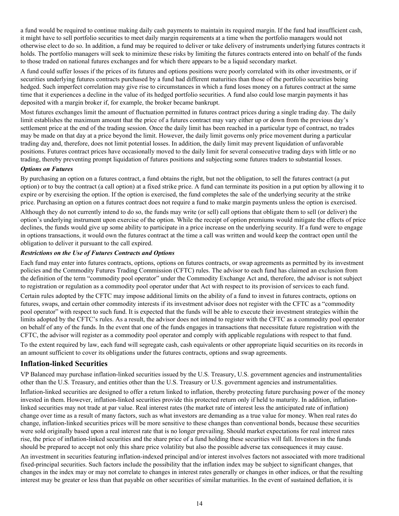a fund would be required to continue making daily cash payments to maintain its required margin. If the fund had insufficient cash, it might have to sell portfolio securities to meet daily margin requirements at a time when the portfolio managers would not otherwise elect to do so. In addition, a fund may be required to deliver or take delivery of instruments underlying futures contracts it holds. The portfolio managers will seek to minimize these risks by limiting the futures contracts entered into on behalf of the funds to those traded on national futures exchanges and for which there appears to be a liquid secondary market.

A fund could suffer losses if the prices of its futures and options positions were poorly correlated with its other investments, or if securities underlying futures contracts purchased by a fund had different maturities than those of the portfolio securities being hedged. Such imperfect correlation may give rise to circumstances in which a fund loses money on a futures contract at the same time that it experiences a decline in the value of its hedged portfolio securities. A fund also could lose margin payments it has deposited with a margin broker if, for example, the broker became bankrupt.

Most futures exchanges limit the amount of fluctuation permitted in futures contract prices during a single trading day. The daily limit establishes the maximum amount that the price of a futures contract may vary either up or down from the previous day's settlement price at the end of the trading session. Once the daily limit has been reached in a particular type of contract, no trades may be made on that day at a price beyond the limit. However, the daily limit governs only price movement during a particular trading day and, therefore, does not limit potential losses. In addition, the daily limit may prevent liquidation of unfavorable positions. Futures contract prices have occasionally moved to the daily limit for several consecutive trading days with little or no trading, thereby preventing prompt liquidation of futures positions and subjecting some futures traders to substantial losses.

#### *Options on Futures*

By purchasing an option on a futures contract, a fund obtains the right, but not the obligation, to sell the futures contract (a put option) or to buy the contract (a call option) at a fixed strike price. A fund can terminate its position in a put option by allowing it to expire or by exercising the option. If the option is exercised, the fund completes the sale of the underlying security at the strike price. Purchasing an option on a futures contract does not require a fund to make margin payments unless the option is exercised.

Although they do not currently intend to do so, the funds may write (or sell) call options that obligate them to sell (or deliver) the option's underlying instrument upon exercise of the option. While the receipt of option premiums would mitigate the effects of price declines, the funds would give up some ability to participate in a price increase on the underlying security. If a fund were to engage in options transactions, it would own the futures contract at the time a call was written and would keep the contract open until the obligation to deliver it pursuant to the call expired.

#### *Restrictions on the Use of Futures Contracts and Options*

Each fund may enter into futures contracts, options, options on futures contracts, or swap agreements as permitted by its investment policies and the Commodity Futures Trading Commission (CFTC) rules. The advisor to each fund has claimed an exclusion from the definition of the term "commodity pool operator" under the Commodity Exchange Act and, therefore, the advisor is not subject to registration or regulation as a commodity pool operator under that Act with respect to its provision of services to each fund.

Certain rules adopted by the CFTC may impose additional limits on the ability of a fund to invest in futures contracts, options on futures, swaps, and certain other commodity interests if its investment advisor does not register with the CFTC as a "commodity pool operator" with respect to such fund. It is expected that the funds will be able to execute their investment strategies within the limits adopted by the CFTC's rules. As a result, the advisor does not intend to register with the CFTC as a commodity pool operator on behalf of any of the funds. In the event that one of the funds engages in transactions that necessitate future registration with the CFTC, the advisor will register as a commodity pool operator and comply with applicable regulations with respect to that fund.

To the extent required by law, each fund will segregate cash, cash equivalents or other appropriate liquid securities on its records in an amount sufficient to cover its obligations under the futures contracts, options and swap agreements.

#### **Inflation-linked Securities**

VP Balanced may purchase inflation-linked securities issued by the U.S. Treasury, U.S. government agencies and instrumentalities other than the U.S. Treasury, and entities other than the U.S. Treasury or U.S. government agencies and instrumentalities.

Inflation-linked securities are designed to offer a return linked to inflation, thereby protecting future purchasing power of the money invested in them. However, inflation-linked securities provide this protected return only if held to maturity. In addition, inflationlinked securities may not trade at par value. Real interest rates (the market rate of interest less the anticipated rate of inflation) change over time as a result of many factors, such as what investors are demanding as a true value for money. When real rates do change, inflation-linked securities prices will be more sensitive to these changes than conventional bonds, because these securities were sold originally based upon a real interest rate that is no longer prevailing. Should market expectations for real interest rates rise, the price of inflation-linked securities and the share price of a fund holding these securities will fall. Investors in the funds should be prepared to accept not only this share price volatility but also the possible adverse tax consequences it may cause.

An investment in securities featuring inflation-indexed principal and/or interest involves factors not associated with more traditional fixed-principal securities. Such factors include the possibility that the inflation index may be subject to significant changes, that changes in the index may or may not correlate to changes in interest rates generally or changes in other indices, or that the resulting interest may be greater or less than that payable on other securities of similar maturities. In the event of sustained deflation, it is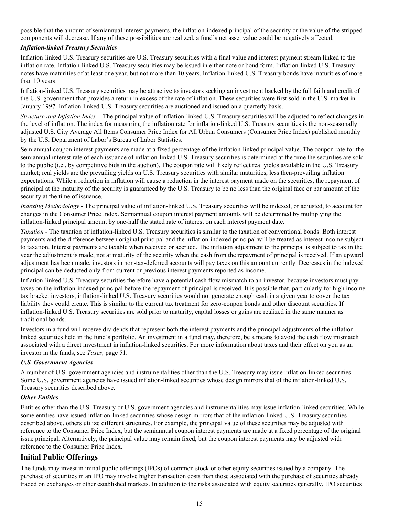possible that the amount of semiannual interest payments, the inflation-indexed principal of the security or the value of the stripped components will decrease. If any of these possibilities are realized, a fund's net asset value could be negatively affected.

#### *Inflation-linked Treasury Securities*

Inflation-linked U.S. Treasury securities are U.S. Treasury securities with a final value and interest payment stream linked to the inflation rate. Inflation-linked U.S. Treasury securities may be issued in either note or bond form. Inflation-linked U.S. Treasury notes have maturities of at least one year, but not more than 10 years. Inflation-linked U.S. Treasury bonds have maturities of more than 10 years.

Inflation-linked U.S. Treasury securities may be attractive to investors seeking an investment backed by the full faith and credit of the U.S. government that provides a return in excess of the rate of inflation. These securities were first sold in the U.S. market in January 1997. Inflation-linked U.S. Treasury securities are auctioned and issued on a quarterly basis.

*Structure and Inflation Index* – The principal value of inflation-linked U.S. Treasury securities will be adjusted to reflect changes in the level of inflation. The index for measuring the inflation rate for inflation-linked U.S. Treasury securities is the non-seasonally adjusted U.S. City Average All Items Consumer Price Index for All Urban Consumers (Consumer Price Index) published monthly by the U.S. Department of Labor's Bureau of Labor Statistics.

Semiannual coupon interest payments are made at a fixed percentage of the inflation-linked principal value. The coupon rate for the semiannual interest rate of each issuance of inflation-linked U.S. Treasury securities is determined at the time the securities are sold to the public (i.e., by competitive bids in the auction). The coupon rate will likely reflect real yields available in the U.S. Treasury market; real yields are the prevailing yields on U.S. Treasury securities with similar maturities, less then-prevailing inflation expectations. While a reduction in inflation will cause a reduction in the interest payment made on the securities, the repayment of principal at the maturity of the security is guaranteed by the U.S. Treasury to be no less than the original face or par amount of the security at the time of issuance.

*Indexing Methodology* - The principal value of inflation-linked U.S. Treasury securities will be indexed, or adjusted, to account for changes in the Consumer Price Index. Semiannual coupon interest payment amounts will be determined by multiplying the inflation-linked principal amount by one-half the stated rate of interest on each interest payment date.

*Taxation* - The taxation of inflation-linked U.S. Treasury securities is similar to the taxation of conventional bonds. Both interest payments and the difference between original principal and the inflation-indexed principal will be treated as interest income subject to taxation. Interest payments are taxable when received or accrued. The inflation adjustment to the principal is subject to tax in the year the adjustment is made, not at maturity of the security when the cash from the repayment of principal is received. If an upward adjustment has been made, investors in non-tax-deferred accounts will pay taxes on this amount currently. Decreases in the indexed principal can be deducted only from current or previous interest payments reported as income.

Inflation-linked U.S. Treasury securities therefore have a potential cash flow mismatch to an investor, because investors must pay taxes on the inflation-indexed principal before the repayment of principal is received. It is possible that, particularly for high income tax bracket investors, inflation-linked U.S. Treasury securities would not generate enough cash in a given year to cover the tax liability they could create. This is similar to the current tax treatment for zero-coupon bonds and other discount securities. If inflation-linked U.S. Treasury securities are sold prior to maturity, capital losses or gains are realized in the same manner as traditional bonds.

Investors in a fund will receive dividends that represent both the interest payments and the principal adjustments of the inflationlinked securities held in the fund's portfolio. An investment in a fund may, therefore, be a means to avoid the cash flow mismatch associated with a direct investment in inflation-linked securities. For more information about taxes and their effect on you as an investor in the funds, see *Taxes,* page 51.

#### *U.S. Government Agencies*

A number of U.S. government agencies and instrumentalities other than the U.S. Treasury may issue inflation-linked securities. Some U.S. government agencies have issued inflation-linked securities whose design mirrors that of the inflation-linked U.S. Treasury securities described above.

#### *Other Entities*

Entities other than the U.S. Treasury or U.S. government agencies and instrumentalities may issue inflation-linked securities. While some entities have issued inflation-linked securities whose design mirrors that of the inflation-linked U.S. Treasury securities described above, others utilize different structures. For example, the principal value of these securities may be adjusted with reference to the Consumer Price Index, but the semiannual coupon interest payments are made at a fixed percentage of the original issue principal. Alternatively, the principal value may remain fixed, but the coupon interest payments may be adjusted with reference to the Consumer Price Index.

## **Initial Public Offerings**

The funds may invest in initial public offerings (IPOs) of common stock or other equity securities issued by a company. The purchase of securities in an IPO may involve higher transaction costs than those associated with the purchase of securities already traded on exchanges or other established markets. In addition to the risks associated with equity securities generally, IPO securities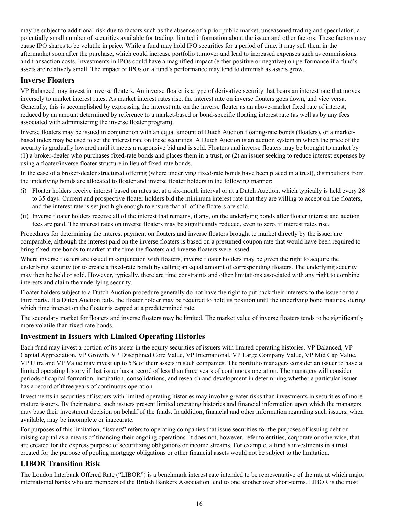may be subject to additional risk due to factors such as the absence of a prior public market, unseasoned trading and speculation, a potentially small number of securities available for trading, limited information about the issuer and other factors. These factors may cause IPO shares to be volatile in price. While a fund may hold IPO securities for a period of time, it may sell them in the aftermarket soon after the purchase, which could increase portfolio turnover and lead to increased expenses such as commissions and transaction costs. Investments in IPOs could have a magnified impact (either positive or negative) on performance if a fund's assets are relatively small. The impact of IPOs on a fund's performance may tend to diminish as assets grow.

## **Inverse Floaters**

VP Balanced may invest in inverse floaters. An inverse floater is a type of derivative security that bears an interest rate that moves inversely to market interest rates. As market interest rates rise, the interest rate on inverse floaters goes down, and vice versa. Generally, this is accomplished by expressing the interest rate on the inverse floater as an above-market fixed rate of interest, reduced by an amount determined by reference to a market-based or bond-specific floating interest rate (as well as by any fees associated with administering the inverse floater program).

Inverse floaters may be issued in conjunction with an equal amount of Dutch Auction floating-rate bonds (floaters), or a marketbased index may be used to set the interest rate on these securities. A Dutch Auction is an auction system in which the price of the security is gradually lowered until it meets a responsive bid and is sold. Floaters and inverse floaters may be brought to market by (1) a broker-dealer who purchases fixed-rate bonds and places them in a trust, or (2) an issuer seeking to reduce interest expenses by using a floater/inverse floater structure in lieu of fixed-rate bonds.

In the case of a broker-dealer structured offering (where underlying fixed-rate bonds have been placed in a trust), distributions from the underlying bonds are allocated to floater and inverse floater holders in the following manner:

- (i) Floater holders receive interest based on rates set at a six-month interval or at a Dutch Auction, which typically is held every 28 to 35 days. Current and prospective floater holders bid the minimum interest rate that they are willing to accept on the floaters, and the interest rate is set just high enough to ensure that all of the floaters are sold.
- (ii) Inverse floater holders receive all of the interest that remains, if any, on the underlying bonds after floater interest and auction fees are paid. The interest rates on inverse floaters may be significantly reduced, even to zero, if interest rates rise.

Procedures for determining the interest payment on floaters and inverse floaters brought to market directly by the issuer are comparable, although the interest paid on the inverse floaters is based on a presumed coupon rate that would have been required to bring fixed-rate bonds to market at the time the floaters and inverse floaters were issued.

Where inverse floaters are issued in conjunction with floaters, inverse floater holders may be given the right to acquire the underlying security (or to create a fixed-rate bond) by calling an equal amount of corresponding floaters. The underlying security may then be held or sold. However, typically, there are time constraints and other limitations associated with any right to combine interests and claim the underlying security.

Floater holders subject to a Dutch Auction procedure generally do not have the right to put back their interests to the issuer or to a third party. If a Dutch Auction fails, the floater holder may be required to hold its position until the underlying bond matures, during which time interest on the floater is capped at a predetermined rate.

The secondary market for floaters and inverse floaters may be limited. The market value of inverse floaters tends to be significantly more volatile than fixed-rate bonds.

# **Investment in Issuers with Limited Operating Histories**

Each fund may invest a portion of its assets in the equity securities of issuers with limited operating histories. VP Balanced, VP Capital Appreciation, VP Growth, VP Disciplined Core Value, VP International, VP Large Company Value, VP Mid Cap Value, VP Ultra and VP Value may invest up to 5% of their assets in such companies. The portfolio managers consider an issuer to have a limited operating history if that issuer has a record of less than three years of continuous operation. The managers will consider periods of capital formation, incubation, consolidations, and research and development in determining whether a particular issuer has a record of three years of continuous operation.

Investments in securities of issuers with limited operating histories may involve greater risks than investments in securities of more mature issuers. By their nature, such issuers present limited operating histories and financial information upon which the managers may base their investment decision on behalf of the funds. In addition, financial and other information regarding such issuers, when available, may be incomplete or inaccurate.

For purposes of this limitation, "issuers" refers to operating companies that issue securities for the purposes of issuing debt or raising capital as a means of financing their ongoing operations. It does not, however, refer to entities, corporate or otherwise, that are created for the express purpose of securitizing obligations or income streams. For example, a fund's investments in a trust created for the purpose of pooling mortgage obligations or other financial assets would not be subject to the limitation.

# **LIBOR Transition Risk**

The London Interbank Offered Rate ("LIBOR") is a benchmark interest rate intended to be representative of the rate at which major international banks who are members of the British Bankers Association lend to one another over short-terms. LIBOR is the most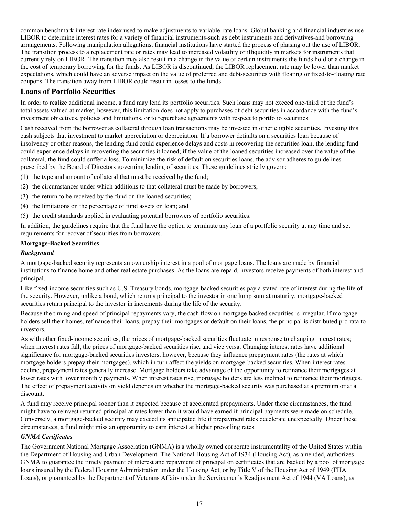common benchmark interest rate index used to make adjustments to variable-rate loans. Global banking and financial industries use LIBOR to determine interest rates for a variety of financial instruments-such as debt instruments and derivatives-and borrowing arrangements. Following manipulation allegations, financial institutions have started the process of phasing out the use of LIBOR. The transition process to a replacement rate or rates may lead to increased volatility or illiquidity in markets for instruments that currently rely on LIBOR. The transition may also result in a change in the value of certain instruments the funds hold or a change in the cost of temporary borrowing for the funds. As LIBOR is discontinued, the LIBOR replacement rate may be lower than market expectations, which could have an adverse impact on the value of preferred and debt-securities with floating or fixed-to-floating rate coupons. The transition away from LIBOR could result in losses to the funds.

# **Loans of Portfolio Securities**

In order to realize additional income, a fund may lend its portfolio securities. Such loans may not exceed one-third of the fund's total assets valued at market, however, this limitation does not apply to purchases of debt securities in accordance with the fund's investment objectives, policies and limitations, or to repurchase agreements with respect to portfolio securities.

Cash received from the borrower as collateral through loan transactions may be invested in other eligible securities. Investing this cash subjects that investment to market appreciation or depreciation. If a borrower defaults on a securities loan because of insolvency or other reasons, the lending fund could experience delays and costs in recovering the securities loan, the lending fund could experience delays in recovering the securities it loaned; if the value of the loaned securities increased over the value of the collateral, the fund could suffer a loss. To minimize the risk of default on securities loans, the advisor adheres to guidelines prescribed by the Board of Directors governing lending of securities. These guidelines strictly govern:

(1) the type and amount of collateral that must be received by the fund;

- (2) the circumstances under which additions to that collateral must be made by borrowers;
- (3) the return to be received by the fund on the loaned securities;
- (4) the limitations on the percentage of fund assets on loan; and
- (5) the credit standards applied in evaluating potential borrowers of portfolio securities.

In addition, the guidelines require that the fund have the option to terminate any loan of a portfolio security at any time and set requirements for recover of securities from borrowers.

#### **Mortgage-Backed Securities**

#### *Background*

A mortgage-backed security represents an ownership interest in a pool of mortgage loans. The loans are made by financial institutions to finance home and other real estate purchases. As the loans are repaid, investors receive payments of both interest and principal.

Like fixed-income securities such as U.S. Treasury bonds, mortgage-backed securities pay a stated rate of interest during the life of the security. However, unlike a bond, which returns principal to the investor in one lump sum at maturity, mortgage-backed securities return principal to the investor in increments during the life of the security.

Because the timing and speed of principal repayments vary, the cash flow on mortgage-backed securities is irregular. If mortgage holders sell their homes, refinance their loans, prepay their mortgages or default on their loans, the principal is distributed pro rata to investors.

As with other fixed-income securities, the prices of mortgage-backed securities fluctuate in response to changing interest rates; when interest rates fall, the prices of mortgage-backed securities rise, and vice versa. Changing interest rates have additional significance for mortgage-backed securities investors, however, because they influence prepayment rates (the rates at which mortgage holders prepay their mortgages), which in turn affect the yields on mortgage-backed securities. When interest rates decline, prepayment rates generally increase. Mortgage holders take advantage of the opportunity to refinance their mortgages at lower rates with lower monthly payments. When interest rates rise, mortgage holders are less inclined to refinance their mortgages. The effect of prepayment activity on yield depends on whether the mortgage-backed security was purchased at a premium or at a discount.

A fund may receive principal sooner than it expected because of accelerated prepayments. Under these circumstances, the fund might have to reinvest returned principal at rates lower than it would have earned if principal payments were made on schedule. Conversely, a mortgage-backed security may exceed its anticipated life if prepayment rates decelerate unexpectedly. Under these circumstances, a fund might miss an opportunity to earn interest at higher prevailing rates.

#### *GNMA Certificates*

The Government National Mortgage Association (GNMA) is a wholly owned corporate instrumentality of the United States within the Department of Housing and Urban Development. The National Housing Act of 1934 (Housing Act), as amended, authorizes GNMA to guarantee the timely payment of interest and repayment of principal on certificates that are backed by a pool of mortgage loans insured by the Federal Housing Administration under the Housing Act, or by Title V of the Housing Act of 1949 (FHA Loans), or guaranteed by the Department of Veterans Affairs under the Servicemen's Readjustment Act of 1944 (VA Loans), as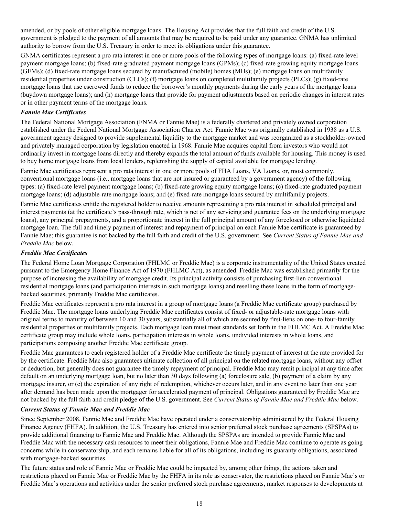amended, or by pools of other eligible mortgage loans. The Housing Act provides that the full faith and credit of the U.S. government is pledged to the payment of all amounts that may be required to be paid under any guarantee. GNMA has unlimited authority to borrow from the U.S. Treasury in order to meet its obligations under this guarantee.

GNMA certificates represent a pro rata interest in one or more pools of the following types of mortgage loans: (a) fixed-rate level payment mortgage loans; (b) fixed-rate graduated payment mortgage loans (GPMs); (c) fixed-rate growing equity mortgage loans (GEMs); (d) fixed-rate mortgage loans secured by manufactured (mobile) homes (MHs); (e) mortgage loans on multifamily residential properties under construction (CLCs); (f) mortgage loans on completed multifamily projects (PLCs); (g) fixed-rate mortgage loans that use escrowed funds to reduce the borrower's monthly payments during the early years of the mortgage loans (buydown mortgage loans); and (h) mortgage loans that provide for payment adjustments based on periodic changes in interest rates or in other payment terms of the mortgage loans.

#### *Fannie Mae Certificates*

The Federal National Mortgage Association (FNMA or Fannie Mae) is a federally chartered and privately owned corporation established under the Federal National Mortgage Association Charter Act. Fannie Mae was originally established in 1938 as a U.S. government agency designed to provide supplemental liquidity to the mortgage market and was reorganized as a stockholder-owned and privately managed corporation by legislation enacted in 1968. Fannie Mae acquires capital from investors who would not ordinarily invest in mortgage loans directly and thereby expands the total amount of funds available for housing. This money is used to buy home mortgage loans from local lenders, replenishing the supply of capital available for mortgage lending.

Fannie Mae certificates represent a pro rata interest in one or more pools of FHA Loans, VA Loans, or, most commonly, conventional mortgage loans (i.e., mortgage loans that are not insured or guaranteed by a government agency) of the following types: (a) fixed-rate level payment mortgage loans; (b) fixed-rate growing equity mortgage loans; (c) fixed-rate graduated payment mortgage loans; (d) adjustable-rate mortgage loans; and (e) fixed-rate mortgage loans secured by multifamily projects.

Fannie Mae certificates entitle the registered holder to receive amounts representing a pro rata interest in scheduled principal and interest payments (at the certificate's pass-through rate, which is net of any servicing and guarantee fees on the underlying mortgage loans), any principal prepayments, and a proportionate interest in the full principal amount of any foreclosed or otherwise liquidated mortgage loan. The full and timely payment of interest and repayment of principal on each Fannie Mae certificate is guaranteed by Fannie Mae; this guarantee is not backed by the full faith and credit of the U.S. government. See *Current Status of Fannie Mae and Freddie Mac* below.

#### *Freddie Mac Certificates*

The Federal Home Loan Mortgage Corporation (FHLMC or Freddie Mac) is a corporate instrumentality of the United States created pursuant to the Emergency Home Finance Act of 1970 (FHLMC Act), as amended. Freddie Mac was established primarily for the purpose of increasing the availability of mortgage credit. Its principal activity consists of purchasing first-lien conventional residential mortgage loans (and participation interests in such mortgage loans) and reselling these loans in the form of mortgagebacked securities, primarily Freddie Mac certificates.

Freddie Mac certificates represent a pro rata interest in a group of mortgage loans (a Freddie Mac certificate group) purchased by Freddie Mac. The mortgage loans underlying Freddie Mac certificates consist of fixed- or adjustable-rate mortgage loans with original terms to maturity of between 10 and 30 years, substantially all of which are secured by first-liens on one- to four-family residential properties or multifamily projects. Each mortgage loan must meet standards set forth in the FHLMC Act. A Freddie Mac certificate group may include whole loans, participation interests in whole loans, undivided interests in whole loans, and participations composing another Freddie Mac certificate group.

Freddie Mac guarantees to each registered holder of a Freddie Mac certificate the timely payment of interest at the rate provided for by the certificate. Freddie Mac also guarantees ultimate collection of all principal on the related mortgage loans, without any offset or deduction, but generally does not guarantee the timely repayment of principal. Freddie Mac may remit principal at any time after default on an underlying mortgage loan, but no later than 30 days following (a) foreclosure sale, (b) payment of a claim by any mortgage insurer, or (c) the expiration of any right of redemption, whichever occurs later, and in any event no later than one year after demand has been made upon the mortgager for accelerated payment of principal. Obligations guaranteed by Freddie Mac are not backed by the full faith and credit pledge of the U.S. government. See *Current Status of Fannie Mae and Freddie Mac* below.

#### *Current Status of Fannie Mae and Freddie Mac*

Since September 2008, Fannie Mae and Freddie Mac have operated under a conservatorship administered by the Federal Housing Finance Agency (FHFA). In addition, the U.S. Treasury has entered into senior preferred stock purchase agreements (SPSPAs) to provide additional financing to Fannie Mae and Freddie Mac. Although the SPSPAs are intended to provide Fannie Mae and Freddie Mac with the necessary cash resources to meet their obligations, Fannie Mae and Freddie Mac continue to operate as going concerns while in conservatorship, and each remains liable for all of its obligations, including its guaranty obligations, associated with mortgage-backed securities.

The future status and role of Fannie Mae or Freddie Mac could be impacted by, among other things, the actions taken and restrictions placed on Fannie Mae or Freddie Mac by the FHFA in its role as conservator, the restrictions placed on Fannie Mae's or Freddie Mac's operations and activities under the senior preferred stock purchase agreements, market responses to developments at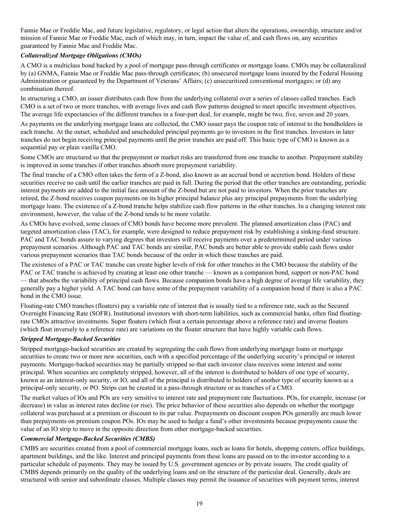Fannie Mae or Freddie Mac, and future legislative, regulatory, or legal action that alters the operations, ownership, structure and/or mission of Fannie Mae or Freddie Mac, each of which may, in turn, impact the value of, and cash flows on, any securities guaranteed by Fannie Mae and Freddie Mac.

#### *Collateralized Mortgage Obligations (CMOs)*

A CMO is a multiclass bond backed by a pool of mortgage pass-through certificates or mortgage loans. CMOs may be collateralized by (a) GNMA, Fannie Mae or Freddie Mac pass-through certificates; (b) unsecured mortgage loans insured by the Federal Housing Administration or guaranteed by the Department of Veterans' Affairs; (c) unsecuritized conventional mortgages; or (d) any combination thereof.

In structuring a CMO, an issuer distributes cash flow from the underlying collateral over a series of classes called tranches. Each CMO is a set of two or more tranches, with average lives and cash flow patterns designed to meet specific investment objectives. The average life expectancies of the different tranches in a four-part deal, for example, might be two, five, seven and 20 years.

As payments on the underlying mortgage loans are collected, the CMO issuer pays the coupon rate of interest to the bondholders in each tranche. At the outset, scheduled and unscheduled principal payments go to investors in the first tranches. Investors in later tranches do not begin receiving principal payments until the prior tranches are paid off. This basic type of CMO is known as a sequential pay or plain vanilla CMO.

Some CMOs are structured so that the prepayment or market risks are transferred from one tranche to another. Prepayment stability is improved in some tranches if other tranches absorb more prepayment variability.

The final tranche of a CMO often takes the form of a Z-bond, also known as an accrual bond or accretion bond. Holders of these securities receive no cash until the earlier tranches are paid in full. During the period that the other tranches are outstanding, periodic interest payments are added to the initial face amount of the Z-bond but are not paid to investors. When the prior tranches are retired, the Z-bond receives coupon payments on its higher principal balance plus any principal prepayments from the underlying mortgage loans. The existence of a Z-bond tranche helps stabilize cash flow patterns in the other tranches. In a changing interest rate environment, however, the value of the Z-bond tends to be more volatile.

As CMOs have evolved, some classes of CMO bonds have become more prevalent. The planned amortization class (PAC) and targeted amortization class (TAC), for example, were designed to reduce prepayment risk by establishing a sinking-fund structure. PAC and TAC bonds assure to varying degrees that investors will receive payments over a predetermined period under various prepayment scenarios. Although PAC and TAC bonds are similar, PAC bonds are better able to provide stable cash flows under various prepayment scenarios than TAC bonds because of the order in which these tranches are paid.

The existence of a PAC or TAC tranche can create higher levels of risk for other tranches in the CMO because the stability of the PAC or TAC tranche is achieved by creating at least one other tranche — known as a companion bond, support or non-PAC bond — that absorbs the variability of principal cash flows. Because companion bonds have a high degree of average life variability, they generally pay a higher yield. A TAC bond can have some of the prepayment variability of a companion bond if there is also a PAC bond in the CMO issue.

Floating-rate CMO tranches (floaters) pay a variable rate of interest that is usually tied to a reference rate, such as the Secured Overnight Financing Rate (SOFR). Institutional investors with short-term liabilities, such as commercial banks, often find floatingrate CMOs attractive investments. Super floaters (which float a certain percentage above a reference rate) and inverse floaters (which float inversely to a reference rate) are variations on the floater structure that have highly variable cash flows.

#### *Stripped Mortgage-Backed Securities*

Stripped mortgage-backed securities are created by segregating the cash flows from underlying mortgage loans or mortgage securities to create two or more new securities, each with a specified percentage of the underlying security's principal or interest payments. Mortgage-backed securities may be partially stripped so that each investor class receives some interest and some principal. When securities are completely stripped, however, all of the interest is distributed to holders of one type of security, known as an interest-only security, or IO, and all of the principal is distributed to holders of another type of security known as a principal-only security, or PO. Strips can be created in a pass-through structure or as tranches of a CMO.

The market values of IOs and POs are very sensitive to interest rate and prepayment rate fluctuations. POs, for example, increase (or decrease) in value as interest rates decline (or rise). The price behavior of these securities also depends on whether the mortgage collateral was purchased at a premium or discount to its par value. Prepayments on discount coupon POs generally are much lower than prepayments on premium coupon POs. IOs may be used to hedge a fund's other investments because prepayments cause the value of an IO strip to move in the opposite direction from other mortgage-backed securities.

#### *Commercial Mortgage-Backed Securities (CMBS)*

CMBS are securities created from a pool of commercial mortgage loans, such as loans for hotels, shopping centers, office buildings, apartment buildings, and the like. Interest and principal payments from these loans are passed on to the investor according to a particular schedule of payments. They may be issued by U.S. government agencies or by private issuers. The credit quality of CMBS depends primarily on the quality of the underlying loans and on the structure of the particular deal. Generally, deals are structured with senior and subordinate classes. Multiple classes may permit the issuance of securities with payment terms, interest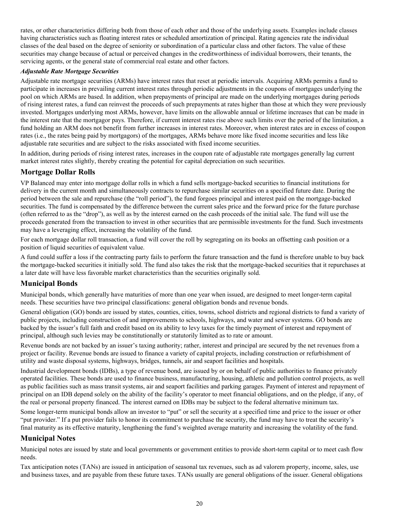rates, or other characteristics differing both from those of each other and those of the underlying assets. Examples include classes having characteristics such as floating interest rates or scheduled amortization of principal. Rating agencies rate the individual classes of the deal based on the degree of seniority or subordination of a particular class and other factors. The value of these securities may change because of actual or perceived changes in the creditworthiness of individual borrowers, their tenants, the servicing agents, or the general state of commercial real estate and other factors.

#### *Adjustable Rate Mortgage Securities*

Adjustable rate mortgage securities (ARMs) have interest rates that reset at periodic intervals. Acquiring ARMs permits a fund to participate in increases in prevailing current interest rates through periodic adjustments in the coupons of mortgages underlying the pool on which ARMs are based. In addition, when prepayments of principal are made on the underlying mortgages during periods of rising interest rates, a fund can reinvest the proceeds of such prepayments at rates higher than those at which they were previously invested. Mortgages underlying most ARMs, however, have limits on the allowable annual or lifetime increases that can be made in the interest rate that the mortgagor pays. Therefore, if current interest rates rise above such limits over the period of the limitation, a fund holding an ARM does not benefit from further increases in interest rates. Moreover, when interest rates are in excess of coupon rates (i.e., the rates being paid by mortgagors) of the mortgages, ARMs behave more like fixed income securities and less like adjustable rate securities and are subject to the risks associated with fixed income securities.

In addition, during periods of rising interest rates, increases in the coupon rate of adjustable rate mortgages generally lag current market interest rates slightly, thereby creating the potential for capital depreciation on such securities.

## **Mortgage Dollar Rolls**

VP Balanced may enter into mortgage dollar rolls in which a fund sells mortgage-backed securities to financial institutions for delivery in the current month and simultaneously contracts to repurchase similar securities on a specified future date. During the period between the sale and repurchase (the "roll period"), the fund forgoes principal and interest paid on the mortgage-backed securities. The fund is compensated by the difference between the current sales price and the forward price for the future purchase (often referred to as the "drop"), as well as by the interest earned on the cash proceeds of the initial sale. The fund will use the proceeds generated from the transaction to invest in other securities that are permissible investments for the fund. Such investments may have a leveraging effect, increasing the volatility of the fund.

For each mortgage dollar roll transaction, a fund will cover the roll by segregating on its books an offsetting cash position or a position of liquid securities of equivalent value.

A fund could suffer a loss if the contracting party fails to perform the future transaction and the fund is therefore unable to buy back the mortgage-backed securities it initially sold. The fund also takes the risk that the mortgage-backed securities that it repurchases at a later date will have less favorable market characteristics than the securities originally sold.

# **Municipal Bonds**

Municipal bonds, which generally have maturities of more than one year when issued, are designed to meet longer-term capital needs. These securities have two principal classifications: general obligation bonds and revenue bonds.

General obligation (GO) bonds are issued by states, counties, cities, towns, school districts and regional districts to fund a variety of public projects, including construction of and improvements to schools, highways, and water and sewer systems. GO bonds are backed by the issuer's full faith and credit based on its ability to levy taxes for the timely payment of interest and repayment of principal, although such levies may be constitutionally or statutorily limited as to rate or amount.

Revenue bonds are not backed by an issuer's taxing authority; rather, interest and principal are secured by the net revenues from a project or facility. Revenue bonds are issued to finance a variety of capital projects, including construction or refurbishment of utility and waste disposal systems, highways, bridges, tunnels, air and seaport facilities and hospitals.

Industrial development bonds (IDBs), a type of revenue bond, are issued by or on behalf of public authorities to finance privately operated facilities. These bonds are used to finance business, manufacturing, housing, athletic and pollution control projects, as well as public facilities such as mass transit systems, air and seaport facilities and parking garages. Payment of interest and repayment of principal on an IDB depend solely on the ability of the facility's operator to meet financial obligations, and on the pledge, if any, of the real or personal property financed. The interest earned on IDBs may be subject to the federal alternative minimum tax.

Some longer-term municipal bonds allow an investor to "put" or sell the security at a specified time and price to the issuer or other "put provider." If a put provider fails to honor its commitment to purchase the security, the fund may have to treat the security's final maturity as its effective maturity, lengthening the fund's weighted average maturity and increasing the volatility of the fund.

#### **Municipal Notes**

Municipal notes are issued by state and local governments or government entities to provide short-term capital or to meet cash flow needs.

Tax anticipation notes (TANs) are issued in anticipation of seasonal tax revenues, such as ad valorem property, income, sales, use and business taxes, and are payable from these future taxes. TANs usually are general obligations of the issuer. General obligations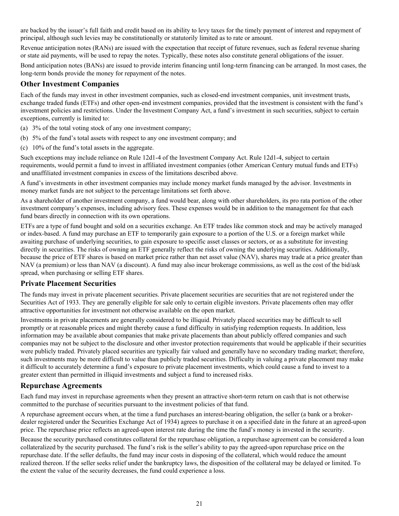are backed by the issuer's full faith and credit based on its ability to levy taxes for the timely payment of interest and repayment of principal, although such levies may be constitutionally or statutorily limited as to rate or amount.

Revenue anticipation notes (RANs) are issued with the expectation that receipt of future revenues, such as federal revenue sharing or state aid payments, will be used to repay the notes. Typically, these notes also constitute general obligations of the issuer.

Bond anticipation notes (BANs) are issued to provide interim financing until long-term financing can be arranged. In most cases, the long-term bonds provide the money for repayment of the notes.

### **Other Investment Companies**

Each of the funds may invest in other investment companies, such as closed-end investment companies, unit investment trusts, exchange traded funds (ETFs) and other open-end investment companies, provided that the investment is consistent with the fund's investment policies and restrictions. Under the Investment Company Act, a fund's investment in such securities, subject to certain exceptions, currently is limited to:

- (a) 3% of the total voting stock of any one investment company;
- (b) 5% of the fund's total assets with respect to any one investment company; and
- (c) 10% of the fund's total assets in the aggregate.

Such exceptions may include reliance on Rule 12d1-4 of the Investment Company Act. Rule 12d1-4, subject to certain requirements, would permit a fund to invest in affiliated investment companies (other American Century mutual funds and ETFs) and unaffiliated investment companies in excess of the limitations described above.

A fund's investments in other investment companies may include money market funds managed by the advisor. Investments in money market funds are not subject to the percentage limitations set forth above.

As a shareholder of another investment company, a fund would bear, along with other shareholders, its pro rata portion of the other investment company's expenses, including advisory fees. These expenses would be in addition to the management fee that each fund bears directly in connection with its own operations.

ETFs are a type of fund bought and sold on a securities exchange. An ETF trades like common stock and may be actively managed or index-based. A fund may purchase an ETF to temporarily gain exposure to a portion of the U.S. or a foreign market while awaiting purchase of underlying securities, to gain exposure to specific asset classes or sectors, or as a substitute for investing directly in securities. The risks of owning an ETF generally reflect the risks of owning the underlying securities. Additionally, because the price of ETF shares is based on market price rather than net asset value (NAV), shares may trade at a price greater than NAV (a premium) or less than NAV (a discount). A fund may also incur brokerage commissions, as well as the cost of the bid/ask spread, when purchasing or selling ETF shares.

#### **Private Placement Securities**

The funds may invest in private placement securities. Private placement securities are securities that are not registered under the Securities Act of 1933. They are generally eligible for sale only to certain eligible investors. Private placements often may offer attractive opportunities for investment not otherwise available on the open market.

Investments in private placements are generally considered to be illiquid. Privately placed securities may be difficult to sell promptly or at reasonable prices and might thereby cause a fund difficulty in satisfying redemption requests. In addition, less information may be available about companies that make private placements than about publicly offered companies and such companies may not be subject to the disclosure and other investor protection requirements that would be applicable if their securities were publicly traded. Privately placed securities are typically fair valued and generally have no secondary trading market; therefore, such investments may be more difficult to value than publicly traded securities. Difficulty in valuing a private placement may make it difficult to accurately determine a fund's exposure to private placement investments, which could cause a fund to invest to a greater extent than permitted in illiquid investments and subject a fund to increased risks.

## **Repurchase Agreements**

Each fund may invest in repurchase agreements when they present an attractive short-term return on cash that is not otherwise committed to the purchase of securities pursuant to the investment policies of that fund.

A repurchase agreement occurs when, at the time a fund purchases an interest-bearing obligation, the seller (a bank or a brokerdealer registered under the Securities Exchange Act of 1934) agrees to purchase it on a specified date in the future at an agreed-upon price. The repurchase price reflects an agreed-upon interest rate during the time the fund's money is invested in the security.

Because the security purchased constitutes collateral for the repurchase obligation, a repurchase agreement can be considered a loan collateralized by the security purchased. The fund's risk is the seller's ability to pay the agreed-upon repurchase price on the repurchase date. If the seller defaults, the fund may incur costs in disposing of the collateral, which would reduce the amount realized thereon. If the seller seeks relief under the bankruptcy laws, the disposition of the collateral may be delayed or limited. To the extent the value of the security decreases, the fund could experience a loss.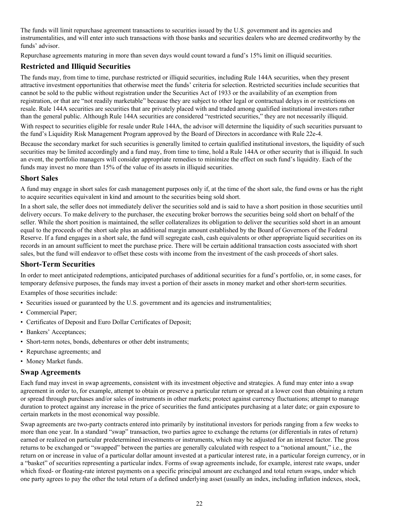The funds will limit repurchase agreement transactions to securities issued by the U.S. government and its agencies and instrumentalities, and will enter into such transactions with those banks and securities dealers who are deemed creditworthy by the funds' advisor.

Repurchase agreements maturing in more than seven days would count toward a fund's 15% limit on illiquid securities.

# **Restricted and Illiquid Securities**

The funds may, from time to time, purchase restricted or illiquid securities, including Rule 144A securities, when they present attractive investment opportunities that otherwise meet the funds' criteria for selection. Restricted securities include securities that cannot be sold to the public without registration under the Securities Act of 1933 or the availability of an exemption from registration, or that are "not readily marketable" because they are subject to other legal or contractual delays in or restrictions on resale. Rule 144A securities are securities that are privately placed with and traded among qualified institutional investors rather than the general public. Although Rule 144A securities are considered "restricted securities," they are not necessarily illiquid.

With respect to securities eligible for resale under Rule 144A, the advisor will determine the liquidity of such securities pursuant to the fund's Liquidity Risk Management Program approved by the Board of Directors in accordance with Rule 22e-4.

Because the secondary market for such securities is generally limited to certain qualified institutional investors, the liquidity of such securities may be limited accordingly and a fund may, from time to time, hold a Rule 144A or other security that is illiquid. In such an event, the portfolio managers will consider appropriate remedies to minimize the effect on such fund's liquidity. Each of the funds may invest no more than 15% of the value of its assets in illiquid securities.

## **Short Sales**

A fund may engage in short sales for cash management purposes only if, at the time of the short sale, the fund owns or has the right to acquire securities equivalent in kind and amount to the securities being sold short.

In a short sale, the seller does not immediately deliver the securities sold and is said to have a short position in those securities until delivery occurs. To make delivery to the purchaser, the executing broker borrows the securities being sold short on behalf of the seller. While the short position is maintained, the seller collateralizes its obligation to deliver the securities sold short in an amount equal to the proceeds of the short sale plus an additional margin amount established by the Board of Governors of the Federal Reserve. If a fund engages in a short sale, the fund will segregate cash, cash equivalents or other appropriate liquid securities on its records in an amount sufficient to meet the purchase price. There will be certain additional transaction costs associated with short sales, but the fund will endeavor to offset these costs with income from the investment of the cash proceeds of short sales.

## **Short-Term Securities**

In order to meet anticipated redemptions, anticipated purchases of additional securities for a fund's portfolio, or, in some cases, for temporary defensive purposes, the funds may invest a portion of their assets in money market and other short-term securities.

Examples of those securities include:

- Securities issued or guaranteed by the U.S. government and its agencies and instrumentalities;
- Commercial Paper;
- Certificates of Deposit and Euro Dollar Certificates of Deposit;
- Bankers' Acceptances;
- Short-term notes, bonds, debentures or other debt instruments;
- Repurchase agreements; and
- Money Market funds.

#### **Swap Agreements**

Each fund may invest in swap agreements, consistent with its investment objective and strategies. A fund may enter into a swap agreement in order to, for example, attempt to obtain or preserve a particular return or spread at a lower cost than obtaining a return or spread through purchases and/or sales of instruments in other markets; protect against currency fluctuations; attempt to manage duration to protect against any increase in the price of securities the fund anticipates purchasing at a later date; or gain exposure to certain markets in the most economical way possible.

Swap agreements are two-party contracts entered into primarily by institutional investors for periods ranging from a few weeks to more than one year. In a standard "swap" transaction, two parties agree to exchange the returns (or differentials in rates of return) earned or realized on particular predetermined investments or instruments, which may be adjusted for an interest factor. The gross returns to be exchanged or "swapped" between the parties are generally calculated with respect to a "notional amount," i.e., the return on or increase in value of a particular dollar amount invested at a particular interest rate, in a particular foreign currency, or in a "basket" of securities representing a particular index. Forms of swap agreements include, for example, interest rate swaps, under which fixed- or floating-rate interest payments on a specific principal amount are exchanged and total return swaps, under which one party agrees to pay the other the total return of a defined underlying asset (usually an index, including inflation indexes, stock,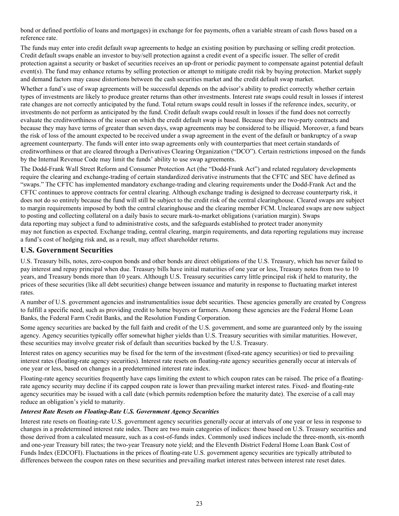bond or defined portfolio of loans and mortgages) in exchange for fee payments, often a variable stream of cash flows based on a reference rate.

The funds may enter into credit default swap agreements to hedge an existing position by purchasing or selling credit protection. Credit default swaps enable an investor to buy/sell protection against a credit event of a specific issuer. The seller of credit protection against a security or basket of securities receives an up-front or periodic payment to compensate against potential default event(s). The fund may enhance returns by selling protection or attempt to mitigate credit risk by buying protection. Market supply and demand factors may cause distortions between the cash securities market and the credit default swap market.

Whether a fund's use of swap agreements will be successful depends on the advisor's ability to predict correctly whether certain types of investments are likely to produce greater returns than other investments. Interest rate swaps could result in losses if interest rate changes are not correctly anticipated by the fund. Total return swaps could result in losses if the reference index, security, or investments do not perform as anticipated by the fund. Credit default swaps could result in losses if the fund does not correctly evaluate the creditworthiness of the issuer on which the credit default swap is based. Because they are two-party contracts and because they may have terms of greater than seven days, swap agreements may be considered to be illiquid. Moreover, a fund bears the risk of loss of the amount expected to be received under a swap agreement in the event of the default or bankruptcy of a swap agreement counterparty. The funds will enter into swap agreements only with counterparties that meet certain standards of creditworthiness or that are cleared through a Derivatives Clearing Organization ("DCO"). Certain restrictions imposed on the funds by the Internal Revenue Code may limit the funds' ability to use swap agreements.

The Dodd-Frank Wall Street Reform and Consumer Protection Act (the "Dodd-Frank Act") and related regulatory developments require the clearing and exchange-trading of certain standardized derivative instruments that the CFTC and SEC have defined as "swaps." The CFTC has implemented mandatory exchange-trading and clearing requirements under the Dodd-Frank Act and the CFTC continues to approve contracts for central clearing. Although exchange trading is designed to decrease counterparty risk, it does not do so entirely because the fund will still be subject to the credit risk of the central clearinghouse. Cleared swaps are subject to margin requirements imposed by both the central clearinghouse and the clearing member FCM. Uncleared swaps are now subject to posting and collecting collateral on a daily basis to secure mark-to-market obligations (variation margin). Swaps data reporting may subject a fund to administrative costs, and the safeguards established to protect trader anonymity may not function as expected. Exchange trading, central clearing, margin requirements, and data reporting regulations may increase a fund's cost of hedging risk and, as a result, may affect shareholder returns.

### **U.S. Government Securities**

U.S. Treasury bills, notes, zero-coupon bonds and other bonds are direct obligations of the U.S. Treasury, which has never failed to pay interest and repay principal when due. Treasury bills have initial maturities of one year or less, Treasury notes from two to 10 years, and Treasury bonds more than 10 years. Although U.S. Treasury securities carry little principal risk if held to maturity, the prices of these securities (like all debt securities) change between issuance and maturity in response to fluctuating market interest rates.

A number of U.S. government agencies and instrumentalities issue debt securities. These agencies generally are created by Congress to fulfill a specific need, such as providing credit to home buyers or farmers. Among these agencies are the Federal Home Loan Banks, the Federal Farm Credit Banks, and the Resolution Funding Corporation.

Some agency securities are backed by the full faith and credit of the U.S. government, and some are guaranteed only by the issuing agency. Agency securities typically offer somewhat higher yields than U.S. Treasury securities with similar maturities. However, these securities may involve greater risk of default than securities backed by the U.S. Treasury.

Interest rates on agency securities may be fixed for the term of the investment (fixed-rate agency securities) or tied to prevailing interest rates (floating-rate agency securities). Interest rate resets on floating-rate agency securities generally occur at intervals of one year or less, based on changes in a predetermined interest rate index.

Floating-rate agency securities frequently have caps limiting the extent to which coupon rates can be raised. The price of a floatingrate agency security may decline if its capped coupon rate is lower than prevailing market interest rates. Fixed- and floating-rate agency securities may be issued with a call date (which permits redemption before the maturity date). The exercise of a call may reduce an obligation's yield to maturity.

#### *Interest Rate Resets on Floating-Rate U.S. Government Agency Securities*

Interest rate resets on floating-rate U.S. government agency securities generally occur at intervals of one year or less in response to changes in a predetermined interest rate index. There are two main categories of indices: those based on U.S. Treasury securities and those derived from a calculated measure, such as a cost-of-funds index. Commonly used indices include the three-month, six-month and one-year Treasury bill rates; the two-year Treasury note yield; and the Eleventh District Federal Home Loan Bank Cost of Funds Index (EDCOFI). Fluctuations in the prices of floating-rate U.S. government agency securities are typically attributed to differences between the coupon rates on these securities and prevailing market interest rates between interest rate reset dates.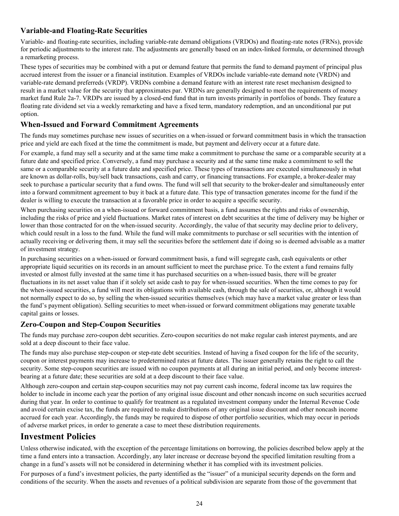# **Variable-and Floating-Rate Securities**

Variable- and floating-rate securities, including variable-rate demand obligations (VRDOs) and floating-rate notes (FRNs), provide for periodic adjustments to the interest rate. The adjustments are generally based on an index-linked formula, or determined through a remarketing process.

These types of securities may be combined with a put or demand feature that permits the fund to demand payment of principal plus accrued interest from the issuer or a financial institution. Examples of VRDOs include variable-rate demand note (VRDN) and variable-rate demand preferreds (VRDP). VRDNs combine a demand feature with an interest rate reset mechanism designed to result in a market value for the security that approximates par. VRDNs are generally designed to meet the requirements of money market fund Rule 2a-7. VRDPs are issued by a closed-end fund that in turn invests primarily in portfolios of bonds. They feature a floating rate dividend set via a weekly remarketing and have a fixed term, mandatory redemption, and an unconditional par put option.

## **When-Issued and Forward Commitment Agreements**

The funds may sometimes purchase new issues of securities on a when-issued or forward commitment basis in which the transaction price and yield are each fixed at the time the commitment is made, but payment and delivery occur at a future date.

For example, a fund may sell a security and at the same time make a commitment to purchase the same or a comparable security at a future date and specified price. Conversely, a fund may purchase a security and at the same time make a commitment to sell the same or a comparable security at a future date and specified price. These types of transactions are executed simultaneously in what are known as dollar-rolls, buy/sell back transactions, cash and carry, or financing transactions. For example, a broker-dealer may seek to purchase a particular security that a fund owns. The fund will sell that security to the broker-dealer and simultaneously enter into a forward commitment agreement to buy it back at a future date. This type of transaction generates income for the fund if the dealer is willing to execute the transaction at a favorable price in order to acquire a specific security.

When purchasing securities on a when-issued or forward commitment basis, a fund assumes the rights and risks of ownership, including the risks of price and yield fluctuations. Market rates of interest on debt securities at the time of delivery may be higher or lower than those contracted for on the when-issued security. Accordingly, the value of that security may decline prior to delivery, which could result in a loss to the fund. While the fund will make commitments to purchase or sell securities with the intention of actually receiving or delivering them, it may sell the securities before the settlement date if doing so is deemed advisable as a matter of investment strategy.

In purchasing securities on a when-issued or forward commitment basis, a fund will segregate cash, cash equivalents or other appropriate liquid securities on its records in an amount sufficient to meet the purchase price. To the extent a fund remains fully invested or almost fully invested at the same time it has purchased securities on a when-issued basis, there will be greater fluctuations in its net asset value than if it solely set aside cash to pay for when-issued securities. When the time comes to pay for the when-issued securities, a fund will meet its obligations with available cash, through the sale of securities, or, although it would not normally expect to do so, by selling the when-issued securities themselves (which may have a market value greater or less than the fund's payment obligation). Selling securities to meet when-issued or forward commitment obligations may generate taxable capital gains or losses.

## **Zero-Coupon and Step-Coupon Securities**

The funds may purchase zero-coupon debt securities. Zero-coupon securities do not make regular cash interest payments, and are sold at a deep discount to their face value.

The funds may also purchase step-coupon or step-rate debt securities. Instead of having a fixed coupon for the life of the security, coupon or interest payments may increase to predetermined rates at future dates. The issuer generally retains the right to call the security. Some step-coupon securities are issued with no coupon payments at all during an initial period, and only become interestbearing at a future date; these securities are sold at a deep discount to their face value.

Although zero-coupon and certain step-coupon securities may not pay current cash income, federal income tax law requires the holder to include in income each year the portion of any original issue discount and other noncash income on such securities accrued during that year. In order to continue to qualify for treatment as a regulated investment company under the Internal Revenue Code and avoid certain excise tax, the funds are required to make distributions of any original issue discount and other noncash income accrued for each year. Accordingly, the funds may be required to dispose of other portfolio securities, which may occur in periods of adverse market prices, in order to generate a case to meet these distribution requirements.

# **Investment Policies**

Unless otherwise indicated, with the exception of the percentage limitations on borrowing, the policies described below apply at the time a fund enters into a transaction. Accordingly, any later increase or decrease beyond the specified limitation resulting from a change in a fund's assets will not be considered in determining whether it has complied with its investment policies.

For purposes of a fund's investment policies, the party identified as the "issuer" of a municipal security depends on the form and conditions of the security. When the assets and revenues of a political subdivision are separate from those of the government that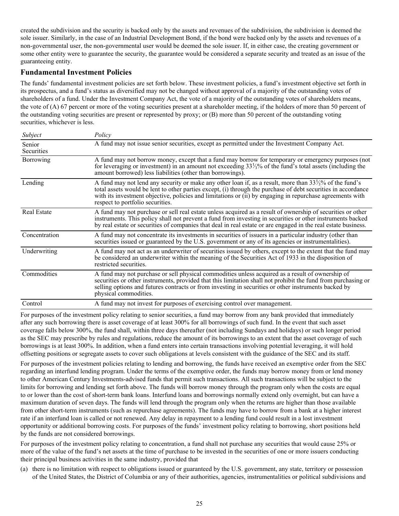created the subdivision and the security is backed only by the assets and revenues of the subdivision, the subdivision is deemed the sole issuer. Similarly, in the case of an Industrial Development Bond, if the bond were backed only by the assets and revenues of a non-governmental user, the non-governmental user would be deemed the sole issuer. If, in either case, the creating government or some other entity were to guarantee the security, the guarantee would be considered a separate security and treated as an issue of the guaranteeing entity.

# **Fundamental Investment Policies**

The funds' fundamental investment policies are set forth below. These investment policies, a fund's investment objective set forth in its prospectus, and a fund's status as diversified may not be changed without approval of a majority of the outstanding votes of shareholders of a fund. Under the Investment Company Act, the vote of a majority of the outstanding votes of shareholders means, the vote of  $(A)$  67 percent or more of the voting securities present at a shareholder meeting, if the holders of more than 50 percent of the outstanding voting securities are present or represented by proxy; or (B) more than 50 percent of the outstanding voting securities, whichever is less.

| Subject              | Policy                                                                                                                                                                                                                                                                                                                                                                                |
|----------------------|---------------------------------------------------------------------------------------------------------------------------------------------------------------------------------------------------------------------------------------------------------------------------------------------------------------------------------------------------------------------------------------|
| Senior<br>Securities | A fund may not issue senior securities, except as permitted under the Investment Company Act.                                                                                                                                                                                                                                                                                         |
| Borrowing            | A fund may not borrow money, except that a fund may borrow for temporary or emergency purposes (not<br>for leveraging or investment) in an amount not exceeding $33\frac{1}{3}\%$ of the fund <sup>3</sup> s total assets (including the<br>amount borrowed) less liabilities (other than borrowings).                                                                                |
| Lending              | A fund may not lend any security or make any other loan if, as a result, more than $33\frac{1}{3}\%$ of the fund's<br>total assets would be lent to other parties except, (i) through the purchase of debt securities in accordance<br>with its investment objective, policies and limitations or $(i)$ by engaging in repurchase agreements with<br>respect to portfolio securities. |
| <b>Real Estate</b>   | A fund may not purchase or sell real estate unless acquired as a result of ownership of securities or other<br>instruments. This policy shall not prevent a fund from investing in securities or other instruments backed<br>by real estate or securities of companies that deal in real estate or are engaged in the real estate business.                                           |
| Concentration        | A fund may not concentrate its investments in securities of issuers in a particular industry (other than<br>securities issued or guaranteed by the U.S. government or any of its agencies or instrumentalities).                                                                                                                                                                      |
| Underwriting         | A fund may not act as an underwriter of securities issued by others, except to the extent that the fund may<br>be considered an underwriter within the meaning of the Securities Act of 1933 in the disposition of<br>restricted securities.                                                                                                                                          |
| Commodities          | A fund may not purchase or sell physical commodities unless acquired as a result of ownership of<br>securities or other instruments, provided that this limitation shall not prohibit the fund from purchasing or<br>selling options and futures contracts or from investing in securities or other instruments backed by<br>physical commodities.                                    |
| Control              | A fund may not invest for purposes of exercising control over management.                                                                                                                                                                                                                                                                                                             |

For purposes of the investment policy relating to senior securities, a fund may borrow from any bank provided that immediately after any such borrowing there is asset coverage of at least 300% for all borrowings of such fund. In the event that such asset coverage falls below 300%, the fund shall, within three days thereafter (not including Sundays and holidays) or such longer period as the SEC may prescribe by rules and regulations, reduce the amount of its borrowings to an extent that the asset coverage of such borrowings is at least 300%. In addition, when a fund enters into certain transactions involving potential leveraging, it will hold offsetting positions or segregate assets to cover such obligations at levels consistent with the guidance of the SEC and its staff.

For purposes of the investment policies relating to lending and borrowing, the funds have received an exemptive order from the SEC regarding an interfund lending program. Under the terms of the exemptive order, the funds may borrow money from or lend money to other American Century Investments-advised funds that permit such transactions. All such transactions will be subject to the limits for borrowing and lending set forth above. The funds will borrow money through the program only when the costs are equal to or lower than the cost of short-term bank loans. Interfund loans and borrowings normally extend only overnight, but can have a maximum duration of seven days. The funds will lend through the program only when the returns are higher than those available from other short-term instruments (such as repurchase agreements). The funds may have to borrow from a bank at a higher interest rate if an interfund loan is called or not renewed. Any delay in repayment to a lending fund could result in a lost investment opportunity or additional borrowing costs. For purposes of the funds' investment policy relating to borrowing, short positions held by the funds are not considered borrowings.

For purposes of the investment policy relating to concentration, a fund shall not purchase any securities that would cause 25% or more of the value of the fund's net assets at the time of purchase to be invested in the securities of one or more issuers conducting their principal business activities in the same industry, provided that

(a) there is no limitation with respect to obligations issued or guaranteed by the U.S. government, any state, territory or possession of the United States, the District of Columbia or any of their authorities, agencies, instrumentalities or political subdivisions and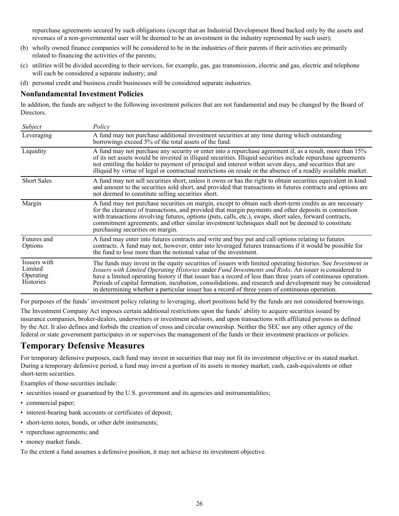repurchase agreements secured by such obligations (except that an Industrial Development Bond backed only by the assets and revenues of a non-governmental user will be deemed to be an investment in the industry represented by such user);

- (b) wholly owned finance companies will be considered to be in the industries of their parents if their activities are primarily related to financing the activities of the parents;
- (c) utilities will be divided according to their services, for example, gas, gas transmission, electric and gas, electric and telephone will each be considered a separate industry; and
- (d) personal credit and business credit businesses will be considered separate industries.

### **Nonfundamental Investment Policies**

In addition, the funds are subject to the following investment policies that are not fundamental and may be changed by the Board of Directors.

| Subject                                                  | Policy                                                                                                                                                                                                                                                                                                                                                                                                                                                                                                                                                        |
|----------------------------------------------------------|---------------------------------------------------------------------------------------------------------------------------------------------------------------------------------------------------------------------------------------------------------------------------------------------------------------------------------------------------------------------------------------------------------------------------------------------------------------------------------------------------------------------------------------------------------------|
| Leveraging                                               | A fund may not purchase additional investment securities at any time during which outstanding<br>borrowings exceed 5% of the total assets of the fund.                                                                                                                                                                                                                                                                                                                                                                                                        |
| Liquidity                                                | A fund may not purchase any security or enter into a repurchase agreement if, as a result, more than 15%<br>of its net assets would be invested in illiquid securities. Illiquid securities include repurchase agreements<br>not entitling the holder to payment of principal and interest within seven days, and securities that are<br>illiquid by virtue of legal or contractual restrictions on resale or the absence of a readily available market.                                                                                                      |
| <b>Short Sales</b>                                       | A fund may not sell securities short, unless it owns or has the right to obtain securities equivalent in kind<br>and amount to the securities sold short, and provided that transactions in futures contracts and options are<br>not deemed to constitute selling securities short.                                                                                                                                                                                                                                                                           |
| Margin                                                   | A fund may not purchase securities on margin, except to obtain such short-term credits as are necessary<br>for the clearance of transactions, and provided that margin payments and other deposits in connection<br>with transactions involving futures, options (puts, calls, etc.), swaps, short sales, forward contracts,<br>commitment agreements, and other similar investment techniques shall not be deemed to constitute<br>purchasing securities on margin.                                                                                          |
| Futures and<br>Options                                   | A fund may enter into futures contracts and write and buy put and call options relating to futures<br>contracts. A fund may not, however, enter into leveraged futures transactions if it would be possible for<br>the fund to lose more than the notional value of the investment.                                                                                                                                                                                                                                                                           |
| Issuers with<br>Limited<br>Operating<br><b>Histories</b> | The funds may invest in the equity securities of issuers with limited operating histories. See <i>Investment in</i><br>Issuers with Limited Operating Histories under Fund Investments and Risks. An issuer is considered to<br>have a limited operating history if that issuer has a record of less than three years of continuous operation.<br>Periods of capital formation, incubation, consolidations, and research and development may be considered<br>in determining whether a particular issuer has a record of three years of continuous operation. |

For purposes of the funds' investment policy relating to leveraging, short positions held by the funds are not considered borrowings.

The Investment Company Act imposes certain additional restrictions upon the funds' ability to acquire securities issued by insurance companies, broker-dealers, underwriters or investment advisors, and upon transactions with affiliated persons as defined by the Act. It also defines and forbids the creation of cross and circular ownership. Neither the SEC nor any other agency of the federal or state government participates in or supervises the management of the funds or their investment practices or policies.

# **Temporary Defensive Measures**

For temporary defensive purposes, each fund may invest in securities that may not fit its investment objective or its stated market. During a temporary defensive period, a fund may invest a portion of its assets in money market, cash, cash-equivalents or other short-term securities.

Examples of those securities include:

- securities issued or guaranteed by the U.S. government and its agencies and instrumentalities;
- commercial paper;
- interest-bearing bank accounts or certificates of deposit;
- short-term notes, bonds, or other debt instruments;
- repurchase agreements; and
- money market funds.

To the extent a fund assumes a defensive position, it may not achieve its investment objective.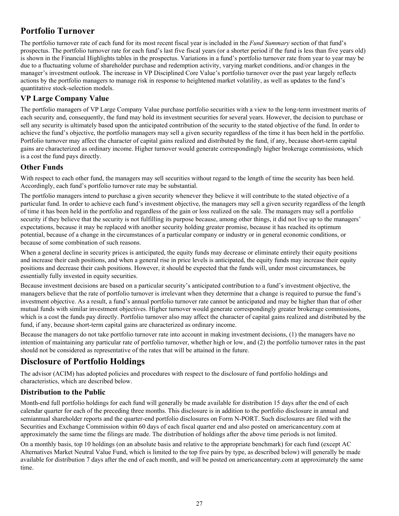# **Portfolio Turnover**

The portfolio turnover rate of each fund for its most recent fiscal year is included in the *Fund Summary* section of that fund's prospectus. The portfolio turnover rate for each fund's last five fiscal years (or a shorter period if the fund is less than five years old) is shown in the Financial Highlights tables in the prospectus. Variations in a fund's portfolio turnover rate from year to year may be due to a fluctuating volume of shareholder purchase and redemption activity, varying market conditions, and/or changes in the manager's investment outlook. The increase in VP Disciplined Core Value's portfolio turnover over the past year largely reflects actions by the portfolio managers to manage risk in response to heightened market volatility, as well as updates to the fund's quantitative stock-selection models.

# **VP Large Company Value**

The portfolio managers of VP Large Company Value purchase portfolio securities with a view to the long-term investment merits of each security and, consequently, the fund may hold its investment securities for several years. However, the decision to purchase or sell any security is ultimately based upon the anticipated contribution of the security to the stated objective of the fund. In order to achieve the fund's objective, the portfolio managers may sell a given security regardless of the time it has been held in the portfolio. Portfolio turnover may affect the character of capital gains realized and distributed by the fund, if any, because short-term capital gains are characterized as ordinary income. Higher turnover would generate correspondingly higher brokerage commissions, which is a cost the fund pays directly.

# **Other Funds**

With respect to each other fund, the managers may sell securities without regard to the length of time the security has been held. Accordingly, each fund's portfolio turnover rate may be substantial.

The portfolio managers intend to purchase a given security whenever they believe it will contribute to the stated objective of a particular fund. In order to achieve each fund's investment objective, the managers may sell a given security regardless of the length of time it has been held in the portfolio and regardless of the gain or loss realized on the sale. The managers may sell a portfolio security if they believe that the security is not fulfilling its purpose because, among other things, it did not live up to the managers' expectations, because it may be replaced with another security holding greater promise, because it has reached its optimum potential, because of a change in the circumstances of a particular company or industry or in general economic conditions, or because of some combination of such reasons.

When a general decline in security prices is anticipated, the equity funds may decrease or eliminate entirely their equity positions and increase their cash positions, and when a general rise in price levels is anticipated, the equity funds may increase their equity positions and decrease their cash positions. However, it should be expected that the funds will, under most circumstances, be essentially fully invested in equity securities.

Because investment decisions are based on a particular security's anticipated contribution to a fund's investment objective, the managers believe that the rate of portfolio turnover is irrelevant when they determine that a change is required to pursue the fund's investment objective. As a result, a fund's annual portfolio turnover rate cannot be anticipated and may be higher than that of other mutual funds with similar investment objectives. Higher turnover would generate correspondingly greater brokerage commissions, which is a cost the funds pay directly. Portfolio turnover also may affect the character of capital gains realized and distributed by the fund, if any, because short-term capital gains are characterized as ordinary income.

Because the managers do not take portfolio turnover rate into account in making investment decisions, (1) the managers have no intention of maintaining any particular rate of portfolio turnover, whether high or low, and (2) the portfolio turnover rates in the past should not be considered as representative of the rates that will be attained in the future.

# **Disclosure of Portfolio Holdings**

The advisor (ACIM) has adopted policies and procedures with respect to the disclosure of fund portfolio holdings and characteristics, which are described below.

# **Distribution to the Public**

Month-end full portfolio holdings for each fund will generally be made available for distribution 15 days after the end of each calendar quarter for each of the preceding three months. This disclosure is in addition to the portfolio disclosure in annual and semiannual shareholder reports and the quarter-end portfolio disclosures on Form N-PORT. Such disclosures are filed with the Securities and Exchange Commission within 60 days of each fiscal quarter end and also posted on americancentury.com at approximately the same time the filings are made. The distribution of holdings after the above time periods is not limited.

On a monthly basis, top 10 holdings (on an absolute basis and relative to the appropriate benchmark) for each fund (except AC Alternatives Market Neutral Value Fund, which is limited to the top five pairs by type, as described below) will generally be made available for distribution 7 days after the end of each month, and will be posted on americancentury.com at approximately the same time.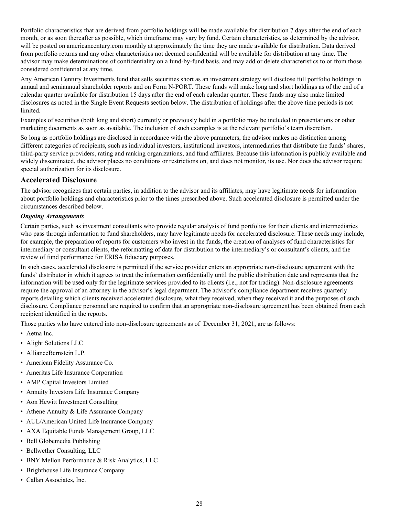Portfolio characteristics that are derived from portfolio holdings will be made available for distribution 7 days after the end of each month, or as soon thereafter as possible, which timeframe may vary by fund. Certain characteristics, as determined by the advisor, will be posted on americancentury.com monthly at approximately the time they are made available for distribution. Data derived from portfolio returns and any other characteristics not deemed confidential will be available for distribution at any time. The advisor may make determinations of confidentiality on a fund-by-fund basis, and may add or delete characteristics to or from those considered confidential at any time.

Any American Century Investments fund that sells securities short as an investment strategy will disclose full portfolio holdings in annual and semiannual shareholder reports and on Form N-PORT. These funds will make long and short holdings as of the end of a calendar quarter available for distribution 15 days after the end of each calendar quarter. These funds may also make limited disclosures as noted in the Single Event Requests section below. The distribution of holdings after the above time periods is not limited.

Examples of securities (both long and short) currently or previously held in a portfolio may be included in presentations or other marketing documents as soon as available. The inclusion of such examples is at the relevant portfolio's team discretion.

So long as portfolio holdings are disclosed in accordance with the above parameters, the advisor makes no distinction among different categories of recipients, such as individual investors, institutional investors, intermediaries that distribute the funds' shares, third-party service providers, rating and ranking organizations, and fund affiliates. Because this information is publicly available and widely disseminated, the advisor places no conditions or restrictions on, and does not monitor, its use. Nor does the advisor require special authorization for its disclosure.

### **Accelerated Disclosure**

The advisor recognizes that certain parties, in addition to the advisor and its affiliates, may have legitimate needs for information about portfolio holdings and characteristics prior to the times prescribed above. Such accelerated disclosure is permitted under the circumstances described below.

#### *Ongoing Arrangements*

Certain parties, such as investment consultants who provide regular analysis of fund portfolios for their clients and intermediaries who pass through information to fund shareholders, may have legitimate needs for accelerated disclosure. These needs may include, for example, the preparation of reports for customers who invest in the funds, the creation of analyses of fund characteristics for intermediary or consultant clients, the reformatting of data for distribution to the intermediary's or consultant's clients, and the review of fund performance for ERISA fiduciary purposes.

In such cases, accelerated disclosure is permitted if the service provider enters an appropriate non-disclosure agreement with the funds' distributor in which it agrees to treat the information confidentially until the public distribution date and represents that the information will be used only for the legitimate services provided to its clients (i.e., not for trading). Non-disclosure agreements require the approval of an attorney in the advisor's legal department. The advisor's compliance department receives quarterly reports detailing which clients received accelerated disclosure, what they received, when they received it and the purposes of such disclosure. Compliance personnel are required to confirm that an appropriate non-disclosure agreement has been obtained from each recipient identified in the reports.

Those parties who have entered into non-disclosure agreements as of December 31, 2021, are as follows:

- Aetna Inc.
- Alight Solutions LLC
- AllianceBernstein L.P.
- American Fidelity Assurance Co.
- Ameritas Life Insurance Corporation
- AMP Capital Investors Limited
- Annuity Investors Life Insurance Company
- Aon Hewitt Investment Consulting
- Athene Annuity & Life Assurance Company
- AUL/American United Life Insurance Company
- AXA Equitable Funds Management Group, LLC
- Bell Globemedia Publishing
- Bellwether Consulting, LLC
- BNY Mellon Performance & Risk Analytics, LLC
- Brighthouse Life Insurance Company
- Callan Associates, Inc.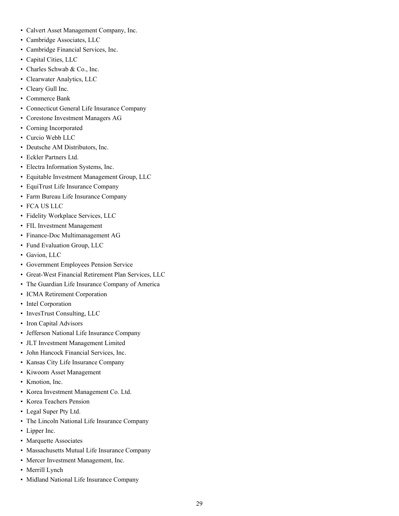- Calvert Asset Management Company, Inc.
- Cambridge Associates, LLC
- Cambridge Financial Services, Inc.
- Capital Cities, LLC
- Charles Schwab & Co., Inc.
- Clearwater Analytics, LLC
- Cleary Gull Inc.
- Commerce Bank
- Connecticut General Life Insurance Company
- Corestone Investment Managers AG
- Corning Incorporated
- Curcio Webb LLC
- Deutsche AM Distributors, Inc.
- Eckler Partners Ltd.
- Electra Information Systems, Inc.
- Equitable Investment Management Group, LLC
- EquiTrust Life Insurance Company
- Farm Bureau Life Insurance Company
- FCA US LLC
- Fidelity Workplace Services, LLC
- FIL Investment Management
- Finance-Doc Multimanagement AG
- Fund Evaluation Group, LLC
- Gavion, LLC
- Government Employees Pension Service
- Great-West Financial Retirement Plan Services, LLC
- The Guardian Life Insurance Company of America
- ICMA Retirement Corporation
- Intel Corporation
- InvesTrust Consulting, LLC
- Iron Capital Advisors
- Jefferson National Life Insurance Company
- JLT Investment Management Limited
- John Hancock Financial Services, Inc.
- Kansas City Life Insurance Company
- Kiwoom Asset Management
- Kmotion, Inc.
- Korea Investment Management Co. Ltd.
- Korea Teachers Pension
- Legal Super Pty Ltd.
- The Lincoln National Life Insurance Company
- Lipper Inc.
- Marquette Associates
- Massachusetts Mutual Life Insurance Company
- Mercer Investment Management, Inc.
- Merrill Lynch
- Midland National Life Insurance Company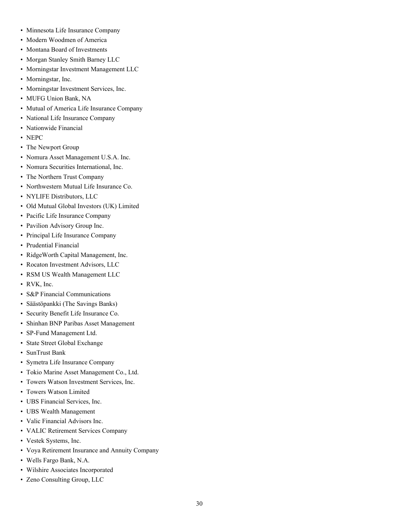- Minnesota Life Insurance Company
- Modern Woodmen of America
- Montana Board of Investments
- Morgan Stanley Smith Barney LLC
- Morningstar Investment Management LLC
- Morningstar, Inc.
- Morningstar Investment Services, Inc.
- MUFG Union Bank, NA
- Mutual of America Life Insurance Company
- National Life Insurance Company
- Nationwide Financial
- NEPC
- The Newport Group
- Nomura Asset Management U.S.A. Inc.
- Nomura Securities International, Inc.
- The Northern Trust Company
- Northwestern Mutual Life Insurance Co.
- NYLIFE Distributors, LLC
- Old Mutual Global Investors (UK) Limited
- Pacific Life Insurance Company
- Pavilion Advisory Group Inc.
- Principal Life Insurance Company
- Prudential Financial
- RidgeWorth Capital Management, Inc.
- Rocaton Investment Advisors, LLC
- RSM US Wealth Management LLC
- RVK, Inc.
- S&P Financial Communications
- Säästöpankki (The Savings Banks)
- Security Benefit Life Insurance Co.
- Shinhan BNP Paribas Asset Management
- SP-Fund Management Ltd.
- State Street Global Exchange
- SunTrust Bank
- Symetra Life Insurance Company
- Tokio Marine Asset Management Co., Ltd.
- Towers Watson Investment Services, Inc.
- Towers Watson Limited
- UBS Financial Services, Inc.
- UBS Wealth Management
- Valic Financial Advisors Inc.
- VALIC Retirement Services Company
- Vestek Systems, Inc.
- Voya Retirement Insurance and Annuity Company
- Wells Fargo Bank, N.A.
- Wilshire Associates Incorporated
- Zeno Consulting Group, LLC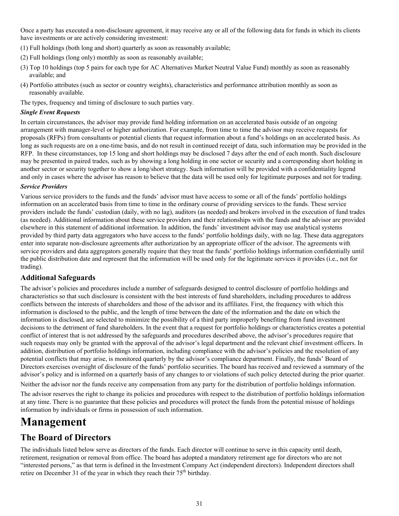Once a party has executed a non-disclosure agreement, it may receive any or all of the following data for funds in which its clients have investments or are actively considering investment:

- (1) Full holdings (both long and short) quarterly as soon as reasonably available;
- (2) Full holdings (long only) monthly as soon as reasonably available;
- (3) Top 10 holdings (top 5 pairs for each type for AC Alternatives Market Neutral Value Fund) monthly as soon as reasonably available; and
- (4) Portfolio attributes (such as sector or country weights), characteristics and performance attribution monthly as soon as reasonably available.

The types, frequency and timing of disclosure to such parties vary.

#### *Single Event Requests*

In certain circumstances, the advisor may provide fund holding information on an accelerated basis outside of an ongoing arrangement with manager-level or higher authorization. For example, from time to time the advisor may receive requests for proposals (RFPs) from consultants or potential clients that request information about a fund's holdings on an accelerated basis. As long as such requests are on a one-time basis, and do not result in continued receipt of data, such information may be provided in the RFP. In these circumstances, top 15 long and short holdings may be disclosed 7 days after the end of each month. Such disclosure may be presented in paired trades, such as by showing a long holding in one sector or security and a corresponding short holding in another sector or security together to show a long/short strategy. Such information will be provided with a confidentiality legend and only in cases where the advisor has reason to believe that the data will be used only for legitimate purposes and not for trading.

#### *Service Providers*

Various service providers to the funds and the funds' advisor must have access to some or all of the funds' portfolio holdings information on an accelerated basis from time to time in the ordinary course of providing services to the funds. These service providers include the funds' custodian (daily, with no lag), auditors (as needed) and brokers involved in the execution of fund trades (as needed). Additional information about these service providers and their relationships with the funds and the advisor are provided elsewhere in this statement of additional information. In addition, the funds' investment advisor may use analytical systems provided by third party data aggregators who have access to the funds' portfolio holdings daily, with no lag. These data aggregators enter into separate non-disclosure agreements after authorization by an appropriate officer of the advisor. The agreements with service providers and data aggregators generally require that they treat the funds' portfolio holdings information confidentially until the public distribution date and represent that the information will be used only for the legitimate services it provides (i.e., not for trading).

## **Additional Safeguards**

The advisor's policies and procedures include a number of safeguards designed to control disclosure of portfolio holdings and characteristics so that such disclosure is consistent with the best interests of fund shareholders, including procedures to address conflicts between the interests of shareholders and those of the advisor and its affiliates. First, the frequency with which this information is disclosed to the public, and the length of time between the date of the information and the date on which the information is disclosed, are selected to minimize the possibility of a third party improperly benefiting from fund investment decisions to the detriment of fund shareholders. In the event that a request for portfolio holdings or characteristics creates a potential conflict of interest that is not addressed by the safeguards and procedures described above, the advisor's procedures require that such requests may only be granted with the approval of the advisor's legal department and the relevant chief investment officers. In addition, distribution of portfolio holdings information, including compliance with the advisor's policies and the resolution of any potential conflicts that may arise, is monitored quarterly by the advisor's compliance department. Finally, the funds' Board of Directors exercises oversight of disclosure of the funds' portfolio securities. The board has received and reviewed a summary of the advisor's policy and is informed on a quarterly basis of any changes to or violations of such policy detected during the prior quarter.

Neither the advisor nor the funds receive any compensation from any party for the distribution of portfolio holdings information.

The advisor reserves the right to change its policies and procedures with respect to the distribution of portfolio holdings information at any time. There is no guarantee that these policies and procedures will protect the funds from the potential misuse of holdings information by individuals or firms in possession of such information.

# **Management**

# **The Board of Directors**

The individuals listed below serve as directors of the funds. Each director will continue to serve in this capacity until death, retirement, resignation or removal from office. The board has adopted a mandatory retirement age for directors who are not "interested persons," as that term is defined in the Investment Company Act (independent directors). Independent directors shall retire on December 31 of the year in which they reach their  $75<sup>th</sup>$  birthday.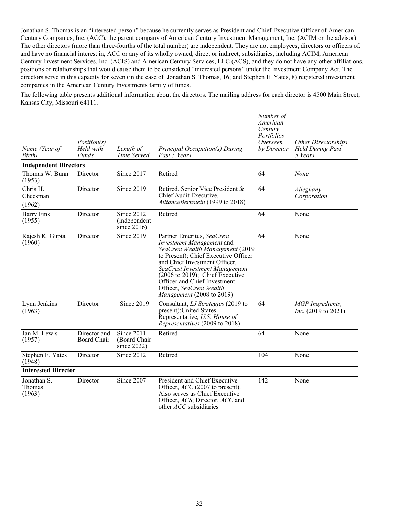Jonathan S. Thomas is an "interested person" because he currently serves as President and Chief Executive Officer of American Century Companies, Inc. (ACC), the parent company of American Century Investment Management, Inc. (ACIM or the advisor). The other directors (more than three-fourths of the total number) are independent. They are not employees, directors or officers of, and have no financial interest in, ACC or any of its wholly owned, direct or indirect, subsidiaries, including ACIM, American Century Investment Services, Inc. (ACIS) and American Century Services, LLC (ACS), and they do not have any other affiliations, positions or relationships that would cause them to be considered "interested persons" under the Investment Company Act. The directors serve in this capacity for seven (in the case of Jonathan S. Thomas, 16; and Stephen E. Yates, 8) registered investment companies in the American Century Investments family of funds.

The following table presents additional information about the directors. The mailing address for each director is 4500 Main Street, Kansas City, Missouri 64111.

| Name (Year of<br>Birth)         | Position(s)<br>Held with<br><b>Funds</b> | Length of<br>Time Served                      | Principal Occupation(s) During<br>Past 5 Years                                                                                                                                                                                                                                                                                     | Number of<br>American<br>Century<br>Portfolios<br>Overseen<br>by Director | <b>Other Directorships</b><br><b>Held During Past</b><br>5 Years |
|---------------------------------|------------------------------------------|-----------------------------------------------|------------------------------------------------------------------------------------------------------------------------------------------------------------------------------------------------------------------------------------------------------------------------------------------------------------------------------------|---------------------------------------------------------------------------|------------------------------------------------------------------|
| <b>Independent Directors</b>    |                                          |                                               |                                                                                                                                                                                                                                                                                                                                    |                                                                           |                                                                  |
| Thomas W. Bunn<br>(1953)        | Director                                 | Since 2017                                    | Retired                                                                                                                                                                                                                                                                                                                            | 64                                                                        | None                                                             |
| Chris H.<br>Cheesman<br>(1962)  | Director                                 | Since 2019                                    | Retired. Senior Vice President &<br>Chief Audit Executive,<br>AllianceBernstein (1999 to 2018)                                                                                                                                                                                                                                     | 64                                                                        | Alleghany<br>Corporation                                         |
| <b>Barry Fink</b><br>(1955)     | Director                                 | Since 2012<br>(independent<br>since $2016$    | Retired                                                                                                                                                                                                                                                                                                                            | 64                                                                        | None                                                             |
| Rajesh K. Gupta<br>(1960)       | Director                                 | Since 2019                                    | Partner Emeritus, SeaCrest<br>Investment Management and<br>SeaCrest Wealth Management (2019<br>to Present); Chief Executive Officer<br>and Chief Investment Officer,<br>SeaCrest Investment Management<br>(2006 to 2019); Chief Executive<br>Officer and Chief Investment<br>Officer, SeaCrest Wealth<br>Management (2008 to 2019) | 64                                                                        | None                                                             |
| Lynn Jenkins<br>(1963)          | Director                                 | Since 2019                                    | Consultant, LJ Strategies (2019 to<br>present); United States<br>Representative, U.S. House of<br>Representatives (2009 to 2018)                                                                                                                                                                                                   | 64                                                                        | MGP Ingredients,<br><i>Inc.</i> $(2019 \text{ to } 2021)$        |
| Jan M. Lewis<br>(1957)          | Director and<br>Board Chair              | Since 2011<br>(Board Chair)<br>since $2022$ ) | Retired                                                                                                                                                                                                                                                                                                                            | 64                                                                        | None                                                             |
| Stephen E. Yates<br>(1948)      | Director                                 | Since 2012                                    | Retired                                                                                                                                                                                                                                                                                                                            | 104                                                                       | None                                                             |
| <b>Interested Director</b>      |                                          |                                               |                                                                                                                                                                                                                                                                                                                                    |                                                                           |                                                                  |
| Jonathan S.<br>Thomas<br>(1963) | Director                                 | Since 2007                                    | President and Chief Executive<br>Officer, <i>ACC</i> (2007 to present).<br>Also serves as Chief Executive<br>Officer, ACS; Director, ACC and<br>other <i>ACC</i> subsidiaries                                                                                                                                                      | 142                                                                       | None                                                             |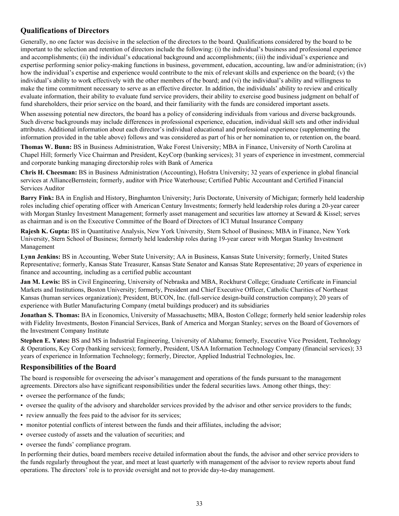# **Qualifications of Directors**

Generally, no one factor was decisive in the selection of the directors to the board. Qualifications considered by the board to be important to the selection and retention of directors include the following: (i) the individual's business and professional experience and accomplishments; (ii) the individual's educational background and accomplishments; (iii) the individual's experience and expertise performing senior policy-making functions in business, government, education, accounting, law and/or administration; (iv) how the individual's expertise and experience would contribute to the mix of relevant skills and experience on the board; (v) the individual's ability to work effectively with the other members of the board; and (vi) the individual's ability and willingness to make the time commitment necessary to serve as an effective director. In addition, the individuals' ability to review and critically evaluate information, their ability to evaluate fund service providers, their ability to exercise good business judgment on behalf of fund shareholders, their prior service on the board, and their familiarity with the funds are considered important assets.

When assessing potential new directors, the board has a policy of considering individuals from various and diverse backgrounds. Such diverse backgrounds may include differences in professional experience, education, individual skill sets and other individual attributes. Additional information about each director's individual educational and professional experience (supplementing the information provided in the table above) follows and was considered as part of his or her nomination to, or retention on, the board.

**Thomas W. Bunn:** BS in Business Administration, Wake Forest University; MBA in Finance, University of North Carolina at Chapel Hill; formerly Vice Chairman and President, KeyCorp (banking services); 31 years of experience in investment, commercial and corporate banking managing directorship roles with Bank of America

**Chris H. Cheesman:** BS in Business Administration (Accounting), Hofstra University; 32 years of experience in global financial services at AllianceBernstein; formerly, auditor with Price Waterhouse; Certified Public Accountant and Certified Financial Services Auditor

**Barry Fink:** BA in English and History, Binghamton University; Juris Doctorate, University of Michigan; formerly held leadership roles including chief operating officer with American Century Investments; formerly held leadership roles during a 20-year career with Morgan Stanley Investment Management; formerly asset management and securities law attorney at Seward & Kissel; serves as chairman and is on the Executive Committee of the Board of Directors of ICI Mutual Insurance Company

**Rajesh K. Gupta:** BS in Quantitative Analysis, New York University, Stern School of Business; MBA in Finance, New York University, Stern School of Business; formerly held leadership roles during 19-year career with Morgan Stanley Investment Management

**Lynn Jenkins:** BS in Accounting, Weber State University; AA in Business, Kansas State University; formerly, United States Representative; formerly, Kansas State Treasurer, Kansas State Senator and Kansas State Representative; 20 years of experience in finance and accounting, including as a certified public accountant

**Jan M. Lewis:** BS in Civil Engineering, University of Nebraska and MBA, Rockhurst College; Graduate Certificate in Financial Markets and Institutions, Boston University; formerly, President and Chief Executive Officer, Catholic Charities of Northeast Kansas (human services organization); President, BUCON, Inc. (full-service design-build construction company); 20 years of experience with Butler Manufacturing Company (metal buildings producer) and its subsidiaries

**Jonathan S. Thomas:** BA in Economics, University of Massachusetts; MBA, Boston College; formerly held senior leadership roles with Fidelity Investments, Boston Financial Services, Bank of America and Morgan Stanley; serves on the Board of Governors of the Investment Company Institute

**Stephen E. Yates:** BS and MS in Industrial Engineering, University of Alabama; formerly, Executive Vice President, Technology & Operations, Key Corp (banking services); formerly, President, USAA Information Technology Company (financial services); 33 years of experience in Information Technology; formerly, Director, Applied Industrial Technologies, Inc.

## **Responsibilities of the Board**

The board is responsible for overseeing the advisor's management and operations of the funds pursuant to the management agreements. Directors also have significant responsibilities under the federal securities laws. Among other things, they:

- oversee the performance of the funds;
- oversee the quality of the advisory and shareholder services provided by the advisor and other service providers to the funds;
- review annually the fees paid to the advisor for its services;
- monitor potential conflicts of interest between the funds and their affiliates, including the advisor;
- oversee custody of assets and the valuation of securities; and
- oversee the funds' compliance program.

In performing their duties, board members receive detailed information about the funds, the advisor and other service providers to the funds regularly throughout the year, and meet at least quarterly with management of the advisor to review reports about fund operations. The directors' role is to provide oversight and not to provide day-to-day management.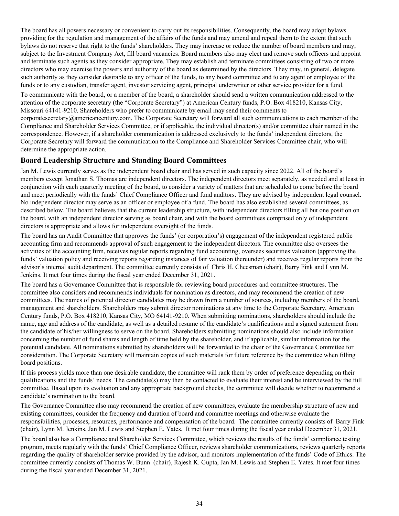The board has all powers necessary or convenient to carry out its responsibilities. Consequently, the board may adopt bylaws providing for the regulation and management of the affairs of the funds and may amend and repeal them to the extent that such bylaws do not reserve that right to the funds' shareholders. They may increase or reduce the number of board members and may, subject to the Investment Company Act, fill board vacancies. Board members also may elect and remove such officers and appoint and terminate such agents as they consider appropriate. They may establish and terminate committees consisting of two or more directors who may exercise the powers and authority of the board as determined by the directors. They may, in general, delegate such authority as they consider desirable to any officer of the funds, to any board committee and to any agent or employee of the funds or to any custodian, transfer agent, investor servicing agent, principal underwriter or other service provider for a fund.

To communicate with the board, or a member of the board, a shareholder should send a written communication addressed to the attention of the corporate secretary (the "Corporate Secretary") at American Century funds, P.O. Box 418210, Kansas City, Missouri 64141-9210. Shareholders who prefer to communicate by email may send their comments to

corporatesecretary@americancentury.com. The Corporate Secretary will forward all such communications to each member of the Compliance and Shareholder Services Committee, or if applicable, the individual director(s) and/or committee chair named in the correspondence. However, if a shareholder communication is addressed exclusively to the funds' independent directors, the Corporate Secretary will forward the communication to the Compliance and Shareholder Services Committee chair, who will determine the appropriate action.

### **Board Leadership Structure and Standing Board Committees**

Jan M. Lewis currently serves as the independent board chair and has served in such capacity since 2022. All of the board's members except Jonathan S. Thomas are independent directors. The independent directors meet separately, as needed and at least in conjunction with each quarterly meeting of the board, to consider a variety of matters that are scheduled to come before the board and meet periodically with the funds' Chief Compliance Officer and fund auditors. They are advised by independent legal counsel. No independent director may serve as an officer or employee of a fund. The board has also established several committees, as described below. The board believes that the current leadership structure, with independent directors filling all but one position on the board, with an independent director serving as board chair, and with the board committees comprised only of independent directors is appropriate and allows for independent oversight of the funds.

The board has an Audit Committee that approves the funds' (or corporation's) engagement of the independent registered public accounting firm and recommends approval of such engagement to the independent directors. The committee also oversees the activities of the accounting firm, receives regular reports regarding fund accounting, oversees securities valuation (approving the funds' valuation policy and receiving reports regarding instances of fair valuation thereunder) and receives regular reports from the advisor's internal audit department. The committee currently consists of Chris H. Cheesman (chair), Barry Fink and Lynn M. Jenkins. It met four times during the fiscal year ended December 31, 2021.

The board has a Governance Committee that is responsible for reviewing board procedures and committee structures. The committee also considers and recommends individuals for nomination as directors, and may recommend the creation of new committees. The names of potential director candidates may be drawn from a number of sources, including members of the board, management and shareholders. Shareholders may submit director nominations at any time to the Corporate Secretary, American Century funds, P.O. Box 418210, Kansas City, MO 64141-9210. When submitting nominations, shareholders should include the name, age and address of the candidate, as well as a detailed resume of the candidate's qualifications and a signed statement from the candidate of his/her willingness to serve on the board. Shareholders submitting nominations should also include information concerning the number of fund shares and length of time held by the shareholder, and if applicable, similar information for the potential candidate. All nominations submitted by shareholders will be forwarded to the chair of the Governance Committee for consideration. The Corporate Secretary will maintain copies of such materials for future reference by the committee when filling board positions.

If this process yields more than one desirable candidate, the committee will rank them by order of preference depending on their qualifications and the funds' needs. The candidate(s) may then be contacted to evaluate their interest and be interviewed by the full committee. Based upon its evaluation and any appropriate background checks, the committee will decide whether to recommend a candidate's nomination to the board.

The Governance Committee also may recommend the creation of new committees, evaluate the membership structure of new and existing committees, consider the frequency and duration of board and committee meetings and otherwise evaluate the responsibilities, processes, resources, performance and compensation of the board. The committee currently consists of Barry Fink (chair), Lynn M. Jenkins, Jan M. Lewis and Stephen E. Yates. It met four times during the fiscal year ended December 31, 2021.

The board also has a Compliance and Shareholder Services Committee, which reviews the results of the funds' compliance testing program, meets regularly with the funds' Chief Compliance Officer, reviews shareholder communications, reviews quarterly reports regarding the quality of shareholder service provided by the advisor, and monitors implementation of the funds' Code of Ethics. The committee currently consists of Thomas W. Bunn (chair), Rajesh K. Gupta, Jan M. Lewis and Stephen E. Yates. It met four times during the fiscal year ended December 31, 2021.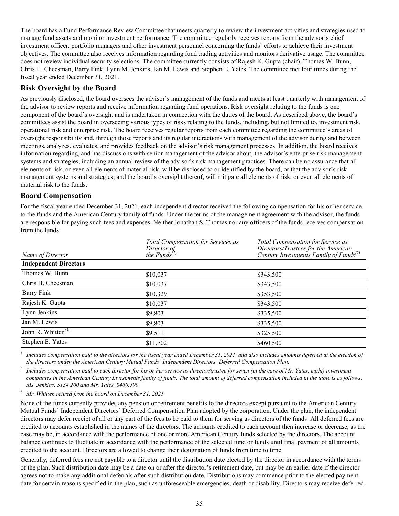The board has a Fund Performance Review Committee that meets quarterly to review the investment activities and strategies used to manage fund assets and monitor investment performance. The committee regularly receives reports from the advisor's chief investment officer, portfolio managers and other investment personnel concerning the funds' efforts to achieve their investment objectives. The committee also receives information regarding fund trading activities and monitors derivative usage. The committee does not review individual security selections. The committee currently consists of Rajesh K. Gupta (chair), Thomas W. Bunn, Chris H. Cheesman, Barry Fink, Lynn M. Jenkins, Jan M. Lewis and Stephen E. Yates. The committee met four times during the fiscal year ended December 31, 2021.

# **Risk Oversight by the Board**

As previously disclosed, the board oversees the advisor's management of the funds and meets at least quarterly with management of the advisor to review reports and receive information regarding fund operations. Risk oversight relating to the funds is one component of the board's oversight and is undertaken in connection with the duties of the board. As described above, the board's committees assist the board in overseeing various types of risks relating to the funds, including, but not limited to, investment risk, operational risk and enterprise risk. The board receives regular reports from each committee regarding the committee's areas of oversight responsibility and, through those reports and its regular interactions with management of the advisor during and between meetings, analyzes, evaluates, and provides feedback on the advisor's risk management processes. In addition, the board receives information regarding, and has discussions with senior management of the advisor about, the advisor's enterprise risk management systems and strategies, including an annual review of the advisor's risk management practices. There can be no assurance that all elements of risk, or even all elements of material risk, will be disclosed to or identified by the board, or that the advisor's risk management systems and strategies, and the board's oversight thereof, will mitigate all elements of risk, or even all elements of material risk to the funds.

# **Board Compensation**

For the fiscal year ended December 31, 2021, each independent director received the following compensation for his or her service to the funds and the American Century family of funds. Under the terms of the management agreement with the advisor, the funds are responsible for paying such fees and expenses. Neither Jonathan S. Thomas nor any officers of the funds receives compensation from the funds.

|                              | <b>Total Compensation for Services as</b> | Total Compensation for Service as                                                         |
|------------------------------|-------------------------------------------|-------------------------------------------------------------------------------------------|
| Name of Director             | Director of<br>the Funds <sup>(1)</sup>   | Directors/Trustees for the American<br>Century Investments Family of Funds <sup>(2)</sup> |
| <b>Independent Directors</b> |                                           |                                                                                           |
| Thomas W. Bunn               | \$10,037                                  | \$343,500                                                                                 |
| Chris H. Cheesman            | \$10,037                                  | \$343,500                                                                                 |
| <b>Barry Fink</b>            | \$10,329                                  | \$353,500                                                                                 |
| Rajesh K. Gupta              | \$10,037                                  | \$343,500                                                                                 |
| Lynn Jenkins                 | \$9,803                                   | \$335,500                                                                                 |
| Jan M. Lewis                 | \$9,803                                   | \$335,500                                                                                 |
| John R. Whitten $^{(3)}$     | \$9,511                                   | \$325,500                                                                                 |
| Stephen E. Yates             | \$11,702                                  | \$460,500                                                                                 |

*<sup>1</sup>Includes compensation paid to the directors for the fiscal year ended December 31, 2021, and also includes amounts deferred at the election of the directors under the American Century Mutual Funds' Independent Directors' Deferred Compensation Plan.*

*<sup>2</sup>Includes compensation paid to each director for his or her service as director/trustee for seven (in the case of Mr. Yates, eight) investment companies in the American Century Investments family of funds. The total amount of deferred compensation included in the table is as follows: Ms. Jenkins, \$134,200 and Mr. Yates, \$460,500.*

*<sup>3</sup> Mr. Whitten retired from the board on December 31, 2021.*

None of the funds currently provides any pension or retirement benefits to the directors except pursuant to the American Century Mutual Funds' Independent Directors' Deferred Compensation Plan adopted by the corporation. Under the plan, the independent directors may defer receipt of all or any part of the fees to be paid to them for serving as directors of the funds. All deferred fees are credited to accounts established in the names of the directors. The amounts credited to each account then increase or decrease, as the case may be, in accordance with the performance of one or more American Century funds selected by the directors. The account balance continues to fluctuate in accordance with the performance of the selected fund or funds until final payment of all amounts credited to the account. Directors are allowed to change their designation of funds from time to time.

Generally, deferred fees are not payable to a director until the distribution date elected by the director in accordance with the terms of the plan. Such distribution date may be a date on or after the director's retirement date, but may be an earlier date if the director agrees not to make any additional deferrals after such distribution date. Distributions may commence prior to the elected payment date for certain reasons specified in the plan, such as unforeseeable emergencies, death or disability. Directors may receive deferred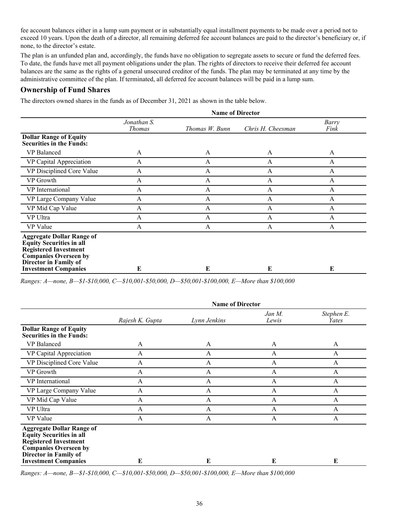fee account balances either in a lump sum payment or in substantially equal installment payments to be made over a period not to exceed 10 years. Upon the death of a director, all remaining deferred fee account balances are paid to the director's beneficiary or, if none, to the director's estate.

The plan is an unfunded plan and, accordingly, the funds have no obligation to segregate assets to secure or fund the deferred fees. To date, the funds have met all payment obligations under the plan. The rights of directors to receive their deferred fee account balances are the same as the rights of a general unsecured creditor of the funds. The plan may be terminated at any time by the administrative committee of the plan. If terminated, all deferred fee account balances will be paid in a lump sum.

### **Ownership of Fund Shares**

The directors owned shares in the funds as of December 31, 2021 as shown in the table below.

|                                                                                                                                                                                      | <b>Name of Director</b>      |                |                   |               |
|--------------------------------------------------------------------------------------------------------------------------------------------------------------------------------------|------------------------------|----------------|-------------------|---------------|
|                                                                                                                                                                                      | Jonathan S.<br><i>Thomas</i> | Thomas W. Bunn | Chris H. Cheesman | Barry<br>Fink |
| <b>Dollar Range of Equity</b><br><b>Securities in the Funds:</b>                                                                                                                     |                              |                |                   |               |
| VP Balanced                                                                                                                                                                          | A                            | A              | A                 | A             |
| VP Capital Appreciation                                                                                                                                                              | $\mathsf{A}$                 | A              | $\mathsf{A}$      | A             |
| VP Disciplined Core Value                                                                                                                                                            | $\mathsf{A}$                 | A              | A                 | A             |
| VP Growth                                                                                                                                                                            | $\overline{A}$               | A              | $\mathsf{A}$      | A             |
| VP International                                                                                                                                                                     | $\mathsf{A}$                 | $\overline{A}$ | $\mathsf{A}$      | $\mathsf{A}$  |
| VP Large Company Value                                                                                                                                                               | $\overline{A}$               | $\overline{A}$ | $\mathsf{A}$      | A             |
| VP Mid Cap Value                                                                                                                                                                     | A                            | A              | A                 | A             |
| VP Ultra                                                                                                                                                                             | A                            | A              | A                 | A             |
| VP Value                                                                                                                                                                             | A                            | A              | A                 | A             |
| <b>Aggregate Dollar Range of</b><br>Equity Securities in all<br><b>Registered Investment</b><br><b>Companies Overseen by</b><br>Director in Family of<br><b>Investment Companies</b> | E                            | E              | E                 | E             |

*Ranges: A—none, B—\$1-\$10,000, C—\$10,001-\$50,000, D—\$50,001-\$100,000, E—More than \$100,000*

|                                                                                                                                                                                             | <b>Name of Director</b> |              |                 |                     |
|---------------------------------------------------------------------------------------------------------------------------------------------------------------------------------------------|-------------------------|--------------|-----------------|---------------------|
|                                                                                                                                                                                             | Rajesh K. Gupta         | Lynn Jenkins | Jan M.<br>Lewis | Stephen E.<br>Yates |
| <b>Dollar Range of Equity</b><br><b>Securities in the Funds:</b>                                                                                                                            |                         |              |                 |                     |
| <b>VP</b> Balanced                                                                                                                                                                          | A                       | A            | A               | A                   |
| VP Capital Appreciation                                                                                                                                                                     | A                       | A            | A               | A                   |
| VP Disciplined Core Value                                                                                                                                                                   | A                       | A            | A               | A                   |
| VP Growth                                                                                                                                                                                   | A                       | A            | A               | A                   |
| VP International                                                                                                                                                                            | A                       | A            | A               | A                   |
| VP Large Company Value                                                                                                                                                                      | A                       | A            | $\mathbf{A}$    | A                   |
| VP Mid Cap Value                                                                                                                                                                            | A                       | A            | A               | A                   |
| VP Ultra                                                                                                                                                                                    | A                       | A            | A               | A                   |
| VP Value                                                                                                                                                                                    | A                       | A            | A               | A                   |
| <b>Aggregate Dollar Range of</b><br><b>Equity Securities in all</b><br><b>Registered Investment</b><br><b>Companies Overseen by</b><br>Director in Family of<br><b>Investment Companies</b> | E                       | E            | E               | E                   |

*Ranges: A—none, B—\$1-\$10,000, C—\$10,001-\$50,000, D—\$50,001-\$100,000, E—More than \$100,000*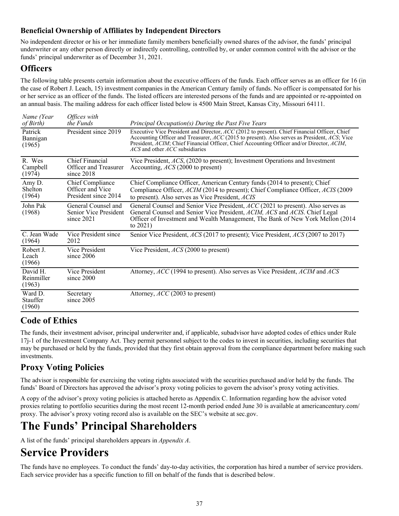# **Beneficial Ownership of Affiliates by Independent Directors**

No independent director or his or her immediate family members beneficially owned shares of the advisor, the funds' principal underwriter or any other person directly or indirectly controlling, controlled by, or under common control with the advisor or the funds' principal underwriter as of December 31, 2021.

# **Officers**

The following table presents certain information about the executive officers of the funds. Each officer serves as an officer for 16 (in the case of Robert J. Leach, 15) investment companies in the American Century family of funds. No officer is compensated for his or her service as an officer of the funds. The listed officers are interested persons of the funds and are appointed or re-appointed on an annual basis. The mailing address for each officer listed below is 4500 Main Street, Kansas City, Missouri 64111.

| Name (Year<br>of Birth)          | <i>Offices with</i><br>the Funds                                | Principal Occupation(s) During the Past Five Years                                                                                                                                                                                                                                                                                        |
|----------------------------------|-----------------------------------------------------------------|-------------------------------------------------------------------------------------------------------------------------------------------------------------------------------------------------------------------------------------------------------------------------------------------------------------------------------------------|
| Patrick<br>Bannigan<br>(1965)    | President since 2019                                            | Executive Vice President and Director, ACC (2012 to present). Chief Financial Officer, Chief<br>Accounting Officer and Treasurer, ACC (2015 to present). Also serves as President, ACS; Vice<br>President, ACIM; Chief Financial Officer, Chief Accounting Officer and/or Director, ACIM,<br><i>ACS</i> and other <i>ACC</i> subsidiaries |
| R. Wes<br>Campbell<br>(1974)     | <b>Chief Financial</b><br>Officer and Treasurer<br>since $2018$ | Vice President, ACS, (2020 to present); Investment Operations and Investment<br>Accounting, $ACS (2000$ to present)                                                                                                                                                                                                                       |
| Amy D.<br>Shelton<br>(1964)      | Chief Compliance<br>Officer and Vice<br>President since 2014    | Chief Compliance Officer, American Century funds (2014 to present); Chief<br>Compliance Officer, ACIM (2014 to present); Chief Compliance Officer, ACIS (2009<br>to present). Also serves as Vice President, ACIS                                                                                                                         |
| John Pak<br>(1968)               | General Counsel and<br>Senior Vice President<br>since $2021$    | General Counsel and Senior Vice President, ACC (2021 to present). Also serves as<br>General Counsel and Senior Vice President, ACIM, ACS and ACIS. Chief Legal<br>Officer of Investment and Wealth Management, The Bank of New York Mellon (2014)<br>to $2021$ )                                                                          |
| C. Jean Wade<br>(1964)           | Vice President since<br>2012                                    | Senior Vice President, ACS (2017 to present); Vice President, ACS (2007 to 2017)                                                                                                                                                                                                                                                          |
| Robert J.<br>Leach<br>(1966)     | Vice President<br>since 2006                                    | Vice President, <i>ACS</i> (2000 to present)                                                                                                                                                                                                                                                                                              |
| David H.<br>Reinmiller<br>(1963) | Vice President<br>since $2000$                                  | Attorney, ACC (1994 to present). Also serves as Vice President, ACIM and ACS                                                                                                                                                                                                                                                              |
| Ward D.<br>Stauffer<br>(1960)    | Secretary<br>since $2005$                                       | Attorney, ACC (2003 to present)                                                                                                                                                                                                                                                                                                           |

# **Code of Ethics**

The funds, their investment advisor, principal underwriter and, if applicable, subadvisor have adopted codes of ethics under Rule 17j-1 of the Investment Company Act. They permit personnel subject to the codes to invest in securities, including securities that may be purchased or held by the funds, provided that they first obtain approval from the compliance department before making such investments.

# **Proxy Voting Policies**

The advisor is responsible for exercising the voting rights associated with the securities purchased and/or held by the funds. The funds' Board of Directors has approved the advisor's proxy voting policies to govern the advisor's proxy voting activities.

A copy of the advisor's proxy voting policies is attached hereto as Appendix C. Information regarding how the advisor voted proxies relating to portfolio securities during the most recent 12-month period ended June 30 is available at americancentury.com/ proxy. The advisor's proxy voting record also is available on the SEC's website at sec.gov.

# **The Funds' Principal Shareholders**

A list of the funds' principal shareholders appears in *Appendix A*.

# **Service Providers**

The funds have no employees. To conduct the funds' day-to-day activities, the corporation has hired a number of service providers. Each service provider has a specific function to fill on behalf of the funds that is described below.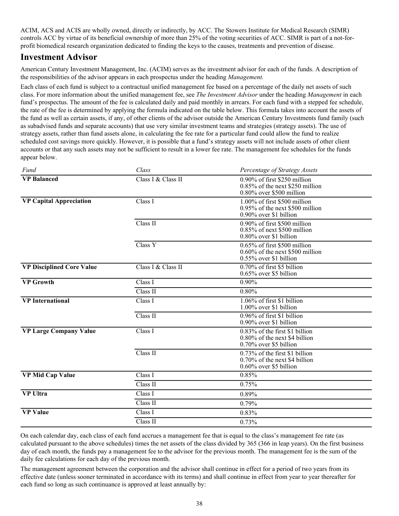ACIM, ACS and ACIS are wholly owned, directly or indirectly, by ACC. The Stowers Institute for Medical Research (SIMR) controls ACC by virtue of its beneficial ownership of more than 25% of the voting securities of ACC. SIMR is part of a not-forprofit biomedical research organization dedicated to finding the keys to the causes, treatments and prevention of disease.

# **Investment Advisor**

American Century Investment Management, Inc. (ACIM) serves as the investment advisor for each of the funds. A description of the responsibilities of the advisor appears in each prospectus under the heading *Management.*

Each class of each fund is subject to a contractual unified management fee based on a percentage of the daily net assets of such class. For more information about the unified management fee, see *The Investment Advisor* under the heading *Management* in each fund's prospectus. The amount of the fee is calculated daily and paid monthly in arrears. For each fund with a stepped fee schedule, the rate of the fee is determined by applying the formula indicated on the table below. This formula takes into account the assets of the fund as well as certain assets, if any, of other clients of the advisor outside the American Century Investments fund family (such as subadvised funds and separate accounts) that use very similar investment teams and strategies (strategy assets). The use of strategy assets, rather than fund assets alone, in calculating the fee rate for a particular fund could allow the fund to realize scheduled cost savings more quickly. However, it is possible that a fund's strategy assets will not include assets of other client accounts or that any such assets may not be sufficient to result in a lower fee rate. The management fee schedules for the funds appear below.

| Fund                             | Class              | Percentage of Strategy Assets                                                                |
|----------------------------------|--------------------|----------------------------------------------------------------------------------------------|
| <b>VP Balanced</b>               | Class I & Class II | 0.90% of first \$250 million<br>0.85% of the next \$250 million<br>0.80% over \$500 million  |
| <b>VP Capital Appreciation</b>   | Class I            | 1.00% of first \$500 million<br>0.95% of the next \$500 million<br>$0.90\%$ over \$1 billion |
|                                  | Class II           | $0.90\%$ of first \$500 million<br>$0.85\%$ of next \$500 million<br>0.80% over \$1 billion  |
|                                  | Class Y            | 0.65% of first \$500 million<br>$0.60\%$ of the next \$500 million<br>0.55% over \$1 billion |
| <b>VP Disciplined Core Value</b> | Class I & Class II | 0.70% of first \$5 billion<br>0.65% over \$5 billion                                         |
| <b>VP Growth</b>                 | Class I            | $0.90\%$                                                                                     |
|                                  | Class II           | 0.80%                                                                                        |
| <b>VP</b> International          | Class I            | 1.06% of first \$1 billion<br>1.00% over \$1 billion                                         |
|                                  | Class II           | $0.96\%$ of first \$1 billion<br>0.90% over \$1 billion                                      |
| <b>VP Large Company Value</b>    | Class I            | 0.83% of the first \$1 billion<br>0.80% of the next \$4 billion<br>0.70% over \$5 billion    |
|                                  | Class II           | 0.73% of the first \$1 billion<br>0.70% of the next \$4 billion<br>0.60% over \$5 billion    |
| <b>VP Mid Cap Value</b>          | Class I            | 0.85%                                                                                        |
|                                  | Class II           | 0.75%                                                                                        |
| <b>VP</b> Ultra                  | Class I            | 0.89%                                                                                        |
|                                  | Class II           | 0.79%                                                                                        |
| <b>VP Value</b>                  | Class I            | 0.83%                                                                                        |
|                                  | Class II           | 0.73%                                                                                        |

On each calendar day, each class of each fund accrues a management fee that is equal to the class's management fee rate (as calculated pursuant to the above schedules) times the net assets of the class divided by 365 (366 in leap years). On the first business day of each month, the funds pay a management fee to the advisor for the previous month. The management fee is the sum of the daily fee calculations for each day of the previous month.

The management agreement between the corporation and the advisor shall continue in effect for a period of two years from its effective date (unless sooner terminated in accordance with its terms) and shall continue in effect from year to year thereafter for each fund so long as such continuance is approved at least annually by: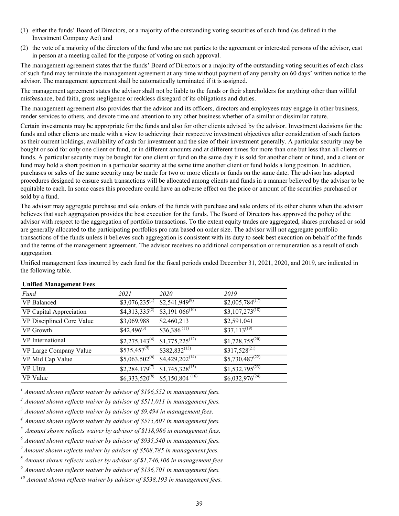- (1) either the funds' Board of Directors, or a majority of the outstanding voting securities of such fund (as defined in the Investment Company Act) and
- (2) the vote of a majority of the directors of the fund who are not parties to the agreement or interested persons of the advisor, cast in person at a meeting called for the purpose of voting on such approval.

The management agreement states that the funds' Board of Directors or a majority of the outstanding voting securities of each class of such fund may terminate the management agreement at any time without payment of any penalty on 60 days' written notice to the advisor. The management agreement shall be automatically terminated if it is assigned.

The management agreement states the advisor shall not be liable to the funds or their shareholders for anything other than willful misfeasance, bad faith, gross negligence or reckless disregard of its obligations and duties.

The management agreement also provides that the advisor and its officers, directors and employees may engage in other business, render services to others, and devote time and attention to any other business whether of a similar or dissimilar nature.

Certain investments may be appropriate for the funds and also for other clients advised by the advisor. Investment decisions for the funds and other clients are made with a view to achieving their respective investment objectives after consideration of such factors as their current holdings, availability of cash for investment and the size of their investment generally. A particular security may be bought or sold for only one client or fund, or in different amounts and at different times for more than one but less than all clients or funds. A particular security may be bought for one client or fund on the same day it is sold for another client or fund, and a client or fund may hold a short position in a particular security at the same time another client or fund holds a long position. In addition, purchases or sales of the same security may be made for two or more clients or funds on the same date. The advisor has adopted procedures designed to ensure such transactions will be allocated among clients and funds in a manner believed by the advisor to be equitable to each. In some cases this procedure could have an adverse effect on the price or amount of the securities purchased or sold by a fund.

The advisor may aggregate purchase and sale orders of the funds with purchase and sale orders of its other clients when the advisor believes that such aggregation provides the best execution for the funds. The Board of Directors has approved the policy of the advisor with respect to the aggregation of portfolio transactions. To the extent equity trades are aggregated, shares purchased or sold are generally allocated to the participating portfolios pro rata based on order size. The advisor will not aggregate portfolio transactions of the funds unless it believes such aggregation is consistent with its duty to seek best execution on behalf of the funds and the terms of the management agreement. The advisor receives no additional compensation or remuneration as a result of such aggregation.

Unified management fees incurred by each fund for the fiscal periods ended December 31, 2021, 2020, and 2019, are indicated in the following table.

| $\bullet$                 |                     |                             |                                          |
|---------------------------|---------------------|-----------------------------|------------------------------------------|
| Fund                      | 2021                | 2020                        | 2019                                     |
| VP Balanced               | $$3,076,235^{(1)}$$ | $$2,541,949^{(9)}$          | \$2,005,784 <sup>(17)</sup>              |
| VP Capital Appreciation   | $$4,313,335^{(2)}$$ | \$3,191 066 <sup>(10)</sup> | $\sqrt{3,107,273}^{(18)}$                |
| VP Disciplined Core Value | \$3,069,988         | \$2,460,213                 | \$2,591,041                              |
| VP Growth                 | $$42,496^{(3)}$     | $$36,386^{(11)}$            | $$37,113^{(19)}$                         |
| VP International          | $$2,275,143^{(4)}$  | $$1,775,225^{(12)}$         | $$1,728,755^{(20)}$                      |
| VP Large Company Value    | $$535,457^{(5)}$    | $$382,832^{(13)}$$          | $$317,528^{(21)}$                        |
| VP Mid Cap Value          | $$5,063,502^{(6)}$  | $$4,429,202^{(14)}$         | $$5,730,487^{(22)}$                      |
| VP Ultra                  | $$2,284,179^{(7)}$  | $$1,745,328^{(15)}$         | \$1,532,795 <sup><math>(23)</math></sup> |
| VP Value                  | $$6,333,520^{(8)}$$ | \$5,150,804 (16)            | \$6,032,976 <sup>(24)</sup>              |
|                           |                     |                             |                                          |

#### **Unified Management Fees**

*<sup>1</sup>Amount shown reflects waiver by advisor of \$196,552 in management fees.*

*<sup>2</sup>Amount shown reflects waiver by advisor of \$511,011 in management fees.*

*<sup>3</sup>Amount shown reflects waiver by advisor of \$9,494 in management fees.*

*<sup>4</sup>Amount shown reflects waiver by advisor of \$575,607 in management fees.*

*<sup>5</sup>Amount shown reflects waiver by advisor of \$118,986 in management fees.*

*<sup>6</sup>Amount shown reflects waiver by advisor of \$935,540 in management fees.*

*<sup>7</sup>Amount shown reflects waiver by advisor of \$508,785 in management fees.*

*8 Amount shown reflects waiver by advisor of \$1,746,106 in management fees*

*<sup>9</sup>Amount shown reflects waiver by advisor of \$136,701 in management fees.*

*<sup>10</sup>Amount shown reflects waiver by advisor of \$538,193 in management fees.*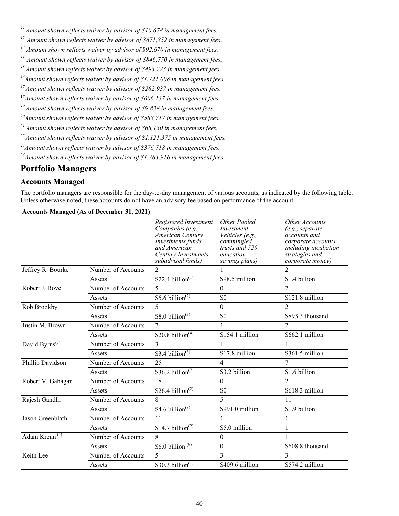*<sup>11</sup>Amount shown reflects waiver by advisor of \$10,678 in management fees.*

*<sup>12</sup>Amount shown reflects waiver by advisor of \$671,852 in management fees.*

*<sup>13</sup> Amount shown reflects waiver by advisor of \$92,670 in management fees.*

*<sup>14</sup>Amount shown reflects waiver by advisor of \$846,770 in management fees.*

*<sup>15</sup>Amount shown reflects waiver by advisor of \$493,223 in management fees.*

*<sup>16</sup>Amount shown reflects waiver by advisor of \$1,721,008 in management fees*

*<sup>17</sup>Amount shown reflects waiver by advisor of \$282,937 in management fees.*

<sup>1</sup>*<sup>8</sup>Amount shown reflects waiver by advisor of \$606,137 in management fees.*

*<sup>19</sup>Amount shown reflects waiver by advisor of \$9,838 in management fees.*

*<sup>20</sup>Amount shown reflects waiver by advisor of \$588,717 in management fees.*

*<sup>21</sup>Amount shown reflects waiver by advisor of \$68,130 in management fees.*

*<sup>22</sup>Amount shown reflects waiver by advisor of \$1,121,375 in management fees.*

*<sup>23</sup>Amount shown reflects waiver by advisor of \$376,718 in management fees.*

*<sup>24</sup>Amount shown reflects waiver by advisor of \$1,763,916 in management fees.*

# **Portfolio Managers**

## **Accounts Managed**

The portfolio managers are responsible for the day-to-day management of various accounts, as indicated by the following table. Unless otherwise noted, these accounts do not have an advisory fee based on performance of the account.

|                                        |                    | Registered Investment<br>Companies (e.g.,<br>American Century<br>Investments funds<br>and American<br>Century Investments -<br>subadvised funds) | Other Pooled<br>Investment<br>Vehicles (e.g.,<br>commingled<br>trusts and 529<br>education<br>savings plans) | Other Accounts<br>(e.g., separate)<br>accounts and<br>corporate accounts,<br>including incubation<br>strategies and<br>corporate money) |
|----------------------------------------|--------------------|--------------------------------------------------------------------------------------------------------------------------------------------------|--------------------------------------------------------------------------------------------------------------|-----------------------------------------------------------------------------------------------------------------------------------------|
| Jeffrey R. Bourke                      | Number of Accounts | $\overline{2}$                                                                                                                                   | 1                                                                                                            | 2                                                                                                                                       |
|                                        | Assets             | \$22.4 billion <sup>(1)</sup>                                                                                                                    | \$98.5 million                                                                                               | \$1.4 billion                                                                                                                           |
| Robert J. Bove                         | Number of Accounts | 5                                                                                                                                                | $\theta$                                                                                                     | $\overline{2}$                                                                                                                          |
|                                        | Assets             | \$5.6 billion <sup><math>(2)</math></sup>                                                                                                        | \$0                                                                                                          | \$121.8 million                                                                                                                         |
| Rob Brookby                            | Number of Accounts | 5                                                                                                                                                | $\mathbf{0}$                                                                                                 | $\overline{2}$                                                                                                                          |
|                                        | Assets             | \$8.0 billion $(3)$                                                                                                                              | \$0                                                                                                          | \$893.3 thousand                                                                                                                        |
| Justin M. Brown                        | Number of Accounts | 7                                                                                                                                                | 1                                                                                                            | 2                                                                                                                                       |
|                                        | Assets             | \$20.8 billion <sup><math>(4)</math></sup>                                                                                                       | \$154.1 million                                                                                              | \$662.1 million                                                                                                                         |
| David Byrns <sup>(5)</sup>             | Number of Accounts | 3                                                                                                                                                |                                                                                                              |                                                                                                                                         |
|                                        | Assets             | \$3.4 billion <sup><math>(6)</math></sup>                                                                                                        | \$17.8 million                                                                                               | \$361.5 million                                                                                                                         |
| Phillip Davidson                       | Number of Accounts | 25                                                                                                                                               | 4                                                                                                            | 7                                                                                                                                       |
|                                        | Assets             | \$36.2 billion <sup>(7)</sup>                                                                                                                    | \$3.2 billion                                                                                                | \$1.6 billion                                                                                                                           |
| Robert V. Gahagan                      | Number of Accounts | 18                                                                                                                                               | $\theta$                                                                                                     | $\overline{2}$                                                                                                                          |
|                                        | Assets             | \$26.4 billion <sup>(2)</sup>                                                                                                                    | \$0                                                                                                          | \$618.3 million                                                                                                                         |
| Rajesh Gandhi                          | Number of Accounts | 8                                                                                                                                                | 5                                                                                                            | 11                                                                                                                                      |
|                                        | Assets             | \$4.6 billion $(8)$                                                                                                                              | \$991.0 million                                                                                              | \$1.9 billion                                                                                                                           |
| Jason Greenblath                       | Number of Accounts | 11                                                                                                                                               | 1                                                                                                            | 1                                                                                                                                       |
|                                        | Assets             | \$14.7 billion <sup><math>(2)</math></sup>                                                                                                       | \$5.0 million                                                                                                | $\mathbf{1}$                                                                                                                            |
| Adam Krenn <sup><math>(5)</math></sup> | Number of Accounts | 8                                                                                                                                                | $\theta$                                                                                                     |                                                                                                                                         |
|                                        | Assets             | \$6.0 billion $(9)$                                                                                                                              | $\boldsymbol{0}$                                                                                             | \$608.8 thousand                                                                                                                        |
| Keith Lee                              | Number of Accounts | 5                                                                                                                                                | 3                                                                                                            | 3                                                                                                                                       |
|                                        | Assets             | \$30.3 billion <sup>(1)</sup>                                                                                                                    | \$409.6 million                                                                                              | \$574.2 million                                                                                                                         |

**Accounts Managed (As of December 31, 2021)**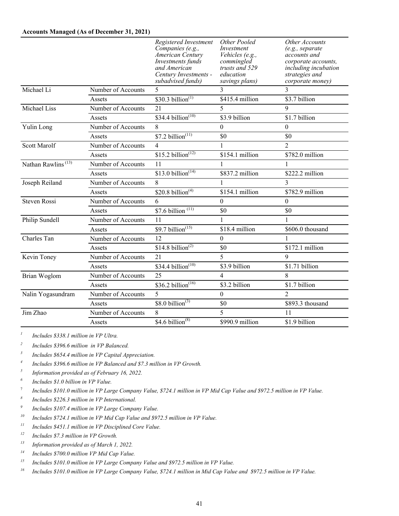#### **Accounts Managed (As of December 31, 2021)**

|                                |                    | Registered Investment<br>Companies (e.g.,<br>American Century<br>Investments funds<br>and American<br>Century Investments -<br>subadvised funds) | Other Pooled<br>Investment<br>Vehicles (e.g.,<br>commingled<br>trusts and 529<br>education<br>savings plans) | Other Accounts<br>(e.g., separate<br>accounts and<br>corporate accounts,<br>including incubation<br>strategies and<br>corporate money) |
|--------------------------------|--------------------|--------------------------------------------------------------------------------------------------------------------------------------------------|--------------------------------------------------------------------------------------------------------------|----------------------------------------------------------------------------------------------------------------------------------------|
| Michael Li                     | Number of Accounts | 5                                                                                                                                                | 3                                                                                                            | 3                                                                                                                                      |
|                                | Assets             | \$30.3 billion <sup>(1)</sup>                                                                                                                    | \$415.4 million                                                                                              | \$3.7 billion                                                                                                                          |
| Michael Liss                   | Number of Accounts | 21                                                                                                                                               | 5                                                                                                            | 9                                                                                                                                      |
|                                | Assets             | $$34.4$ billion <sup>(10)</sup>                                                                                                                  | \$3.9 billion                                                                                                | \$1.7 billion                                                                                                                          |
| Yulin Long                     | Number of Accounts | 8                                                                                                                                                | $\theta$                                                                                                     | $\overline{0}$                                                                                                                         |
|                                | Assets             | $$7.2$ billion <sup>(11)</sup>                                                                                                                   | \$0                                                                                                          | \$0                                                                                                                                    |
| <b>Scott Marolf</b>            | Number of Accounts | $\overline{4}$                                                                                                                                   | 1                                                                                                            | $\overline{2}$                                                                                                                         |
|                                | Assets             | $$15.2$ billion <sup>(12)</sup>                                                                                                                  | \$154.1 million                                                                                              | \$782.0 million                                                                                                                        |
| Nathan Rawlins <sup>(13)</sup> | Number of Accounts | 11                                                                                                                                               | 1                                                                                                            | $\mathbf{1}$                                                                                                                           |
|                                | Assets             | $$13.0$ billion <sup>(14)</sup>                                                                                                                  | \$837.2 million                                                                                              | \$222.2 million                                                                                                                        |
| Joseph Reiland                 | Number of Accounts | 8                                                                                                                                                | 1                                                                                                            | $\mathcal{E}$                                                                                                                          |
|                                | Assets             | $$20.8$ billion <sup>(4)</sup>                                                                                                                   | \$154.1 million                                                                                              | \$782.9 million                                                                                                                        |
| <b>Steven Rossi</b>            | Number of Accounts | 6                                                                                                                                                | $\boldsymbol{0}$                                                                                             | $\boldsymbol{0}$                                                                                                                       |
|                                | Assets             | $$7.6$ billion <sup>(11)</sup>                                                                                                                   | \$0                                                                                                          | \$0                                                                                                                                    |
| Philip Sundell                 | Number of Accounts | 11                                                                                                                                               | 1                                                                                                            |                                                                                                                                        |
|                                | Assets             | $$9.7$ billion <sup>(15)</sup>                                                                                                                   | \$18.4 million                                                                                               | \$606.0 thousand                                                                                                                       |
| Charles Tan                    | Number of Accounts | 12                                                                                                                                               | $\boldsymbol{0}$                                                                                             | 1                                                                                                                                      |
|                                | Assets             | \$14.8 billion <sup>(2)</sup>                                                                                                                    | \$0                                                                                                          | \$172.1 million                                                                                                                        |
| Kevin Toney                    | Number of Accounts | 21                                                                                                                                               | 5                                                                                                            | 9                                                                                                                                      |
|                                | Assets             | \$34.4 billion <sup><math>(10)</math></sup>                                                                                                      | \$3.9 billion                                                                                                | \$1.71 billion                                                                                                                         |
| Brian Woglom                   | Number of Accounts | 25                                                                                                                                               | 4                                                                                                            | 8                                                                                                                                      |
|                                | Assets             | \$36.2 billion <sup><math>(16)</math></sup>                                                                                                      | \$3.2 billion                                                                                                | \$1.7 billion                                                                                                                          |
| Nalin Yogasundram              | Number of Accounts | 5                                                                                                                                                | $\overline{0}$                                                                                               | $\overline{2}$                                                                                                                         |
|                                | Assets             | $$8.0$ billion <sup>(3)</sup>                                                                                                                    | \$0                                                                                                          | \$893.3 thousand                                                                                                                       |
| Jim Zhao                       | Number of Accounts | 8                                                                                                                                                | 5                                                                                                            | 11                                                                                                                                     |
|                                | Assets             | \$4.6 billion <sup>(8)</sup>                                                                                                                     | \$990.9 million                                                                                              | \$1.9 billion                                                                                                                          |

*<sup>1</sup>Includes \$338.1 million in VP Ultra.*

*<sup>2</sup>Includes \$396.6 million in VP Balanced.*

*3 Includes \$654.4 million in VP Capital Appreciation.* 

*4 Includes \$396.6 million in VP Balanced and \$7.3 million in VP Growth.*

*5 Information provided as of February 16, 2022.*

*6 Includes \$1.0 billion in VP Value.*

7  *Includes \$101.0 million in VP Large Company Value, \$724.1 million in VP Mid Cap Value and \$972.5 million in VP Value.*

- *8 Includes \$226.3 million in VP International.*
- *<sup>9</sup>Includes \$107.4 million in VP Large Company Value.*
- *<sup>10</sup>Includes \$724.1 million in VP Mid Cap Value and \$972.5 million in VP Value.*
- *<sup>11</sup>Includes \$451.1 million in VP Disciplined Core Value.*
- *<sup>12</sup>Includes \$7.3 million in VP Growth.*
- *<sup>13</sup>Information provided as of March 1, 2022.*
- *<sup>14</sup>Includes \$700.0 million VP Mid Cap Value.*
- *<sup>15</sup> Includes \$101.0 million in VP Large Company Value and \$972.5 million in VP Value.*
- *<sup>16</sup> Includes \$101.0 million in VP Large Company Value, \$724.1 million in Mid Cap Value and \$972.5 million in VP Value.*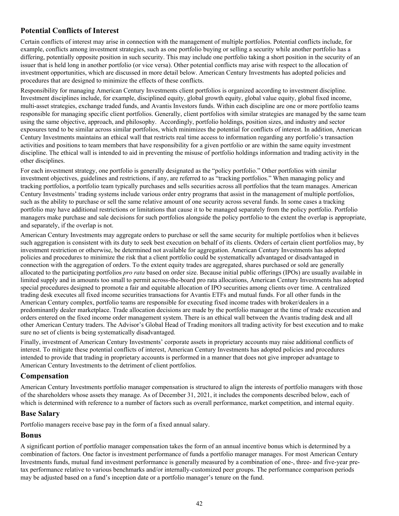# **Potential Conflicts of Interest**

Certain conflicts of interest may arise in connection with the management of multiple portfolios. Potential conflicts include, for example, conflicts among investment strategies, such as one portfolio buying or selling a security while another portfolio has a differing, potentially opposite position in such security. This may include one portfolio taking a short position in the security of an issuer that is held long in another portfolio (or vice versa). Other potential conflicts may arise with respect to the allocation of investment opportunities, which are discussed in more detail below. American Century Investments has adopted policies and procedures that are designed to minimize the effects of these conflicts.

Responsibility for managing American Century Investments client portfolios is organized according to investment discipline. Investment disciplines include, for example, disciplined equity, global growth equity, global value equity, global fixed income, multi-asset strategies, exchange traded funds, and Avantis Investors funds. Within each discipline are one or more portfolio teams responsible for managing specific client portfolios. Generally, client portfolios with similar strategies are managed by the same team using the same objective, approach, and philosophy. Accordingly, portfolio holdings, position sizes, and industry and sector exposures tend to be similar across similar portfolios, which minimizes the potential for conflicts of interest. In addition, American Century Investments maintains an ethical wall that restricts real time access to information regarding any portfolio's transaction activities and positions to team members that have responsibility for a given portfolio or are within the same equity investment discipline. The ethical wall is intended to aid in preventing the misuse of portfolio holdings information and trading activity in the other disciplines.

For each investment strategy, one portfolio is generally designated as the "policy portfolio." Other portfolios with similar investment objectives, guidelines and restrictions, if any, are referred to as "tracking portfolios." When managing policy and tracking portfolios, a portfolio team typically purchases and sells securities across all portfolios that the team manages. American Century Investments' trading systems include various order entry programs that assist in the management of multiple portfolios, such as the ability to purchase or sell the same relative amount of one security across several funds. In some cases a tracking portfolio may have additional restrictions or limitations that cause it to be managed separately from the policy portfolio. Portfolio managers make purchase and sale decisions for such portfolios alongside the policy portfolio to the extent the overlap is appropriate, and separately, if the overlap is not.

American Century Investments may aggregate orders to purchase or sell the same security for multiple portfolios when it believes such aggregation is consistent with its duty to seek best execution on behalf of its clients. Orders of certain client portfolios may, by investment restriction or otherwise, be determined not available for aggregation. American Century Investments has adopted policies and procedures to minimize the risk that a client portfolio could be systematically advantaged or disadvantaged in connection with the aggregation of orders. To the extent equity trades are aggregated, shares purchased or sold are generally allocated to the participating portfolios *pro rata* based on order size. Because initial public offerings (IPOs) are usually available in limited supply and in amounts too small to permit across-the-board pro rata allocations, American Century Investments has adopted special procedures designed to promote a fair and equitable allocation of IPO securities among clients over time. A centralized trading desk executes all fixed income securities transactions for Avantis ETFs and mutual funds. For all other funds in the American Century complex, portfolio teams are responsible for executing fixed income trades with broker/dealers in a predominantly dealer marketplace. Trade allocation decisions are made by the portfolio manager at the time of trade execution and orders entered on the fixed income order management system. There is an ethical wall between the Avantis trading desk and all other American Century traders. The Advisor's Global Head of Trading monitors all trading activity for best execution and to make sure no set of clients is being systematically disadvantaged.

Finally, investment of American Century Investments' corporate assets in proprietary accounts may raise additional conflicts of interest. To mitigate these potential conflicts of interest, American Century Investments has adopted policies and procedures intended to provide that trading in proprietary accounts is performed in a manner that does not give improper advantage to American Century Investments to the detriment of client portfolios.

## **Compensation**

American Century Investments portfolio manager compensation is structured to align the interests of portfolio managers with those of the shareholders whose assets they manage. As of December 31, 2021, it includes the components described below, each of which is determined with reference to a number of factors such as overall performance, market competition, and internal equity.

# **Base Salary**

Portfolio managers receive base pay in the form of a fixed annual salary.

# **Bonus**

A significant portion of portfolio manager compensation takes the form of an annual incentive bonus which is determined by a combination of factors. One factor is investment performance of funds a portfolio manager manages. For most American Century Investments funds, mutual fund investment performance is generally measured by a combination of one-, three- and five-year pretax performance relative to various benchmarks and/or internally-customized peer groups. The performance comparison periods may be adjusted based on a fund's inception date or a portfolio manager's tenure on the fund.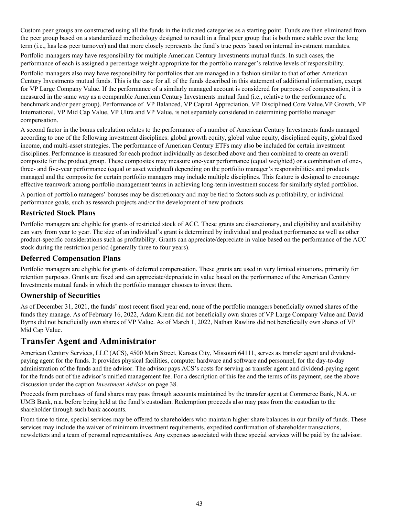Custom peer groups are constructed using all the funds in the indicated categories as a starting point. Funds are then eliminated from the peer group based on a standardized methodology designed to result in a final peer group that is both more stable over the long term (i.e., has less peer turnover) and that more closely represents the fund's true peers based on internal investment mandates.

Portfolio managers may have responsibility for multiple American Century Investments mutual funds. In such cases, the performance of each is assigned a percentage weight appropriate for the portfolio manager's relative levels of responsibility.

Portfolio managers also may have responsibility for portfolios that are managed in a fashion similar to that of other American Century Investments mutual funds. This is the case for all of the funds described in this statement of additional information, except for VP Large Company Value. If the performance of a similarly managed account is considered for purposes of compensation, it is measured in the same way as a comparable American Century Investments mutual fund (i.e., relative to the performance of a benchmark and/or peer group). Performance of VP Balanced, VP Capital Appreciation, VP Disciplined Core Value,VP Growth, VP International, VP Mid Cap Value, VP Ultra and VP Value, is not separately considered in determining portfolio manager compensation.

A second factor in the bonus calculation relates to the performance of a number of American Century Investments funds managed according to one of the following investment disciplines: global growth equity, global value equity, disciplined equity, global fixed income, and multi-asset strategies. The performance of American Century ETFs may also be included for certain investment disciplines. Performance is measured for each product individually as described above and then combined to create an overall composite for the product group. These composites may measure one-year performance (equal weighted) or a combination of one-, three- and five-year performance (equal or asset weighted) depending on the portfolio manager's responsibilities and products managed and the composite for certain portfolio managers may include multiple disciplines. This feature is designed to encourage effective teamwork among portfolio management teams in achieving long-term investment success for similarly styled portfolios.

A portion of portfolio managers' bonuses may be discretionary and may be tied to factors such as profitability, or individual performance goals, such as research projects and/or the development of new products.

### **Restricted Stock Plans**

Portfolio managers are eligible for grants of restricted stock of ACC. These grants are discretionary, and eligibility and availability can vary from year to year. The size of an individual's grant is determined by individual and product performance as well as other product-specific considerations such as profitability. Grants can appreciate/depreciate in value based on the performance of the ACC stock during the restriction period (generally three to four years).

#### **Deferred Compensation Plans**

Portfolio managers are eligible for grants of deferred compensation. These grants are used in very limited situations, primarily for retention purposes. Grants are fixed and can appreciate/depreciate in value based on the performance of the American Century Investments mutual funds in which the portfolio manager chooses to invest them.

## **Ownership of Securities**

As of December 31, 2021, the funds' most recent fiscal year end, none of the portfolio managers beneficially owned shares of the funds they manage. As of February 16, 2022, Adam Krenn did not beneficially own shares of VP Large Company Value and David Byrns did not beneficially own shares of VP Value. As of March 1, 2022, Nathan Rawlins did not beneficially own shares of VP Mid Cap Value.

# **Transfer Agent and Administrator**

American Century Services, LLC (ACS), 4500 Main Street, Kansas City, Missouri 64111, serves as transfer agent and dividendpaying agent for the funds. It provides physical facilities, computer hardware and software and personnel, for the day-to-day administration of the funds and the advisor. The advisor pays ACS's costs for serving as transfer agent and dividend-paying agent for the funds out of the advisor's unified management fee. For a description of this fee and the terms of its payment, see the above discussion under the caption *Investment Advisor* on page 38.

Proceeds from purchases of fund shares may pass through accounts maintained by the transfer agent at Commerce Bank, N.A. or UMB Bank, n.a. before being held at the fund's custodian. Redemption proceeds also may pass from the custodian to the shareholder through such bank accounts.

From time to time, special services may be offered to shareholders who maintain higher share balances in our family of funds. These services may include the waiver of minimum investment requirements, expedited confirmation of shareholder transactions, newsletters and a team of personal representatives. Any expenses associated with these special services will be paid by the advisor.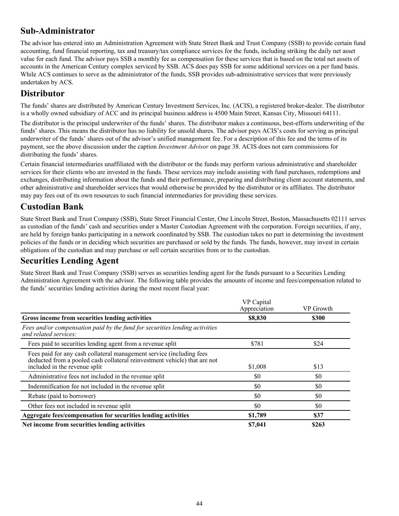# **Sub-Administrator**

The advisor has entered into an Administration Agreement with State Street Bank and Trust Company (SSB) to provide certain fund accounting, fund financial reporting, tax and treasury/tax compliance services for the funds, including striking the daily net asset value for each fund. The advisor pays SSB a monthly fee as compensation for these services that is based on the total net assets of accounts in the American Century complex serviced by SSB. ACS does pay SSB for some additional services on a per fund basis. While ACS continues to serve as the administrator of the funds, SSB provides sub-administrative services that were previously undertaken by ACS.

# **Distributor**

The funds' shares are distributed by American Century Investment Services, Inc. (ACIS), a registered broker-dealer. The distributor is a wholly owned subsidiary of ACC and its principal business address is 4500 Main Street, Kansas City, Missouri 64111.

The distributor is the principal underwriter of the funds' shares. The distributor makes a continuous, best-efforts underwriting of the funds' shares. This means the distributor has no liability for unsold shares. The advisor pays ACIS's costs for serving as principal underwriter of the funds' shares out of the advisor's unified management fee. For a description of this fee and the terms of its payment, see the above discussion under the caption *Investment Advisor* on page 38. ACIS does not earn commissions for distributing the funds' shares.

Certain financial intermediaries unaffiliated with the distributor or the funds may perform various administrative and shareholder services for their clients who are invested in the funds. These services may include assisting with fund purchases, redemptions and exchanges, distributing information about the funds and their performance, preparing and distributing client account statements, and other administrative and shareholder services that would otherwise be provided by the distributor or its affiliates. The distributor may pay fees out of its own resources to such financial intermediaries for providing these services.

# **Custodian Bank**

State Street Bank and Trust Company (SSB), State Street Financial Center, One Lincoln Street, Boston, Massachusetts 02111 serves as custodian of the funds' cash and securities under a Master Custodian Agreement with the corporation. Foreign securities, if any, are held by foreign banks participating in a network coordinated by SSB. The custodian takes no part in determining the investment policies of the funds or in deciding which securities are purchased or sold by the funds. The funds, however, may invest in certain obligations of the custodian and may purchase or sell certain securities from or to the custodian.

# **Securities Lending Agent**

State Street Bank and Trust Company (SSB) serves as securities lending agent for the funds pursuant to a Securities Lending Administration Agreement with the advisor. The following table provides the amounts of income and fees/compensation related to the funds' securities lending activities during the most recent fiscal year:

|                                                                                                                                                                                    | VP Capital<br>Appreciation | VP Growth    |
|------------------------------------------------------------------------------------------------------------------------------------------------------------------------------------|----------------------------|--------------|
| Gross income from securities lending activities                                                                                                                                    | \$8,830                    | <b>\$300</b> |
| Fees and/or compensation paid by the fund for securities lending activities<br>and related services:                                                                               |                            |              |
| Fees paid to securities lending agent from a revenue split                                                                                                                         | \$781                      | \$24         |
| Fees paid for any cash collateral management service (including fees<br>deducted from a pooled cash collateral reinvestment vehicle) that are not<br>included in the revenue split | \$1,008                    | \$13         |
| Administrative fees not included in the revenue split                                                                                                                              | \$0                        | \$0          |
| Indemnification fee not included in the revenue split                                                                                                                              | \$0                        | \$0          |
| Rebate (paid to borrower)                                                                                                                                                          | \$0                        | \$0          |
| Other fees not included in revenue split                                                                                                                                           | \$0                        | \$0          |
| Aggregate fees/compensation for securities lending activities                                                                                                                      | \$1,789                    | \$37         |
| Net income from securities lending activities                                                                                                                                      | \$7,041                    | \$263        |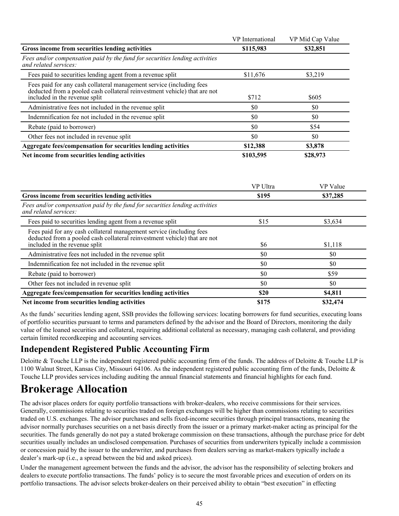|                                                                                                                                                                                    | VP International | VP Mid Cap Value |
|------------------------------------------------------------------------------------------------------------------------------------------------------------------------------------|------------------|------------------|
| Gross income from securities lending activities                                                                                                                                    | \$115,983        | \$32,851         |
| Fees and/or compensation paid by the fund for securities lending activities<br>and related services:                                                                               |                  |                  |
| Fees paid to securities lending agent from a revenue split                                                                                                                         | \$11,676         | \$3,219          |
| Fees paid for any cash collateral management service (including fees<br>deducted from a pooled cash collateral reinvestment vehicle) that are not<br>included in the revenue split | \$712            | \$605            |
| Administrative fees not included in the revenue split                                                                                                                              | \$0              | \$0              |
| Indemnification fee not included in the revenue split                                                                                                                              | \$0              | \$0              |
| Rebate (paid to borrower)                                                                                                                                                          | \$0              | \$54             |
| Other fees not included in revenue split                                                                                                                                           | \$0              | \$0              |
| Aggregate fees/compensation for securities lending activities                                                                                                                      | \$12,388         | \$3,878          |
| Net income from securities lending activities                                                                                                                                      | \$103,595        | \$28,973         |

|                                                                                                                                                                                    | VP Ultra | VP Value |
|------------------------------------------------------------------------------------------------------------------------------------------------------------------------------------|----------|----------|
| Gross income from securities lending activities                                                                                                                                    | \$195    | \$37,285 |
| Fees and/or compensation paid by the fund for securities lending activities<br>and related services:                                                                               |          |          |
| Fees paid to securities lending agent from a revenue split                                                                                                                         | \$15     | \$3,634  |
| Fees paid for any cash collateral management service (including fees<br>deducted from a pooled cash collateral reinvestment vehicle) that are not<br>included in the revenue split | \$6      | \$1,118  |
| Administrative fees not included in the revenue split                                                                                                                              | \$0      | \$0      |
| Indemnification fee not included in the revenue split                                                                                                                              | \$0      | \$0      |
| Rebate (paid to borrower)                                                                                                                                                          | \$0      | \$59     |
| Other fees not included in revenue split                                                                                                                                           | \$0      | \$0      |
| Aggregate fees/compensation for securities lending activities                                                                                                                      | \$20     | \$4,811  |
| Net income from securities lending activities                                                                                                                                      | \$175    | \$32,474 |

As the funds' securities lending agent, SSB provides the following services: locating borrowers for fund securities, executing loans of portfolio securities pursuant to terms and parameters defined by the advisor and the Board of Directors, monitoring the daily value of the loaned securities and collateral, requiring additional collateral as necessary, managing cash collateral, and providing certain limited recordkeeping and accounting services.

# **Independent Registered Public Accounting Firm**

Deloitte & Touche LLP is the independent registered public accounting firm of the funds. The address of Deloitte & Touche LLP is 1100 Walnut Street, Kansas City, Missouri 64106. As the independent registered public accounting firm of the funds, Deloitte & Touche LLP provides services including auditing the annual financial statements and financial highlights for each fund.

# **Brokerage Allocation**

The advisor places orders for equity portfolio transactions with broker-dealers, who receive commissions for their services. Generally, commissions relating to securities traded on foreign exchanges will be higher than commissions relating to securities traded on U.S. exchanges. The advisor purchases and sells fixed-income securities through principal transactions, meaning the advisor normally purchases securities on a net basis directly from the issuer or a primary market-maker acting as principal for the securities. The funds generally do not pay a stated brokerage commission on these transactions, although the purchase price for debt securities usually includes an undisclosed compensation. Purchases of securities from underwriters typically include a commission or concession paid by the issuer to the underwriter, and purchases from dealers serving as market-makers typically include a dealer's mark-up (i.e., a spread between the bid and asked prices).

Under the management agreement between the funds and the advisor, the advisor has the responsibility of selecting brokers and dealers to execute portfolio transactions. The funds' policy is to secure the most favorable prices and execution of orders on its portfolio transactions. The advisor selects broker-dealers on their perceived ability to obtain "best execution" in effecting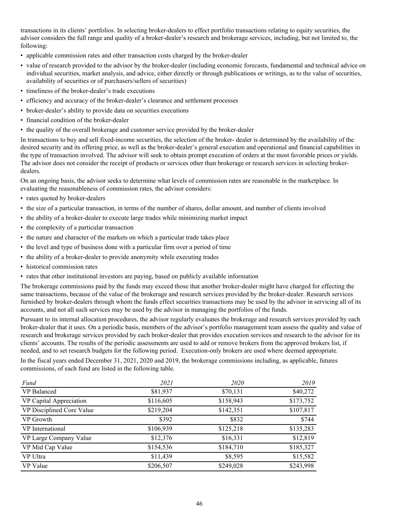transactions in its clients' portfolios. In selecting broker-dealers to effect portfolio transactions relating to equity securities, the advisor considers the full range and quality of a broker-dealer's research and brokerage services, including, but not limited to, the following:

- applicable commission rates and other transaction costs charged by the broker-dealer
- value of research provided to the advisor by the broker-dealer (including economic forecasts, fundamental and technical advice on individual securities, market analysis, and advice, either directly or through publications or writings, as to the value of securities, availability of securities or of purchasers/sellers of securities)
- timeliness of the broker-dealer's trade executions
- efficiency and accuracy of the broker-dealer's clearance and settlement processes
- broker-dealer's ability to provide data on securities executions
- financial condition of the broker-dealer
- the quality of the overall brokerage and customer service provided by the broker-dealer

In transactions to buy and sell fixed-income securities, the selection of the broker- dealer is determined by the availability of the desired security and its offering price, as well as the broker-dealer's general execution and operational and financial capabilities in the type of transaction involved. The advisor will seek to obtain prompt execution of orders at the most favorable prices or yields. The advisor does not consider the receipt of products or services other than brokerage or research services in selecting brokerdealers.

On an ongoing basis, the advisor seeks to determine what levels of commission rates are reasonable in the marketplace. In evaluating the reasonableness of commission rates, the advisor considers:

- rates quoted by broker-dealers
- the size of a particular transaction, in terms of the number of shares, dollar amount, and number of clients involved
- the ability of a broker-dealer to execute large trades while minimizing market impact
- the complexity of a particular transaction
- the nature and character of the markets on which a particular trade takes place
- the level and type of business done with a particular firm over a period of time
- the ability of a broker-dealer to provide anonymity while executing trades
- historical commission rates
- rates that other institutional investors are paying, based on publicly available information

The brokerage commissions paid by the funds may exceed those that another broker-dealer might have charged for effecting the same transactions, because of the value of the brokerage and research services provided by the broker-dealer. Research services furnished by broker-dealers through whom the funds effect securities transactions may be used by the advisor in servicing all of its accounts, and not all such services may be used by the advisor in managing the portfolios of the funds.

Pursuant to its internal allocation procedures, the advisor regularly evaluates the brokerage and research services provided by each broker-dealer that it uses. On a periodic basis, members of the advisor's portfolio management team assess the quality and value of research and brokerage services provided by each broker-dealer that provides execution services and research to the advisor for its clients' accounts. The results of the periodic assessments are used to add or remove brokers from the approved brokers list, if needed, and to set research budgets for the following period. Execution-only brokers are used where deemed appropriate.

In the fiscal years ended December 31, 2021, 2020 and 2019, the brokerage commissions including, as applicable, futures commissions, of each fund are listed in the following table.

| Fund                      | 2021      | 2020      | 2019      |
|---------------------------|-----------|-----------|-----------|
| VP Balanced               | \$81,937  | \$70,131  | \$40,272  |
| VP Capital Appreciation   | \$116,605 | \$158,943 | \$173,752 |
| VP Disciplined Core Value | \$219,204 | \$142,351 | \$107,817 |
| VP Growth                 | \$392     | \$832     | \$744     |
| VP International          | \$106,939 | \$125,218 | \$135,283 |
| VP Large Company Value    | \$12,376  | \$16,331  | \$12,819  |
| VP Mid Cap Value          | \$154,536 | \$184,710 | \$185,327 |
| VP Ultra                  | \$11,439  | \$8,595   | \$15,582  |
| VP Value                  | \$206,507 | \$249,028 | \$243,998 |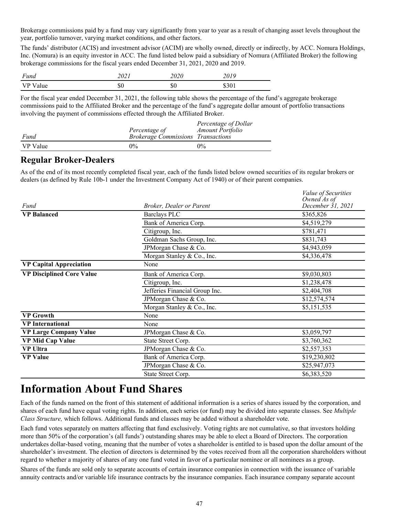Brokerage commissions paid by a fund may vary significantly from year to year as a result of changing asset levels throughout the year, portfolio turnover, varying market conditions, and other factors.

The funds' distributor (ACIS) and investment advisor (ACIM) are wholly owned, directly or indirectly, by ACC. Nomura Holdings, Inc. (Nomura) is an equity investor in ACC. The fund listed below paid a subsidiary of Nomura (Affiliated Broker) the following brokerage commissions for the fiscal years ended December 31, 2021, 2020 and 2019.

| Fund     | 2021 | 2020 | 2019  |
|----------|------|------|-------|
| VP Value | \$0  | ΦU   | \$301 |

For the fiscal year ended December 31, 2021, the following table shows the percentage of the fund's aggregate brokerage commissions paid to the Affiliated Broker and the percentage of the fund's aggregate dollar amount of portfolio transactions involving the payment of commissions effected through the Affiliated Broker.

| Fund     | Percentage of<br><b>Brokerage Commissions Transactions</b> | Percentage of Dollar<br><b>Amount Portfolio</b> |
|----------|------------------------------------------------------------|-------------------------------------------------|
| VP Value | 0%                                                         | $0\%$                                           |

# **Regular Broker-Dealers**

As of the end of its most recently completed fiscal year, each of the funds listed below owned securities of its regular brokers or dealers (as defined by Rule 10b-1 under the Investment Company Act of 1940) or of their parent companies.

|                                  |                                | Value of Securities<br>Owned As of |
|----------------------------------|--------------------------------|------------------------------------|
| Fund                             | Broker, Dealer or Parent       | December 31, 2021                  |
| <b>VP Balanced</b>               | <b>Barclays PLC</b>            | \$365,826                          |
|                                  | Bank of America Corp.          | \$4,519,279                        |
|                                  | Citigroup, Inc.                | \$781,471                          |
|                                  | Goldman Sachs Group, Inc.      | \$831,743                          |
|                                  | JPMorgan Chase & Co.           | \$4,943,059                        |
|                                  | Morgan Stanley & Co., Inc.     | \$4,336,478                        |
| <b>VP Capital Appreciation</b>   | None                           |                                    |
| <b>VP Disciplined Core Value</b> | Bank of America Corp.          | \$9,030,803                        |
|                                  | Citigroup, Inc.                | \$1,238,478                        |
|                                  | Jefferies Financial Group Inc. | \$2,404,708                        |
|                                  | JPMorgan Chase & Co.           | \$12,574,574                       |
|                                  | Morgan Stanley & Co., Inc.     | \$5,151,535                        |
| <b>VP Growth</b>                 | None                           |                                    |
| <b>VP</b> International          | None                           |                                    |
| <b>VP Large Company Value</b>    | JPMorgan Chase & Co.           | \$3,059,797                        |
| <b>VP Mid Cap Value</b>          | State Street Corp.             | \$3,760,362                        |
| <b>VP</b> Ultra                  | JPMorgan Chase & Co.           | \$2,557,353                        |
| <b>VP Value</b>                  | Bank of America Corp.          | \$19,230,802                       |
|                                  | JPMorgan Chase & Co.           | \$25,947,073                       |
|                                  | State Street Corp.             | \$6,383,520                        |

# **Information About Fund Shares**

Each of the funds named on the front of this statement of additional information is a series of shares issued by the corporation, and shares of each fund have equal voting rights. In addition, each series (or fund) may be divided into separate classes. See *Multiple Class Structure,* which follows. Additional funds and classes may be added without a shareholder vote.

Each fund votes separately on matters affecting that fund exclusively. Voting rights are not cumulative, so that investors holding more than 50% of the corporation's (all funds') outstanding shares may be able to elect a Board of Directors. The corporation undertakes dollar-based voting, meaning that the number of votes a shareholder is entitled to is based upon the dollar amount of the shareholder's investment. The election of directors is determined by the votes received from all the corporation shareholders without regard to whether a majority of shares of any one fund voted in favor of a particular nominee or all nominees as a group.

Shares of the funds are sold only to separate accounts of certain insurance companies in connection with the issuance of variable annuity contracts and/or variable life insurance contracts by the insurance companies. Each insurance company separate account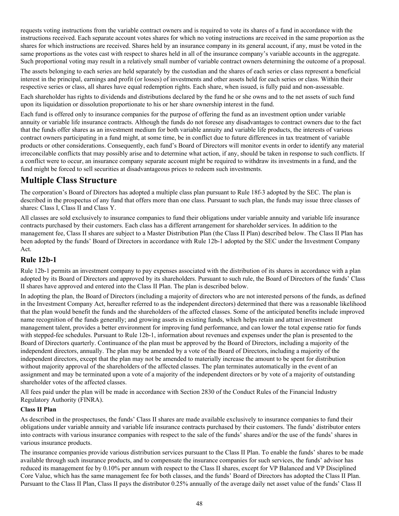requests voting instructions from the variable contract owners and is required to vote its shares of a fund in accordance with the instructions received. Each separate account votes shares for which no voting instructions are received in the same proportion as the shares for which instructions are received. Shares held by an insurance company in its general account, if any, must be voted in the same proportions as the votes cast with respect to shares held in all of the insurance company's variable accounts in the aggregate. Such proportional voting may result in a relatively small number of variable contract owners determining the outcome of a proposal.

The assets belonging to each series are held separately by the custodian and the shares of each series or class represent a beneficial interest in the principal, earnings and profit (or losses) of investments and other assets held for each series or class. Within their respective series or class, all shares have equal redemption rights. Each share, when issued, is fully paid and non-assessable.

Each shareholder has rights to dividends and distributions declared by the fund he or she owns and to the net assets of such fund upon its liquidation or dissolution proportionate to his or her share ownership interest in the fund.

Each fund is offered only to insurance companies for the purpose of offering the fund as an investment option under variable annuity or variable life insurance contracts. Although the funds do not foresee any disadvantages to contract owners due to the fact that the funds offer shares as an investment medium for both variable annuity and variable life products, the interests of various contract owners participating in a fund might, at some time, be in conflict due to future differences in tax treatment of variable products or other considerations. Consequently, each fund's Board of Directors will monitor events in order to identify any material irreconcilable conflicts that may possibly arise and to determine what action, if any, should be taken in response to such conflicts. If a conflict were to occur, an insurance company separate account might be required to withdraw its investments in a fund, and the fund might be forced to sell securities at disadvantageous prices to redeem such investments.

# **Multiple Class Structure**

The corporation's Board of Directors has adopted a multiple class plan pursuant to Rule 18f-3 adopted by the SEC. The plan is described in the prospectus of any fund that offers more than one class. Pursuant to such plan, the funds may issue three classes of shares: Class I, Class II and Class Y.

All classes are sold exclusively to insurance companies to fund their obligations under variable annuity and variable life insurance contracts purchased by their customers. Each class has a different arrangement for shareholder services. In addition to the management fee, Class II shares are subject to a Master Distribution Plan (the Class II Plan) described below. The Class II Plan has been adopted by the funds' Board of Directors in accordance with Rule 12b-1 adopted by the SEC under the Investment Company Act.

# **Rule 12b-1**

Rule 12b-1 permits an investment company to pay expenses associated with the distribution of its shares in accordance with a plan adopted by its Board of Directors and approved by its shareholders. Pursuant to such rule, the Board of Directors of the funds' Class II shares have approved and entered into the Class II Plan. The plan is described below.

In adopting the plan, the Board of Directors (including a majority of directors who are not interested persons of the funds, as defined in the Investment Company Act, hereafter referred to as the independent directors) determined that there was a reasonable likelihood that the plan would benefit the funds and the shareholders of the affected classes. Some of the anticipated benefits include improved name recognition of the funds generally; and growing assets in existing funds, which helps retain and attract investment management talent, provides a better environment for improving fund performance, and can lower the total expense ratio for funds with stepped-fee schedules. Pursuant to Rule 12b-1, information about revenues and expenses under the plan is presented to the Board of Directors quarterly. Continuance of the plan must be approved by the Board of Directors, including a majority of the independent directors, annually. The plan may be amended by a vote of the Board of Directors, including a majority of the independent directors, except that the plan may not be amended to materially increase the amount to be spent for distribution without majority approval of the shareholders of the affected classes. The plan terminates automatically in the event of an assignment and may be terminated upon a vote of a majority of the independent directors or by vote of a majority of outstanding shareholder votes of the affected classes.

All fees paid under the plan will be made in accordance with Section 2830 of the Conduct Rules of the Financial Industry Regulatory Authority (FINRA).

#### **Class II Plan**

As described in the prospectuses, the funds' Class II shares are made available exclusively to insurance companies to fund their obligations under variable annuity and variable life insurance contracts purchased by their customers. The funds' distributor enters into contracts with various insurance companies with respect to the sale of the funds' shares and/or the use of the funds' shares in various insurance products.

The insurance companies provide various distribution services pursuant to the Class II Plan. To enable the funds' shares to be made available through such insurance products, and to compensate the insurance companies for such services, the funds' advisor has reduced its management fee by 0.10% per annum with respect to the Class II shares, except for VP Balanced and VP Disciplined Core Value, which has the same management fee for both classes, and the funds' Board of Directors has adopted the Class II Plan. Pursuant to the Class II Plan, Class II pays the distributor 0.25% annually of the average daily net asset value of the funds' Class II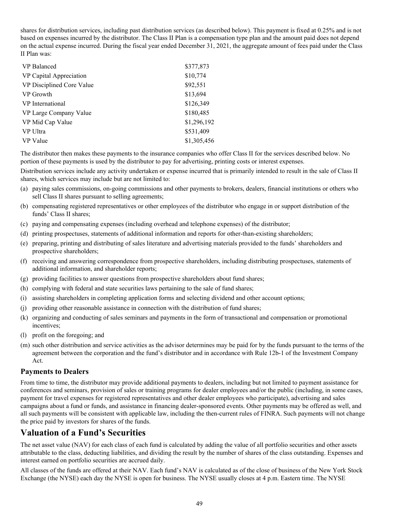shares for distribution services, including past distribution services (as described below). This payment is fixed at 0.25% and is not based on expenses incurred by the distributor. The Class II Plan is a compensation type plan and the amount paid does not depend on the actual expense incurred. During the fiscal year ended December 31, 2021, the aggregate amount of fees paid under the Class II Plan was:

| \$377,873   |
|-------------|
| \$10,774    |
| \$92,551    |
| \$13,694    |
| \$126,349   |
| \$180,485   |
| \$1,296,192 |
| \$531,409   |
| \$1,305,456 |
|             |

The distributor then makes these payments to the insurance companies who offer Class II for the services described below. No portion of these payments is used by the distributor to pay for advertising, printing costs or interest expenses.

Distribution services include any activity undertaken or expense incurred that is primarily intended to result in the sale of Class II shares, which services may include but are not limited to:

- (a) paying sales commissions, on-going commissions and other payments to brokers, dealers, financial institutions or others who sell Class II shares pursuant to selling agreements;
- (b) compensating registered representatives or other employees of the distributor who engage in or support distribution of the funds' Class II shares;
- (c) paying and compensating expenses (including overhead and telephone expenses) of the distributor;
- (d) printing prospectuses, statements of additional information and reports for other-than-existing shareholders;
- (e) preparing, printing and distributing of sales literature and advertising materials provided to the funds' shareholders and prospective shareholders;
- (f) receiving and answering correspondence from prospective shareholders, including distributing prospectuses, statements of additional information, and shareholder reports;
- (g) providing facilities to answer questions from prospective shareholders about fund shares;
- (h) complying with federal and state securities laws pertaining to the sale of fund shares;
- (i) assisting shareholders in completing application forms and selecting dividend and other account options;
- (j) providing other reasonable assistance in connection with the distribution of fund shares;
- (k) organizing and conducting of sales seminars and payments in the form of transactional and compensation or promotional incentives;
- (l) profit on the foregoing; and
- (m) such other distribution and service activities as the advisor determines may be paid for by the funds pursuant to the terms of the agreement between the corporation and the fund's distributor and in accordance with Rule 12b-1 of the Investment Company Act.

#### **Payments to Dealers**

From time to time, the distributor may provide additional payments to dealers, including but not limited to payment assistance for conferences and seminars, provision of sales or training programs for dealer employees and/or the public (including, in some cases, payment for travel expenses for registered representatives and other dealer employees who participate), advertising and sales campaigns about a fund or funds, and assistance in financing dealer-sponsored events. Other payments may be offered as well, and all such payments will be consistent with applicable law, including the then-current rules of FINRA. Such payments will not change the price paid by investors for shares of the funds.

# **Valuation of a Fund's Securities**

The net asset value (NAV) for each class of each fund is calculated by adding the value of all portfolio securities and other assets attributable to the class, deducting liabilities, and dividing the result by the number of shares of the class outstanding. Expenses and interest earned on portfolio securities are accrued daily.

All classes of the funds are offered at their NAV. Each fund's NAV is calculated as of the close of business of the New York Stock Exchange (the NYSE) each day the NYSE is open for business. The NYSE usually closes at 4 p.m. Eastern time. The NYSE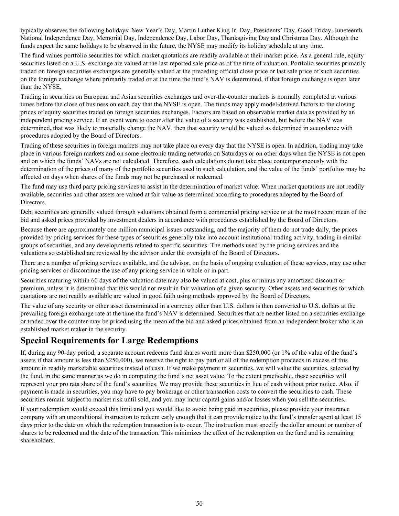typically observes the following holidays: New Year's Day, Martin Luther King Jr. Day, Presidents' Day, Good Friday, Juneteenth National Independence Day, Memorial Day, Independence Day, Labor Day, Thanksgiving Day and Christmas Day. Although the funds expect the same holidays to be observed in the future, the NYSE may modify its holiday schedule at any time.

The fund values portfolio securities for which market quotations are readily available at their market price. As a general rule, equity securities listed on a U.S. exchange are valued at the last reported sale price as of the time of valuation. Portfolio securities primarily traded on foreign securities exchanges are generally valued at the preceding official close price or last sale price of such securities on the foreign exchange where primarily traded or at the time the fund's NAV is determined, if that foreign exchange is open later than the NYSE.

Trading in securities on European and Asian securities exchanges and over-the-counter markets is normally completed at various times before the close of business on each day that the NYSE is open. The funds may apply model-derived factors to the closing prices of equity securities traded on foreign securities exchanges. Factors are based on observable market data as provided by an independent pricing service. If an event were to occur after the value of a security was established, but before the NAV was determined, that was likely to materially change the NAV, then that security would be valued as determined in accordance with procedures adopted by the Board of Directors.

Trading of these securities in foreign markets may not take place on every day that the NYSE is open. In addition, trading may take place in various foreign markets and on some electronic trading networks on Saturdays or on other days when the NYSE is not open and on which the funds' NAVs are not calculated. Therefore, such calculations do not take place contemporaneously with the determination of the prices of many of the portfolio securities used in such calculation, and the value of the funds' portfolios may be affected on days when shares of the funds may not be purchased or redeemed.

The fund may use third party pricing services to assist in the determination of market value. When market quotations are not readily available, securities and other assets are valued at fair value as determined according to procedures adopted by the Board of Directors.

Debt securities are generally valued through valuations obtained from a commercial pricing service or at the most recent mean of the bid and asked prices provided by investment dealers in accordance with procedures established by the Board of Directors.

Because there are approximately one million municipal issues outstanding, and the majority of them do not trade daily, the prices provided by pricing services for these types of securities generally take into account institutional trading activity, trading in similar groups of securities, and any developments related to specific securities. The methods used by the pricing services and the valuations so established are reviewed by the advisor under the oversight of the Board of Directors.

There are a number of pricing services available, and the advisor, on the basis of ongoing evaluation of these services, may use other pricing services or discontinue the use of any pricing service in whole or in part.

Securities maturing within 60 days of the valuation date may also be valued at cost, plus or minus any amortized discount or premium, unless it is determined that this would not result in fair valuation of a given security. Other assets and securities for which quotations are not readily available are valued in good faith using methods approved by the Board of Directors.

The value of any security or other asset denominated in a currency other than U.S. dollars is then converted to U.S. dollars at the prevailing foreign exchange rate at the time the fund's NAV is determined. Securities that are neither listed on a securities exchange or traded over the counter may be priced using the mean of the bid and asked prices obtained from an independent broker who is an established market maker in the security.

# **Special Requirements for Large Redemptions**

If, during any 90-day period, a separate account redeems fund shares worth more than \$250,000 (or 1% of the value of the fund's assets if that amount is less than \$250,000), we reserve the right to pay part or all of the redemption proceeds in excess of this amount in readily marketable securities instead of cash. If we make payment in securities, we will value the securities, selected by the fund, in the same manner as we do in computing the fund's net asset value. To the extent practicable, these securities will represent your pro rata share of the fund's securities. We may provide these securities in lieu of cash without prior notice. Also, if payment is made in securities, you may have to pay brokerage or other transaction costs to convert the securities to cash. These securities remain subject to market risk until sold, and you may incur capital gains and/or losses when you sell the securities.

If your redemption would exceed this limit and you would like to avoid being paid in securities, please provide your insurance company with an unconditional instruction to redeem early enough that it can provide notice to the fund's transfer agent at least 15 days prior to the date on which the redemption transaction is to occur. The instruction must specify the dollar amount or number of shares to be redeemed and the date of the transaction. This minimizes the effect of the redemption on the fund and its remaining shareholders.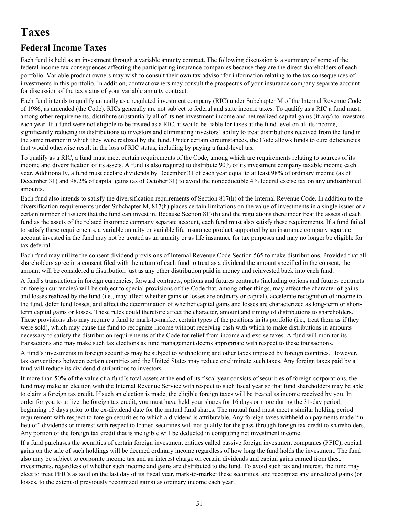# **Taxes**

# **Federal Income Taxes**

Each fund is held as an investment through a variable annuity contract. The following discussion is a summary of some of the federal income tax consequences affecting the participating insurance companies because they are the direct shareholders of each portfolio. Variable product owners may wish to consult their own tax advisor for information relating to the tax consequences of investments in this portfolio. In addition, contract owners may consult the prospectus of your insurance company separate account for discussion of the tax status of your variable annuity contract.

Each fund intends to qualify annually as a regulated investment company (RIC) under Subchapter M of the Internal Revenue Code of 1986, as amended (the Code). RICs generally are not subject to federal and state income taxes. To qualify as a RIC a fund must, among other requirements, distribute substantially all of its net investment income and net realized capital gains (if any) to investors each year. If a fund were not eligible to be treated as a RIC, it would be liable for taxes at the fund level on all its income, significantly reducing its distributions to investors and eliminating investors' ability to treat distributions received from the fund in the same manner in which they were realized by the fund. Under certain circumstances, the Code allows funds to cure deficiencies that would otherwise result in the loss of RIC status, including by paying a fund-level tax.

To qualify as a RIC, a fund must meet certain requirements of the Code, among which are requirements relating to sources of its income and diversification of its assets. A fund is also required to distribute 90% of its investment company taxable income each year. Additionally, a fund must declare dividends by December 31 of each year equal to at least 98% of ordinary income (as of December 31) and 98.2% of capital gains (as of October 31) to avoid the nondeductible 4% federal excise tax on any undistributed amounts.

Each fund also intends to satisfy the diversification requirements of Section 817(h) of the Internal Revenue Code. In addition to the diversification requirements under Subchapter M, 817(h) places certain limitations on the value of investments in a single issuer or a certain number of issuers that the fund can invest in. Because Section 817(h) and the regulations thereunder treat the assets of each fund as the assets of the related insurance company separate account, each fund must also satisfy these requirements. If a fund failed to satisfy these requirements, a variable annuity or variable life insurance product supported by an insurance company separate account invested in the fund may not be treated as an annuity or as life insurance for tax purposes and may no longer be eligible for tax deferral.

Each fund may utilize the consent dividend provisions of Internal Revenue Code Section 565 to make distributions. Provided that all shareholders agree in a consent filed with the return of each fund to treat as a dividend the amount specified in the consent, the amount will be considered a distribution just as any other distribution paid in money and reinvested back into each fund.

A fund's transactions in foreign currencies, forward contracts, options and futures contracts (including options and futures contracts on foreign currencies) will be subject to special provisions of the Code that, among other things, may affect the character of gains and losses realized by the fund (i.e., may affect whether gains or losses are ordinary or capital), accelerate recognition of income to the fund, defer fund losses, and affect the determination of whether capital gains and losses are characterized as long-term or shortterm capital gains or losses. These rules could therefore affect the character, amount and timing of distributions to shareholders. These provisions also may require a fund to mark-to-market certain types of the positions in its portfolio (i.e., treat them as if they were sold), which may cause the fund to recognize income without receiving cash with which to make distributions in amounts necessary to satisfy the distribution requirements of the Code for relief from income and excise taxes. A fund will monitor its transactions and may make such tax elections as fund management deems appropriate with respect to these transactions.

A fund's investments in foreign securities may be subject to withholding and other taxes imposed by foreign countries. However, tax conventions between certain countries and the United States may reduce or eliminate such taxes. Any foreign taxes paid by a fund will reduce its dividend distributions to investors.

If more than 50% of the value of a fund's total assets at the end of its fiscal year consists of securities of foreign corporations, the fund may make an election with the Internal Revenue Service with respect to such fiscal year so that fund shareholders may be able to claim a foreign tax credit. If such an election is made, the eligible foreign taxes will be treated as income received by you. In order for you to utilize the foreign tax credit, you must have held your shares for 16 days or more during the 31-day period, beginning 15 days prior to the ex-dividend date for the mutual fund shares. The mutual fund must meet a similar holding period requirement with respect to foreign securities to which a dividend is attributable. Any foreign taxes withheld on payments made "in lieu of" dividends or interest with respect to loaned securities will not qualify for the pass-through foreign tax credit to shareholders. Any portion of the foreign tax credit that is ineligible will be deducted in computing net investment income.

If a fund purchases the securities of certain foreign investment entities called passive foreign investment companies (PFIC), capital gains on the sale of such holdings will be deemed ordinary income regardless of how long the fund holds the investment. The fund also may be subject to corporate income tax and an interest charge on certain dividends and capital gains earned from these investments, regardless of whether such income and gains are distributed to the fund. To avoid such tax and interest, the fund may elect to treat PFICs as sold on the last day of its fiscal year, mark-to-market these securities, and recognize any unrealized gains (or losses, to the extent of previously recognized gains) as ordinary income each year.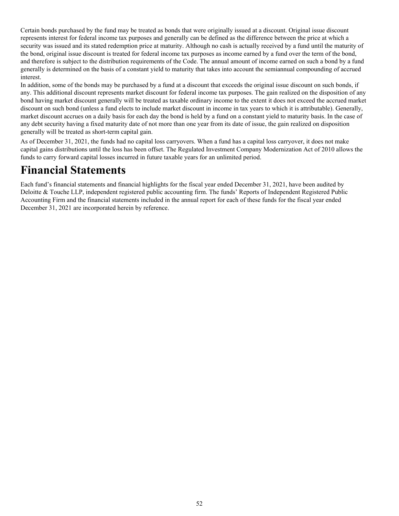Certain bonds purchased by the fund may be treated as bonds that were originally issued at a discount. Original issue discount represents interest for federal income tax purposes and generally can be defined as the difference between the price at which a security was issued and its stated redemption price at maturity. Although no cash is actually received by a fund until the maturity of the bond, original issue discount is treated for federal income tax purposes as income earned by a fund over the term of the bond, and therefore is subject to the distribution requirements of the Code. The annual amount of income earned on such a bond by a fund generally is determined on the basis of a constant yield to maturity that takes into account the semiannual compounding of accrued interest.

In addition, some of the bonds may be purchased by a fund at a discount that exceeds the original issue discount on such bonds, if any. This additional discount represents market discount for federal income tax purposes. The gain realized on the disposition of any bond having market discount generally will be treated as taxable ordinary income to the extent it does not exceed the accrued market discount on such bond (unless a fund elects to include market discount in income in tax years to which it is attributable). Generally, market discount accrues on a daily basis for each day the bond is held by a fund on a constant yield to maturity basis. In the case of any debt security having a fixed maturity date of not more than one year from its date of issue, the gain realized on disposition generally will be treated as short-term capital gain.

As of December 31, 2021, the funds had no capital loss carryovers. When a fund has a capital loss carryover, it does not make capital gains distributions until the loss has been offset. The Regulated Investment Company Modernization Act of 2010 allows the funds to carry forward capital losses incurred in future taxable years for an unlimited period.

# **Financial Statements**

Each fund's financial statements and financial highlights for the fiscal year ended December 31, 2021, have been audited by Deloitte & Touche LLP, independent registered public accounting firm. The funds' Reports of Independent Registered Public Accounting Firm and the financial statements included in the annual report for each of these funds for the fiscal year ended December 31, 2021 are incorporated herein by reference.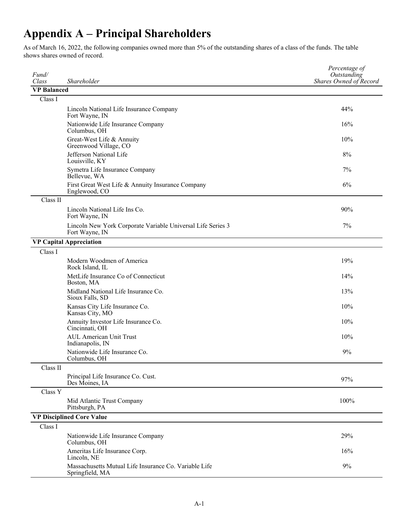# **Appendix A – Principal Shareholders**

As of March 16, 2022, the following companies owned more than 5% of the outstanding shares of a class of the funds. The table shows shares owned of record.

| Fund/<br>Class     | Shareholder                                                                   | Percentage of<br>Outstanding<br>Shares Owned of Record |
|--------------------|-------------------------------------------------------------------------------|--------------------------------------------------------|
| <b>VP Balanced</b> |                                                                               |                                                        |
| Class I            |                                                                               |                                                        |
|                    | Lincoln National Life Insurance Company<br>Fort Wayne, IN                     | 44%                                                    |
|                    | Nationwide Life Insurance Company<br>Columbus, OH                             | 16%                                                    |
|                    | Great-West Life & Annuity<br>Greenwood Village, CO                            | 10%                                                    |
|                    | Jefferson National Life<br>Louisville, KY                                     | $8\%$                                                  |
|                    | Symetra Life Insurance Company<br>Bellevue, WA                                | 7%                                                     |
|                    | First Great West Life & Annuity Insurance Company<br>Englewood, CO            | 6%                                                     |
| Class II           |                                                                               |                                                        |
|                    | Lincoln National Life Ins Co.<br>Fort Wayne, IN                               | 90%                                                    |
|                    | Lincoln New York Corporate Variable Universal Life Series 3<br>Fort Wayne, IN | 7%                                                     |
|                    | <b>VP Capital Appreciation</b>                                                |                                                        |
| Class I            |                                                                               |                                                        |
|                    | Modern Woodmen of America<br>Rock Island, IL                                  | 19%                                                    |
|                    | MetLife Insurance Co of Connecticut<br>Boston, MA                             | 14%                                                    |
|                    | Midland National Life Insurance Co.<br>Sioux Falls, SD                        | 13%                                                    |
|                    | Kansas City Life Insurance Co.<br>Kansas City, MO                             | 10%                                                    |
|                    | Annuity Investor Life Insurance Co.<br>Cincinnati, OH                         | 10%                                                    |
|                    | <b>AUL American Unit Trust</b><br>Indianapolis, IN                            | 10%                                                    |
|                    | Nationwide Life Insurance Co.<br>Columbus, OH                                 | 9%                                                     |
| Class II           |                                                                               |                                                        |
|                    | Principal Life Insurance Co. Cust.<br>Des Moines, IA                          | 97%                                                    |
| Class Y            |                                                                               |                                                        |
|                    | Mid Atlantic Trust Company<br>Pittsburgh, PA                                  | 100%                                                   |
|                    | <b>VP Disciplined Core Value</b>                                              |                                                        |
| Class I            |                                                                               |                                                        |
|                    | Nationwide Life Insurance Company<br>Columbus, OH                             | 29%                                                    |
|                    | Ameritas Life Insurance Corp.<br>Lincoln, NE                                  | 16%                                                    |
|                    | Massachusetts Mutual Life Insurance Co. Variable Life<br>Springfield, MA      | 9%                                                     |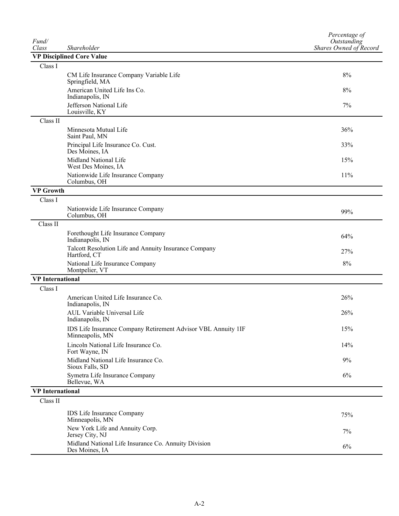| Fund/<br>Class          | Shareholder                                                                      | Percentage of<br>Outstanding<br>Shares Owned of Record |
|-------------------------|----------------------------------------------------------------------------------|--------------------------------------------------------|
|                         | <b>VP Disciplined Core Value</b>                                                 |                                                        |
| Class I                 |                                                                                  |                                                        |
|                         | CM Life Insurance Company Variable Life<br>Springfield, MA                       | 8%                                                     |
|                         | American United Life Ins Co.<br>Indianapolis, IN                                 | 8%                                                     |
|                         | Jefferson National Life<br>Louisville, KY                                        | 7%                                                     |
| Class II                |                                                                                  |                                                        |
|                         | Minnesota Mutual Life<br>Saint Paul, MN                                          | 36%                                                    |
|                         | Principal Life Insurance Co. Cust.<br>Des Moines, IA                             | 33%                                                    |
|                         | Midland National Life<br>West Des Moines, IA                                     | 15%                                                    |
|                         | Nationwide Life Insurance Company<br>Columbus, OH                                | 11%                                                    |
| <b>VP Growth</b>        |                                                                                  |                                                        |
| Class I                 |                                                                                  |                                                        |
|                         | Nationwide Life Insurance Company<br>Columbus, OH                                | 99%                                                    |
| Class II                |                                                                                  |                                                        |
|                         | Forethought Life Insurance Company<br>Indianapolis, IN                           | 64%                                                    |
|                         | Talcott Resolution Life and Annuity Insurance Company<br>Hartford, CT            | 27%                                                    |
|                         | National Life Insurance Company<br>Montpelier, VT                                | 8%                                                     |
| <b>VP</b> International |                                                                                  |                                                        |
| Class I                 |                                                                                  |                                                        |
|                         | American United Life Insurance Co.<br>Indianapolis, IN                           | 26%                                                    |
|                         | AUL Variable Universal Life<br>Indianapolis, IN                                  | 26%                                                    |
|                         | IDS Life Insurance Company Retirement Advisor VBL Annuity 1IF<br>Minneapolis, MN | 15%                                                    |
|                         | Lincoln National Life Insurance Co.<br>Fort Wayne, IN                            | 14%                                                    |
|                         | Midland National Life Insurance Co.<br>Sioux Falls, SD                           | 9%                                                     |
|                         | Symetra Life Insurance Company<br>Bellevue, WA                                   | 6%                                                     |
| <b>VP</b> International |                                                                                  |                                                        |
| Class II                |                                                                                  |                                                        |
|                         | IDS Life Insurance Company<br>Minneapolis, MN                                    | 75%                                                    |
|                         | New York Life and Annuity Corp.<br>Jersey City, NJ                               | 7%                                                     |
|                         | Midland National Life Insurance Co. Annuity Division<br>Des Moines, IA           | 6%                                                     |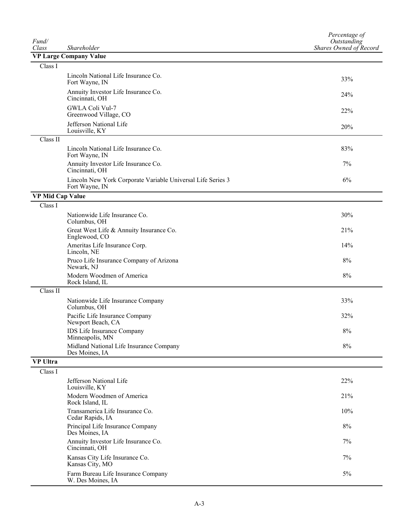| Fund/<br>Class          | Shareholder                                                                   | Percentage of<br>Outstanding<br>Shares Owned of Record |
|-------------------------|-------------------------------------------------------------------------------|--------------------------------------------------------|
|                         | <b>VP Large Company Value</b>                                                 |                                                        |
| Class I                 |                                                                               |                                                        |
|                         | Lincoln National Life Insurance Co.<br>Fort Wayne, IN                         | 33%                                                    |
|                         | Annuity Investor Life Insurance Co.<br>Cincinnati, OH                         | 24%                                                    |
|                         | GWLA Coli Vul-7<br>Greenwood Village, CO                                      | 22%                                                    |
|                         | Jefferson National Life<br>Louisville, KY                                     | 20%                                                    |
| Class II                |                                                                               |                                                        |
|                         | Lincoln National Life Insurance Co.<br>Fort Wayne, IN                         | 83%                                                    |
|                         | Annuity Investor Life Insurance Co.<br>Cincinnati, OH                         | 7%                                                     |
|                         | Lincoln New York Corporate Variable Universal Life Series 3<br>Fort Wayne, IN | 6%                                                     |
| <b>VP Mid Cap Value</b> |                                                                               |                                                        |
| Class I                 |                                                                               |                                                        |
|                         | Nationwide Life Insurance Co.<br>Columbus, OH                                 | 30%                                                    |
|                         | Great West Life & Annuity Insurance Co.<br>Englewood, CO                      | 21%                                                    |
|                         | Ameritas Life Insurance Corp.<br>Lincoln, NE                                  | 14%                                                    |
|                         | Pruco Life Insurance Company of Arizona<br>Newark, NJ                         | 8%                                                     |
|                         | Modern Woodmen of America<br>Rock Island, IL                                  | 8%                                                     |
| Class II                |                                                                               |                                                        |
|                         | Nationwide Life Insurance Company<br>Columbus, OH                             | 33%                                                    |
|                         | Pacific Life Insurance Company<br>Newport Beach, CA                           | 32%                                                    |
|                         | IDS Life Insurance Company<br>Minneapolis, MN                                 | 8%                                                     |
|                         | Midland National Life Insurance Company<br>Des Moines, IA                     | 8%                                                     |
| <b>VP</b> Ultra         |                                                                               |                                                        |
| Class I                 |                                                                               |                                                        |
|                         | Jefferson National Life<br>Louisville, KY                                     | 22%                                                    |
|                         | Modern Woodmen of America<br>Rock Island, IL                                  | 21%                                                    |
|                         | Transamerica Life Insurance Co.<br>Cedar Rapids, IA                           | 10%                                                    |
|                         | Principal Life Insurance Company<br>Des Moines, IA                            | 8%                                                     |
|                         | Annuity Investor Life Insurance Co.<br>Cincinnati, OH                         | 7%                                                     |
|                         | Kansas City Life Insurance Co.<br>Kansas City, MO                             | 7%                                                     |
|                         | Farm Bureau Life Insurance Company<br>W. Des Moines, IA                       | 5%                                                     |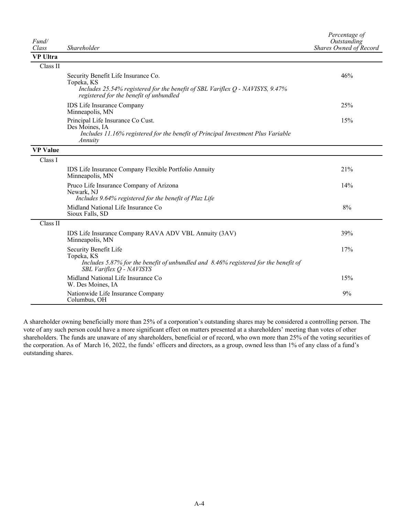| Fund/<br>Class  | Shareholder                                                                                                                                                                   | Percentage of<br>Outstanding<br>Shares Owned of Record |
|-----------------|-------------------------------------------------------------------------------------------------------------------------------------------------------------------------------|--------------------------------------------------------|
| <b>VP</b> Ultra |                                                                                                                                                                               |                                                        |
| Class II        |                                                                                                                                                                               |                                                        |
|                 | Security Benefit Life Insurance Co.<br>Topeka, KS<br>Includes 25.54% registered for the benefit of SBL Variflex Q - NAVISYS, 9.47%<br>registered for the benefit of unbundled | 46%                                                    |
|                 | IDS Life Insurance Company<br>Minneapolis, MN                                                                                                                                 | 25%                                                    |
|                 | Principal Life Insurance Co Cust.<br>Des Moines, IA<br>Includes 11.16% registered for the benefit of Principal Investment Plus Variable<br><b>Annuity</b>                     | 15%                                                    |
| <b>VP Value</b> |                                                                                                                                                                               |                                                        |
| Class I         |                                                                                                                                                                               |                                                        |
|                 | IDS Life Insurance Company Flexible Portfolio Annuity<br>Minneapolis, MN                                                                                                      | 21%                                                    |
|                 | Pruco Life Insurance Company of Arizona<br>Newark, NJ<br>Includes 9.64% registered for the benefit of Plaz Life                                                               | 14%                                                    |
|                 | Midland National Life Insurance Co<br>Sioux Falls, SD                                                                                                                         | 8%                                                     |
| Class II        |                                                                                                                                                                               |                                                        |
|                 | IDS Life Insurance Company RAVA ADV VBL Annuity (3AV)<br>Minneapolis, MN                                                                                                      | 39%                                                    |
|                 | Security Benefit Life<br>Topeka, KS<br>Includes 5.87% for the benefit of unbundled and 8.46% registered for the benefit of<br>SBL Variflex Q - NAVISYS                        | 17%                                                    |
|                 | Midland National Life Insurance Co<br>W. Des Moines, IA                                                                                                                       | 15%                                                    |
|                 | Nationwide Life Insurance Company<br>Columbus, OH                                                                                                                             | 9%                                                     |

A shareholder owning beneficially more than 25% of a corporation's outstanding shares may be considered a controlling person. The vote of any such person could have a more significant effect on matters presented at a shareholders' meeting than votes of other shareholders. The funds are unaware of any shareholders, beneficial or of record, who own more than 25% of the voting securities of the corporation. As of March 16, 2022, the funds' officers and directors, as a group, owned less than 1% of any class of a fund's outstanding shares.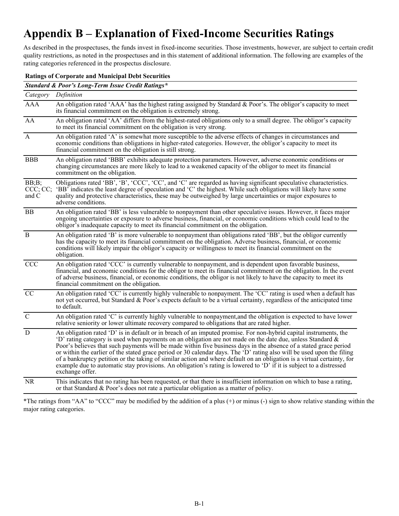# **Appendix B – Explanation of Fixed-Income Securities Ratings**

As described in the prospectuses, the funds invest in fixed-income securities. Those investments, however, are subject to certain credit quality restrictions, as noted in the prospectuses and in this statement of additional information. The following are examples of the rating categories referenced in the prospectus disclosure.

#### **Ratings of Corporate and Municipal Debt Securities**

*Standard & Poor's Long-Term Issue Credit Ratings\**

| Category                   | Definition                                                                                                                                                                                                                                                                                                                                                                                                                                                                                                                                                                                                                                                                                                                                            |
|----------------------------|-------------------------------------------------------------------------------------------------------------------------------------------------------------------------------------------------------------------------------------------------------------------------------------------------------------------------------------------------------------------------------------------------------------------------------------------------------------------------------------------------------------------------------------------------------------------------------------------------------------------------------------------------------------------------------------------------------------------------------------------------------|
| <b>AAA</b>                 | An obligation rated 'AAA' has the highest rating assigned by Standard & Poor's. The obligor's capacity to meet<br>its financial commitment on the obligation is extremely strong.                                                                                                                                                                                                                                                                                                                                                                                                                                                                                                                                                                     |
| AA                         | An obligation rated 'AA' differs from the highest-rated obligations only to a small degree. The obligor's capacity<br>to meet its financial commitment on the obligation is very strong.                                                                                                                                                                                                                                                                                                                                                                                                                                                                                                                                                              |
| $\mathsf{A}$               | An obligation rated 'A' is somewhat more susceptible to the adverse effects of changes in circumstances and<br>economic conditions than obligations in higher-rated categories. However, the obligor's capacity to meet its<br>financial commitment on the obligation is still strong.                                                                                                                                                                                                                                                                                                                                                                                                                                                                |
| <b>BBB</b>                 | An obligation rated 'BBB' exhibits adequate protection parameters. However, adverse economic conditions or<br>changing circumstances are more likely to lead to a weakened capacity of the obligor to meet its financial<br>commitment on the obligation.                                                                                                                                                                                                                                                                                                                                                                                                                                                                                             |
| BB;B;<br>CCC; CC;<br>and C | Obligations rated 'BB', 'B', 'CCC', 'CC', and 'C' are regarded as having significant speculative characteristics.<br>'BB' indicates the least degree of speculation and 'C' the highest. While such obligations will likely have some<br>quality and protective characteristics, these may be outweighed by large uncertainties or major exposures to<br>adverse conditions.                                                                                                                                                                                                                                                                                                                                                                          |
| <b>BB</b>                  | An obligation rated 'BB' is less vulnerable to nonpayment than other speculative issues. However, it faces major<br>ongoing uncertainties or exposure to adverse business, financial, or economic conditions which could lead to the<br>obligor's inadequate capacity to meet its financial commitment on the obligation.                                                                                                                                                                                                                                                                                                                                                                                                                             |
| $\mathbf B$                | An obligation rated 'B' is more vulnerable to nonpayment than obligations rated 'BB', but the obligor currently<br>has the capacity to meet its financial commitment on the obligation. Adverse business, financial, or economic<br>conditions will likely impair the obligor's capacity or willingness to meet its financial commitment on the<br>obligation.                                                                                                                                                                                                                                                                                                                                                                                        |
| <b>CCC</b>                 | An obligation rated 'CCC' is currently vulnerable to nonpayment, and is dependent upon favorable business,<br>financial, and economic conditions for the obligor to meet its financial commitment on the obligation. In the event<br>of adverse business, financial, or economic conditions, the obligor is not likely to have the capacity to meet its<br>financial commitment on the obligation.                                                                                                                                                                                                                                                                                                                                                    |
| CC                         | An obligation rated 'CC' is currently highly vulnerable to nonpayment. The 'CC' rating is used when a default has<br>not yet occurred, but Standard & Poor's expects default to be a virtual certainty, regardless of the anticipated time<br>to default.                                                                                                                                                                                                                                                                                                                                                                                                                                                                                             |
| $\overline{C}$             | An obligation rated 'C' is currently highly vulnerable to nonpayment, and the obligation is expected to have lower<br>relative seniority or lower ultimate recovery compared to obligations that are rated higher.                                                                                                                                                                                                                                                                                                                                                                                                                                                                                                                                    |
| $\overline{D}$             | An obligation rated 'D' is in default or in breach of an imputed promise. For non-hybrid capital instruments, the<br>D' rating category is used when payments on an obligation are not made on the date due, unless Standard $\&$<br>Poor's believes that such payments will be made within five business days in the absence of a stated grace period<br>or within the earlier of the stated grace period or 30 calendar days. The 'D' rating also will be used upon the filing<br>of a bankruptcy petition or the taking of similar action and where default on an obligation is a virtual certainty, for<br>example due to automatic stay provisions. An obligation's rating is lowered to 'D' if it is subject to a distressed<br>exchange offer. |
| <b>NR</b>                  | This indicates that no rating has been requested, or that there is insufficient information on which to base a rating,<br>or that Standard & Poor's does not rate a particular obligation as a matter of policy.                                                                                                                                                                                                                                                                                                                                                                                                                                                                                                                                      |

\*The ratings from "AA" to "CCC" may be modified by the addition of a plus (+) or minus (-) sign to show relative standing within the major rating categories.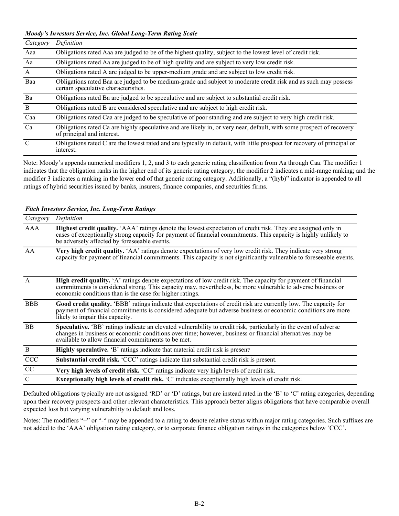*Moody's Investors Service, Inc. Global Long-Term Rating Scale*

| Category     | Definition                                                                                                                                              |
|--------------|---------------------------------------------------------------------------------------------------------------------------------------------------------|
| Aaa          | Obligations rated Aaa are judged to be of the highest quality, subject to the lowest level of credit risk.                                              |
| Aa           | Obligations rated Aa are judged to be of high quality and are subject to very low credit risk.                                                          |
| $\mathsf{A}$ | Obligations rated A are judged to be upper-medium grade and are subject to low credit risk.                                                             |
| Baa          | Obligations rated Baa are judged to be medium-grade and subject to moderate credit risk and as such may possess<br>certain speculative characteristics. |
| Ba           | Obligations rated Ba are judged to be speculative and are subject to substantial credit risk.                                                           |
| B            | Obligations rated B are considered speculative and are subject to high credit risk.                                                                     |
| Caa          | Obligations rated Caa are judged to be speculative of poor standing and are subject to very high credit risk.                                           |
| Ca           | Obligations rated Ca are highly speculative and are likely in, or very near, default, with some prospect of recovery<br>of principal and interest.      |
|              | Obligations rated C are the lowest rated and are typically in default, with little prospect for recovery of principal or<br>interest.                   |

Note: Moody's appends numerical modifiers 1, 2, and 3 to each generic rating classification from Aa through Caa. The modifier 1 indicates that the obligation ranks in the higher end of its generic rating category; the modifier 2 indicates a mid-range ranking; and the modifier 3 indicates a ranking in the lower end of that generic rating category. Additionally, a "(hyb)" indicator is appended to all ratings of hybrid securities issued by banks, insurers, finance companies, and securities firms.

#### *Fitch Investors Service, Inc. Long-Term Ratings*

| Category      | Definition                                                                                                                                                                                                                                                                                        |
|---------------|---------------------------------------------------------------------------------------------------------------------------------------------------------------------------------------------------------------------------------------------------------------------------------------------------|
| AAA           | Highest credit quality. 'AAA' ratings denote the lowest expectation of credit risk. They are assigned only in<br>cases of exceptionally strong capacity for payment of financial commitments. This capacity is highly unlikely to<br>be adversely affected by foreseeable events.                 |
| AA            | Very high credit quality. 'AA' ratings denote expectations of very low credit risk. They indicate very strong<br>capacity for payment of financial commitments. This capacity is not significantly vulnerable to foreseeable events.                                                              |
| $\mathsf{A}$  | <b>High credit quality.</b> 'A' ratings denote expectations of low credit risk. The capacity for payment of financial<br>commitments is considered strong. This capacity may, nevertheless, be more vulnerable to adverse business or<br>economic conditions than is the case for higher ratings. |
| <b>BBB</b>    | Good credit quality. 'BBB' ratings indicate that expectations of credit risk are currently low. The capacity for<br>payment of financial commitments is considered adequate but adverse business or economic conditions are more<br>likely to impair this capacity.                               |
| <b>BB</b>     | Speculative. 'BB' ratings indicate an elevated vulnerability to credit risk, particularly in the event of adverse<br>changes in business or economic conditions over time; however, business or financial alternatives may be<br>available to allow financial commitments to be met.              |
| $\mathbf{B}$  | Highly speculative. 'B' ratings indicate that material credit risk is present-                                                                                                                                                                                                                    |
| <b>CCC</b>    | Substantial credit risk. 'CCC' ratings indicate that substantial credit risk is present.                                                                                                                                                                                                          |
| CC            | Very high levels of credit risk. 'CC' ratings indicate very high levels of credit risk.                                                                                                                                                                                                           |
| $\mathcal{C}$ | <b>Exceptionally high levels of credit risk.</b> 'C' indicates exceptionally high levels of credit risk.                                                                                                                                                                                          |
|               |                                                                                                                                                                                                                                                                                                   |

Defaulted obligations typically are not assigned 'RD' or 'D' ratings, but are instead rated in the 'B' to 'C' rating categories, depending upon their recovery prospects and other relevant characteristics. This approach better aligns obligations that have comparable overall expected loss but varying vulnerability to default and loss.

Notes: The modifiers "+" or "-" may be appended to a rating to denote relative status within major rating categories. Such suffixes are not added to the 'AAA' obligation rating category, or to corporate finance obligation ratings in the categories below 'CCC'.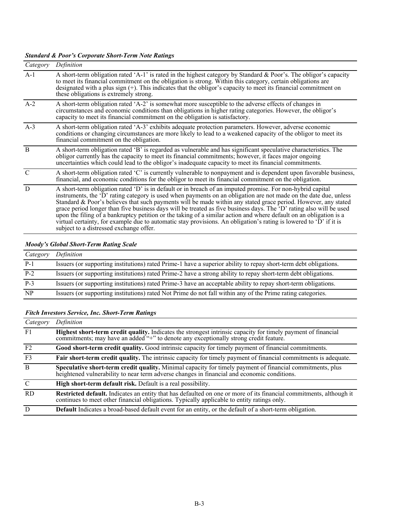*Standard & Poor's Corporate Short-Term Note Ratings*

| Category      | Definition                                                                                                                                                                                                                                                                                                                                                                                                                                                                                                                                                                                                                                                                                                                                                     |
|---------------|----------------------------------------------------------------------------------------------------------------------------------------------------------------------------------------------------------------------------------------------------------------------------------------------------------------------------------------------------------------------------------------------------------------------------------------------------------------------------------------------------------------------------------------------------------------------------------------------------------------------------------------------------------------------------------------------------------------------------------------------------------------|
| $A-1$         | A short-term obligation rated 'A-1' is rated in the highest category by Standard & Poor's. The obligor's capacity<br>to meet its financial commitment on the obligation is strong. Within this category, certain obligations are<br>designated with a plus sign (+). This indicates that the obligor's capacity to meet its financial commitment on<br>these obligations is extremely strong.                                                                                                                                                                                                                                                                                                                                                                  |
| $A-2$         | A short-term obligation rated 'A-2' is somewhat more susceptible to the adverse effects of changes in<br>circumstances and economic conditions than obligations in higher rating categories. However, the obligor's<br>capacity to meet its financial commitment on the obligation is satisfactory.                                                                                                                                                                                                                                                                                                                                                                                                                                                            |
| $A-3$         | A short-term obligation rated 'A-3' exhibits adequate protection parameters. However, adverse economic<br>conditions or changing circumstances are more likely to lead to a weakened capacity of the obligor to meet its<br>financial commitment on the obligation.                                                                                                                                                                                                                                                                                                                                                                                                                                                                                            |
| B             | A short-term obligation rated 'B' is regarded as vulnerable and has significant speculative characteristics. The<br>obligor currently has the capacity to meet its financial commitments; however, it faces major ongoing<br>uncertainties which could lead to the obligor's inadequate capacity to meet its financial commitments.                                                                                                                                                                                                                                                                                                                                                                                                                            |
| $\mathcal{C}$ | A short-term obligation rated 'C' is currently vulnerable to nonpayment and is dependent upon favorable business,<br>financial, and economic conditions for the obligor to meet its financial commitment on the obligation.                                                                                                                                                                                                                                                                                                                                                                                                                                                                                                                                    |
| D             | A short-term obligation rated 'D' is in default or in breach of an imputed promise. For non-hybrid capital<br>instruments, the 'D' rating category is used when payments on an obligation are not made on the date due, unless<br>Standard & Poor's believes that such payments will be made within any stated grace period. However, any stated<br>grace period longer than five business days will be treated as five business days. The 'D' rating also will be used<br>upon the filing of a bankruptcy petition or the taking of a similar action and where default on an obligation is a<br>virtual certainty, for example due to automatic stay provisions. An obligation's rating is lowered to 'D' if it is<br>subject to a distressed exchange offer. |

# *Moody's Global Short-Term Rating Scale*

| Category | Definition                                                                                                       |
|----------|------------------------------------------------------------------------------------------------------------------|
| $P-1$    | Issuers (or supporting institutions) rated Prime-1 have a superior ability to repay short-term debt obligations. |
| $P-2$    | Issuers (or supporting institutions) rated Prime-2 have a strong ability to repay short-term debt obligations.   |
| $P-3$    | Issuers (or supporting institutions) rated Prime-3 have an acceptable ability to repay short-term obligations.   |
| NP.      | Issuers (or supporting institutions) rated Not Prime do not fall within any of the Prime rating categories.      |

| Category       | Definition                                                                                                                                                                                                         |
|----------------|--------------------------------------------------------------------------------------------------------------------------------------------------------------------------------------------------------------------|
| F1             | <b>Highest short-term credit quality.</b> Indicates the strongest intrinsic capacity for timely payment of financial<br>commitments; may have an added "+" to denote any exceptionally strong credit feature.      |
| F <sub>2</sub> | Good short-term credit quality. Good intrinsic capacity for timely payment of financial commitments.                                                                                                               |
| F <sub>3</sub> | Fair short-term credit quality. The intrinsic capacity for timely payment of financial commitments is adequate.                                                                                                    |
| B              | Speculative short-term credit quality. Minimal capacity for timely payment of financial commitments, plus<br>heightened vulnerability to near term adverse changes in financial and economic conditions.           |
|                | High short-term default risk. Default is a real possibility.                                                                                                                                                       |
| <b>RD</b>      | Restricted default. Indicates an entity that has defaulted on one or more of its financial commitments, although it<br>continues to meet other financial obligations. Typically applicable to entity ratings only. |
|                | <b>Default</b> Indicates a broad-based default event for an entity, or the default of a short-term obligation.                                                                                                     |

# *Fitch Investors Service, Inc. Short-Term Ratings*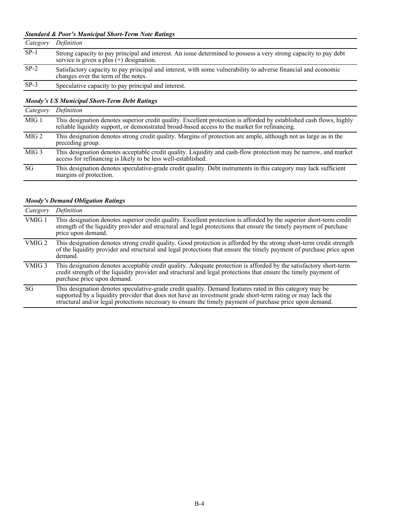*Standard & Poor's Municipal Short-Term Note Ratings*

| Category | Definition                                                                                                                                                     |
|----------|----------------------------------------------------------------------------------------------------------------------------------------------------------------|
| $SP-1$   | Strong capacity to pay principal and interest. An issue determined to possess a very strong capacity to pay debt<br>service is given a plus $(+)$ designation. |
| $SP-2$   | Satisfactory capacity to pay principal and interest, with some vulnerability to adverse financial and economic<br>changes over the term of the notes.          |
| $SP-3$   | Speculative capacity to pay principal and interest.                                                                                                            |

# *Moody's US Municipal Short-Term Debt Ratings*

| Category         | Definition                                                                                                                                                                                                            |
|------------------|-----------------------------------------------------------------------------------------------------------------------------------------------------------------------------------------------------------------------|
| MIG 1            | This designation denotes superior credit quality. Excellent protection is afforded by established cash flows, highly<br>reliable liquidity support, or demonstrated broad-based access to the market for refinancing. |
| MIG <sub>2</sub> | This designation denotes strong credit quality. Margins of protection are ample, although not as large as in the<br>preceding group.                                                                                  |
| MIG <sub>3</sub> | This designation denotes acceptable credit quality. Liquidity and cash-flow protection may be narrow, and market<br>access for refinancing is likely to be less well-established.                                     |
| SG               | This designation denotes speculative-grade credit quality. Debt instruments in this category may lack sufficient<br>margins of protection.                                                                            |

## *Moody's Demand Obligation Ratings*

| Category | Definition                                                                                                                                                                                                                                                                                                                       |
|----------|----------------------------------------------------------------------------------------------------------------------------------------------------------------------------------------------------------------------------------------------------------------------------------------------------------------------------------|
| VMIG 1   | This designation denotes superior credit quality. Excellent protection is afforded by the superior short-term credit<br>strength of the liquidity provider and structural and legal protections that ensure the timely payment of purchase<br>price upon demand.                                                                 |
| VMIG 2   | This designation denotes strong credit quality. Good protection is afforded by the strong short-term credit strength<br>of the liquidity provider and structural and legal protections that ensure the timely payment of purchase price upon<br>demand.                                                                          |
| VMIG 3   | This designation denotes acceptable credit quality. Adequate protection is afforded by the satisfactory short-term<br>credit strength of the liquidity provider and structural and legal protections that ensure the timely payment of<br>purchase price upon demand.                                                            |
| SG       | This designation denotes speculative-grade credit quality. Demand features rated in this category may be supported by a liquidity provider that does not have an investment grade short-term rating or may lack the<br>structural and/or legal protections necessary to ensure the timely payment of purchase price upon demand. |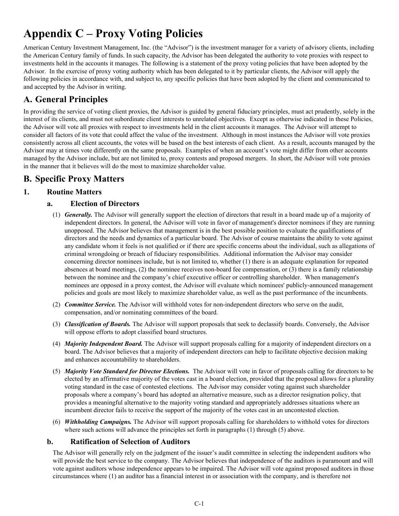# **Appendix C – Proxy Voting Policies**

American Century Investment Management, Inc. (the "Advisor") is the investment manager for a variety of advisory clients, including the American Century family of funds. In such capacity, the Advisor has been delegated the authority to vote proxies with respect to investments held in the accounts it manages. The following is a statement of the proxy voting policies that have been adopted by the Advisor. In the exercise of proxy voting authority which has been delegated to it by particular clients, the Advisor will apply the following policies in accordance with, and subject to, any specific policies that have been adopted by the client and communicated to and accepted by the Advisor in writing.

# **A. General Principles**

In providing the service of voting client proxies, the Advisor is guided by general fiduciary principles, must act prudently, solely in the interest of its clients, and must not subordinate client interests to unrelated objectives. Except as otherwise indicated in these Policies, the Advisor will vote all proxies with respect to investments held in the client accounts it manages. The Advisor will attempt to consider all factors of its vote that could affect the value of the investment. Although in most instances the Advisor will vote proxies consistently across all client accounts, the votes will be based on the best interests of each client. As a result, accounts managed by the Advisor may at times vote differently on the same proposals. Examples of when an account's vote might differ from other accounts managed by the Advisor include, but are not limited to, proxy contests and proposed mergers. In short, the Advisor will vote proxies in the manner that it believes will do the most to maximize shareholder value.

# **B. Specific Proxy Matters**

# **1. Routine Matters**

# **a. Election of Directors**

- (1) *Generally.* The Advisor will generally support the election of directors that result in a board made up of a majority of independent directors. In general, the Advisor will vote in favor of management's director nominees if they are running unopposed. The Advisor believes that management is in the best possible position to evaluate the qualifications of directors and the needs and dynamics of a particular board. The Advisor of course maintains the ability to vote against any candidate whom it feels is not qualified or if there are specific concerns about the individual, such as allegations of criminal wrongdoing or breach of fiduciary responsibilities. Additional information the Advisor may consider concerning director nominees include, but is not limited to, whether (1) there is an adequate explanation for repeated absences at board meetings, (2) the nominee receives non-board fee compensation, or (3) there is a family relationship between the nominee and the company's chief executive officer or controlling shareholder. When management's nominees are opposed in a proxy contest, the Advisor will evaluate which nominees' publicly-announced management policies and goals are most likely to maximize shareholder value, as well as the past performance of the incumbents.
- (2) *Committee Service.* The Advisor will withhold votes for non-independent directors who serve on the audit, compensation, and/or nominating committees of the board.
- (3) *Classification of Boards.* The Advisor will support proposals that seek to declassify boards. Conversely, the Advisor will oppose efforts to adopt classified board structures.
- (4) *Majority Independent Board.* The Advisor will support proposals calling for a majority of independent directors on a board. The Advisor believes that a majority of independent directors can help to facilitate objective decision making and enhances accountability to shareholders.
- (5) *Majority Vote Standard for Director Elections.*The Advisor will vote in favor of proposals calling for directors to be elected by an affirmative majority of the votes cast in a board election, provided that the proposal allows for a plurality voting standard in the case of contested elections. The Advisor may consider voting against such shareholder proposals where a company's board has adopted an alternative measure, such as a director resignation policy, that provides a meaningful alternative to the majority voting standard and appropriately addresses situations where an incumbent director fails to receive the support of the majority of the votes cast in an uncontested election.
- (6) *Withholding Campaigns.* The Advisor will support proposals calling for shareholders to withhold votes for directors where such actions will advance the principles set forth in paragraphs (1) through (5) above.

## **b. Ratification of Selection of Auditors**

The Advisor will generally rely on the judgment of the issuer's audit committee in selecting the independent auditors who will provide the best service to the company. The Advisor believes that independence of the auditors is paramount and will vote against auditors whose independence appears to be impaired. The Advisor will vote against proposed auditors in those circumstances where (1) an auditor has a financial interest in or association with the company, and is therefore not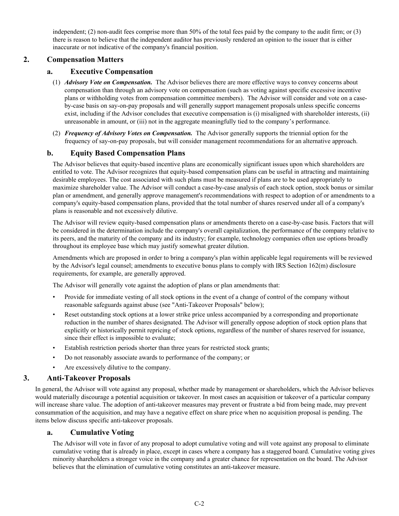independent; (2) non-audit fees comprise more than 50% of the total fees paid by the company to the audit firm; or (3) there is reason to believe that the independent auditor has previously rendered an opinion to the issuer that is either inaccurate or not indicative of the company's financial position.

# **2. Compensation Matters**

## **a. Executive Compensation**

- (1) *Advisory Vote on Compensation.* The Advisor believes there are more effective ways to convey concerns about compensation than through an advisory vote on compensation (such as voting against specific excessive incentive plans or withholding votes from compensation committee members). The Advisor will consider and vote on a caseby-case basis on say-on-pay proposals and will generally support management proposals unless specific concerns exist, including if the Advisor concludes that executive compensation is (i) misaligned with shareholder interests, (ii) unreasonable in amount, or (iii) not in the aggregate meaningfully tied to the company's performance.
- (2) *Frequency of Advisory Votes on Compensation.* The Advisor generally supports the triennial option for the frequency of say-on-pay proposals, but will consider management recommendations for an alternative approach.

# **b. Equity Based Compensation Plans**

The Advisor believes that equity-based incentive plans are economically significant issues upon which shareholders are entitled to vote. The Advisor recognizes that equity-based compensation plans can be useful in attracting and maintaining desirable employees. The cost associated with such plans must be measured if plans are to be used appropriately to maximize shareholder value. The Advisor will conduct a case-by-case analysis of each stock option, stock bonus or similar plan or amendment, and generally approve management's recommendations with respect to adoption of or amendments to a company's equity-based compensation plans, provided that the total number of shares reserved under all of a company's plans is reasonable and not excessively dilutive.

The Advisor will review equity-based compensation plans or amendments thereto on a case-by-case basis. Factors that will be considered in the determination include the company's overall capitalization, the performance of the company relative to its peers, and the maturity of the company and its industry; for example, technology companies often use options broadly throughout its employee base which may justify somewhat greater dilution.

Amendments which are proposed in order to bring a company's plan within applicable legal requirements will be reviewed by the Advisor's legal counsel; amendments to executive bonus plans to comply with IRS Section 162(m) disclosure requirements, for example, are generally approved.

The Advisor will generally vote against the adoption of plans or plan amendments that:

- Provide for immediate vesting of all stock options in the event of a change of control of the company without reasonable safeguards against abuse (see "Anti-Takeover Proposals" below);
- Reset outstanding stock options at a lower strike price unless accompanied by a corresponding and proportionate reduction in the number of shares designated. The Advisor will generally oppose adoption of stock option plans that explicitly or historically permit repricing of stock options, regardless of the number of shares reserved for issuance, since their effect is impossible to evaluate;
- Establish restriction periods shorter than three years for restricted stock grants;
- Do not reasonably associate awards to performance of the company; or
- Are excessively dilutive to the company.

## **3. Anti-Takeover Proposals**

In general, the Advisor will vote against any proposal, whether made by management or shareholders, which the Advisor believes would materially discourage a potential acquisition or takeover. In most cases an acquisition or takeover of a particular company will increase share value. The adoption of anti-takeover measures may prevent or frustrate a bid from being made, may prevent consummation of the acquisition, and may have a negative effect on share price when no acquisition proposal is pending. The items below discuss specific anti-takeover proposals.

#### **a. Cumulative Voting**

The Advisor will vote in favor of any proposal to adopt cumulative voting and will vote against any proposal to eliminate cumulative voting that is already in place, except in cases where a company has a staggered board. Cumulative voting gives minority shareholders a stronger voice in the company and a greater chance for representation on the board. The Advisor believes that the elimination of cumulative voting constitutes an anti-takeover measure.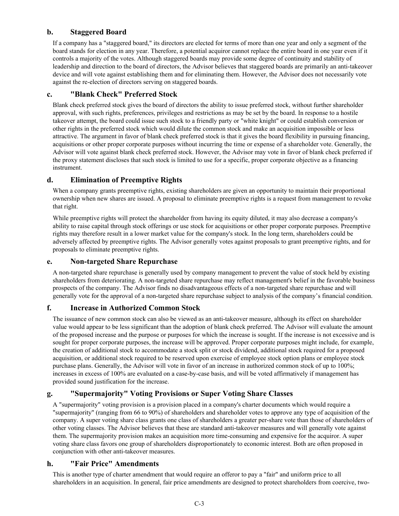## **b. Staggered Board**

If a company has a "staggered board," its directors are elected for terms of more than one year and only a segment of the board stands for election in any year. Therefore, a potential acquiror cannot replace the entire board in one year even if it controls a majority of the votes. Although staggered boards may provide some degree of continuity and stability of leadership and direction to the board of directors, the Advisor believes that staggered boards are primarily an anti-takeover device and will vote against establishing them and for eliminating them. However, the Advisor does not necessarily vote against the re-election of directors serving on staggered boards.

## **c. "Blank Check" Preferred Stock**

Blank check preferred stock gives the board of directors the ability to issue preferred stock, without further shareholder approval, with such rights, preferences, privileges and restrictions as may be set by the board. In response to a hostile takeover attempt, the board could issue such stock to a friendly party or "white knight" or could establish conversion or other rights in the preferred stock which would dilute the common stock and make an acquisition impossible or less attractive. The argument in favor of blank check preferred stock is that it gives the board flexibility in pursuing financing, acquisitions or other proper corporate purposes without incurring the time or expense of a shareholder vote. Generally, the Advisor will vote against blank check preferred stock. However, the Advisor may vote in favor of blank check preferred if the proxy statement discloses that such stock is limited to use for a specific, proper corporate objective as a financing instrument.

# **d. Elimination of Preemptive Rights**

When a company grants preemptive rights, existing shareholders are given an opportunity to maintain their proportional ownership when new shares are issued. A proposal to eliminate preemptive rights is a request from management to revoke that right.

While preemptive rights will protect the shareholder from having its equity diluted, it may also decrease a company's ability to raise capital through stock offerings or use stock for acquisitions or other proper corporate purposes. Preemptive rights may therefore result in a lower market value for the company's stock. In the long term, shareholders could be adversely affected by preemptive rights. The Advisor generally votes against proposals to grant preemptive rights, and for proposals to eliminate preemptive rights.

## **e. Non-targeted Share Repurchase**

A non-targeted share repurchase is generally used by company management to prevent the value of stock held by existing shareholders from deteriorating. A non-targeted share repurchase may reflect management's belief in the favorable business prospects of the company. The Advisor finds no disadvantageous effects of a non-targeted share repurchase and will generally vote for the approval of a non-targeted share repurchase subject to analysis of the company's financial condition.

## **f. Increase in Authorized Common Stock**

The issuance of new common stock can also be viewed as an anti-takeover measure, although its effect on shareholder value would appear to be less significant than the adoption of blank check preferred. The Advisor will evaluate the amount of the proposed increase and the purpose or purposes for which the increase is sought. If the increase is not excessive and is sought for proper corporate purposes, the increase will be approved. Proper corporate purposes might include, for example, the creation of additional stock to accommodate a stock split or stock dividend, additional stock required for a proposed acquisition, or additional stock required to be reserved upon exercise of employee stock option plans or employee stock purchase plans. Generally, the Advisor will vote in favor of an increase in authorized common stock of up to 100%; increases in excess of 100% are evaluated on a case-by-case basis, and will be voted affirmatively if management has provided sound justification for the increase.

# **g. "Supermajority" Voting Provisions or Super Voting Share Classes**

A "supermajority" voting provision is a provision placed in a company's charter documents which would require a "supermajority" (ranging from 66 to 90%) of shareholders and shareholder votes to approve any type of acquisition of the company. A super voting share class grants one class of shareholders a greater per-share vote than those of shareholders of other voting classes. The Advisor believes that these are standard anti-takeover measures and will generally vote against them. The supermajority provision makes an acquisition more time-consuming and expensive for the acquiror. A super voting share class favors one group of shareholders disproportionately to economic interest. Both are often proposed in conjunction with other anti-takeover measures.

## **h. "Fair Price" Amendments**

This is another type of charter amendment that would require an offeror to pay a "fair" and uniform price to all shareholders in an acquisition. In general, fair price amendments are designed to protect shareholders from coercive, two-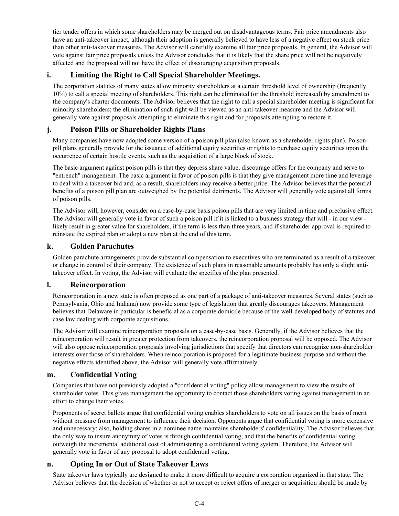tier tender offers in which some shareholders may be merged out on disadvantageous terms. Fair price amendments also have an anti-takeover impact, although their adoption is generally believed to have less of a negative effect on stock price than other anti-takeover measures. The Advisor will carefully examine all fair price proposals. In general, the Advisor will vote against fair price proposals unless the Advisor concludes that it is likely that the share price will not be negatively affected and the proposal will not have the effect of discouraging acquisition proposals.

# **i. Limiting the Right to Call Special Shareholder Meetings.**

The corporation statutes of many states allow minority shareholders at a certain threshold level of ownership (frequently 10%) to call a special meeting of shareholders. This right can be eliminated (or the threshold increased) by amendment to the company's charter documents. The Advisor believes that the right to call a special shareholder meeting is significant for minority shareholders; the elimination of such right will be viewed as an anti-takeover measure and the Advisor will generally vote against proposals attempting to eliminate this right and for proposals attempting to restore it.

# **j. Poison Pills or Shareholder Rights Plans**

Many companies have now adopted some version of a poison pill plan (also known as a shareholder rights plan). Poison pill plans generally provide for the issuance of additional equity securities or rights to purchase equity securities upon the occurrence of certain hostile events, such as the acquisition of a large block of stock.

The basic argument against poison pills is that they depress share value, discourage offers for the company and serve to "entrench" management. The basic argument in favor of poison pills is that they give management more time and leverage to deal with a takeover bid and, as a result, shareholders may receive a better price. The Advisor believes that the potential benefits of a poison pill plan are outweighed by the potential detriments. The Advisor will generally vote against all forms of poison pills.

The Advisor will, however, consider on a case-by-case basis poison pills that are very limited in time and preclusive effect. The Advisor will generally vote in favor of such a poison pill if it is linked to a business strategy that will - in our view likely result in greater value for shareholders, if the term is less than three years, and if shareholder approval is required to reinstate the expired plan or adopt a new plan at the end of this term.

## **k. Golden Parachutes**

Golden parachute arrangements provide substantial compensation to executives who are terminated as a result of a takeover or change in control of their company. The existence of such plans in reasonable amounts probably has only a slight antitakeover effect. In voting, the Advisor will evaluate the specifics of the plan presented.

## **l. Reincorporation**

Reincorporation in a new state is often proposed as one part of a package of anti-takeover measures. Several states (such as Pennsylvania, Ohio and Indiana) now provide some type of legislation that greatly discourages takeovers. Management believes that Delaware in particular is beneficial as a corporate domicile because of the well-developed body of statutes and case law dealing with corporate acquisitions.

The Advisor will examine reincorporation proposals on a case-by-case basis. Generally, if the Advisor believes that the reincorporation will result in greater protection from takeovers, the reincorporation proposal will be opposed. The Advisor will also oppose reincorporation proposals involving jurisdictions that specify that directors can recognize non-shareholder interests over those of shareholders. When reincorporation is proposed for a legitimate business purpose and without the negative effects identified above, the Advisor will generally vote affirmatively.

# **m. Confidential Voting**

Companies that have not previously adopted a "confidential voting" policy allow management to view the results of shareholder votes. This gives management the opportunity to contact those shareholders voting against management in an effort to change their votes.

Proponents of secret ballots argue that confidential voting enables shareholders to vote on all issues on the basis of merit without pressure from management to influence their decision. Opponents argue that confidential voting is more expensive and unnecessary; also, holding shares in a nominee name maintains shareholders' confidentiality. The Advisor believes that the only way to insure anonymity of votes is through confidential voting, and that the benefits of confidential voting outweigh the incremental additional cost of administering a confidential voting system. Therefore, the Advisor will generally vote in favor of any proposal to adopt confidential voting.

# **n. Opting In or Out of State Takeover Laws**

State takeover laws typically are designed to make it more difficult to acquire a corporation organized in that state. The Advisor believes that the decision of whether or not to accept or reject offers of merger or acquisition should be made by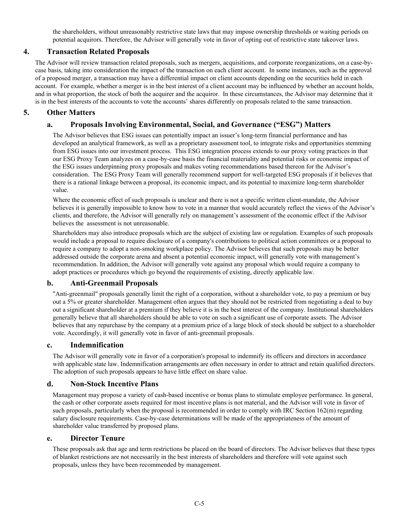the shareholders, without unreasonably restrictive state laws that may impose ownership thresholds or waiting periods on potential acquirors. Therefore, the Advisor will generally vote in favor of opting out of restrictive state takeover laws.

### **4. Transaction Related Proposals**

The Advisor will review transaction related proposals, such as mergers, acquisitions, and corporate reorganizations, on a case-bycase basis, taking into consideration the impact of the transaction on each client account. In some instances, such as the approval of a proposed merger, a transaction may have a differential impact on client accounts depending on the securities held in each account. For example, whether a merger is in the best interest of a client account may be influenced by whether an account holds, and in what proportion, the stock of both the acquirer and the acquiror. In these circumstances, the Advisor may determine that it is in the best interests of the accounts to vote the accounts' shares differently on proposals related to the same transaction.

## **5. Other Matters**

## **a. Proposals Involving Environmental, Social, and Governance ("ESG") Matters**

The Advisor believes that ESG issues can potentially impact an issuer's long-term financial performance and has developed an analytical framework, as well as a proprietary assessment tool, to integrate risks and opportunities stemming from ESG issues into our investment process. This ESG integration process extends to our proxy voting practices in that our ESG Proxy Team analyzes on a case-by-case basis the financial materiality and potential risks or economic impact of the ESG issues underpinning proxy proposals and makes voting recommendations based thereon for the Advisor's consideration. The ESG Proxy Team will generally recommend support for well-targeted ESG proposals if it believes that there is a rational linkage between a proposal, its economic impact, and its potential to maximize long-term shareholder value.

Where the economic effect of such proposals is unclear and there is not a specific written client-mandate, the Advisor believes it is generally impossible to know how to vote in a manner that would accurately reflect the views of the Advisor's clients, and therefore, the Advisor will generally rely on management's assessment of the economic effect if the Advisor believes the assessment is not unreasonable.

Shareholders may also introduce proposals which are the subject of existing law or regulation. Examples of such proposals would include a proposal to require disclosure of a company's contributions to political action committees or a proposal to require a company to adopt a non-smoking workplace policy. The Advisor believes that such proposals may be better addressed outside the corporate arena and absent a potential economic impact, will generally vote with management's recommendation. In addition, the Advisor will generally vote against any proposal which would require a company to adopt practices or procedures which go beyond the requirements of existing, directly applicable law.

#### **b. Anti-Greenmail Proposals**

"Anti-greenmail" proposals generally limit the right of a corporation, without a shareholder vote, to pay a premium or buy out a 5% or greater shareholder. Management often argues that they should not be restricted from negotiating a deal to buy out a significant shareholder at a premium if they believe it is in the best interest of the company. Institutional shareholders generally believe that all shareholders should be able to vote on such a significant use of corporate assets. The Advisor believes that any repurchase by the company at a premium price of a large block of stock should be subject to a shareholder vote. Accordingly, it will generally vote in favor of anti-greenmail proposals.

#### **c. Indemnification**

The Advisor will generally vote in favor of a corporation's proposal to indemnify its officers and directors in accordance with applicable state law. Indemnification arrangements are often necessary in order to attract and retain qualified directors. The adoption of such proposals appears to have little effect on share value.

#### **d. Non-Stock Incentive Plans**

Management may propose a variety of cash-based incentive or bonus plans to stimulate employee performance. In general, the cash or other corporate assets required for most incentive plans is not material, and the Advisor will vote in favor of such proposals, particularly when the proposal is recommended in order to comply with IRC Section 162(m) regarding salary disclosure requirements. Case-by-case determinations will be made of the appropriateness of the amount of shareholder value transferred by proposed plans.

#### **e. Director Tenure**

These proposals ask that age and term restrictions be placed on the board of directors. The Advisor believes that these types of blanket restrictions are not necessarily in the best interests of shareholders and therefore will vote against such proposals, unless they have been recommended by management.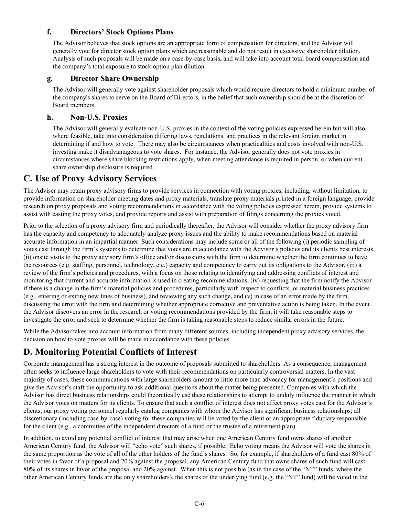# **f. Directors' Stock Options Plans**

The Advisor believes that stock options are an appropriate form of compensation for directors, and the Advisor will generally vote for director stock option plans which are reasonable and do not result in excessive shareholder dilution. Analysis of such proposals will be made on a case-by-case basis, and will take into account total board compensation and the company's total exposure to stock option plan dilution.

## **g. Director Share Ownership**

The Advisor will generally vote against shareholder proposals which would require directors to hold a minimum number of the company's shares to serve on the Board of Directors, in the belief that such ownership should be at the discretion of Board members.

## **h. Non-U.S. Proxies**

The Advisor will generally evaluate non-U.S. proxies in the context of the voting policies expressed herein but will also, where feasible, take into consideration differing laws, regulations, and practices in the relevant foreign market in determining if and how to vote. There may also be circumstances when practicalities and costs involved with non-U.S. investing make it disadvantageous to vote shares. For instance, the Advisor generally does not vote proxies in circumstances where share blocking restrictions apply, when meeting attendance is required in person, or when current share ownership disclosure is required.

# **C. Use of Proxy Advisory Services**

The Adviser may retain proxy advisory firms to provide services in connection with voting proxies, including, without limitation, to provide information on shareholder meeting dates and proxy materials, translate proxy materials printed in a foreign language, provide research on proxy proposals and voting recommendations in accordance with the voting policies expressed herein, provide systems to assist with casting the proxy votes, and provide reports and assist with preparation of filings concerning the proxies voted.

Prior to the selection of a proxy advisory firm and periodically thereafter, the Advisor will consider whether the proxy advisory firm has the capacity and competency to adequately analyze proxy issues and the ability to make recommendations based on material accurate information in an impartial manner. Such considerations may include some or all of the following (i) periodic sampling of votes cast through the firm's systems to determine that votes are in accordance with the Advisor's policies and its clients best interests, (ii) onsite visits to the proxy advisory firm's office and/or discussions with the firm to determine whether the firm continues to have the resources (e.g. staffing, personnel, technology, etc.) capacity and competency to carry out its obligations to the Advisor, (iii) a review of the firm's policies and procedures, with a focus on those relating to identifying and addressing conflicts of interest and monitoring that current and accurate information is used in creating recommendations, (iv) requesting that the firm notify the Advisor if there is a change in the firm's material policies and procedures, particularly with respect to conflicts, or material business practices (e.g., entering or exiting new lines of business), and reviewing any such change, and (v) in case of an error made by the firm, discussing the error with the firm and determining whether appropriate corrective and preventative action is being taken. In the event the Advisor discovers an error in the research or voting recommendations provided by the firm, it will take reasonable steps to investigate the error and seek to determine whether the firm is taking reasonable steps to reduce similar errors in the future.

While the Advisor takes into account information from many different sources, including independent proxy advisory services, the decision on how to vote proxies will be made in accordance with these policies.

# **D. Monitoring Potential Conflicts of Interest**

Corporate management has a strong interest in the outcome of proposals submitted to shareholders. As a consequence, management often seeks to influence large shareholders to vote with their recommendations on particularly controversial matters. In the vast majority of cases, these communications with large shareholders amount to little more than advocacy for management's positions and give the Advisor's staff the opportunity to ask additional questions about the matter being presented. Companies with which the Advisor has direct business relationships could theoretically use these relationships to attempt to unduly influence the manner in which the Advisor votes on matters for its clients. To ensure that such a conflict of interest does not affect proxy votes cast for the Advisor's clients, our proxy voting personnel regularly catalog companies with whom the Advisor has significant business relationships; all discretionary (including case-by-case) voting for these companies will be voted by the client or an appropriate fiduciary responsible for the client (e.g., a committee of the independent directors of a fund or the trustee of a retirement plan).

In addition, to avoid any potential conflict of interest that may arise when one American Century fund owns shares of another American Century fund, the Advisor will "echo vote" such shares, if possible. Echo voting means the Advisor will vote the shares in the same proportion as the vote of all of the other holders of the fund's shares. So, for example, if shareholders of a fund cast 80% of their votes in favor of a proposal and 20% against the proposal, any American Century fund that owns shares of such fund will cast 80% of its shares in favor of the proposal and 20% against. When this is not possible (as in the case of the "NT" funds, where the other American Century funds are the only shareholders), the shares of the underlying fund (e.g. the "NT" fund) will be voted in the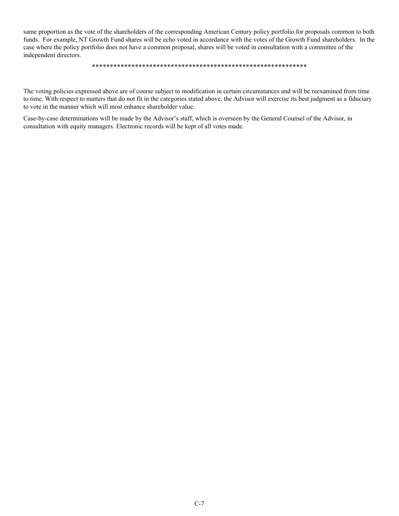same proportion as the vote of the shareholders of the corresponding American Century policy portfolio for proposals common to both funds. For example, NT Growth Fund shares will be echo voted in accordance with the votes of the Growth Fund shareholders. In the case where the policy portfolio does not have a common proposal, shares will be voted in consultation with a committee of the independent directors.

#### \*\*\*\*\*\*\*\*\*\*\*\*\*\*\*\*\*\*\*\*\*\*\*\*\*\*\*\*\*\*\*\*\*\*\*\*\*\*\*\*\*\*\*\*\*\*\*\*\*\*\*\*\*\*\*\*\*\*\*\*

The voting policies expressed above are of course subject to modification in certain circumstances and will be reexamined from time to time. With respect to matters that do not fit in the categories stated above, the Advisor will exercise its best judgment as a fiduciary to vote in the manner which will most enhance shareholder value.

Case-by-case determinations will be made by the Advisor's staff, which is overseen by the General Counsel of the Advisor, in consultation with equity managers. Electronic records will be kept of all votes made.